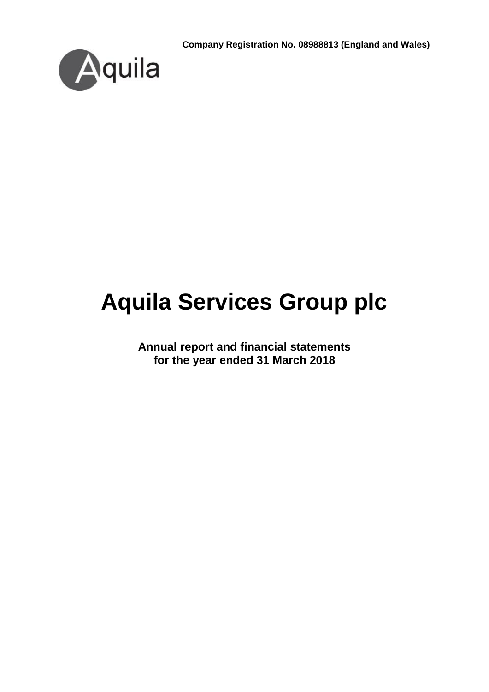**Company Registration No. 08988813 (England and Wales)**



# **Aquila Services Group plc**

**Annual report and financial statements for the year ended 31 March 2018**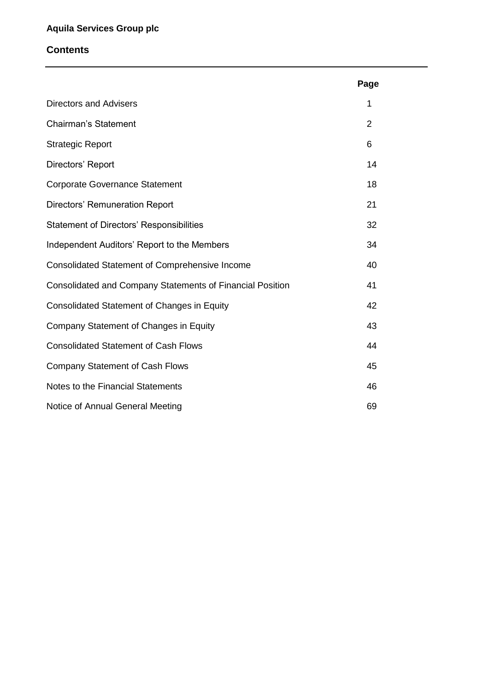## **Contents**

|                                                                  | Page           |
|------------------------------------------------------------------|----------------|
| <b>Directors and Advisers</b>                                    | 1              |
| <b>Chairman's Statement</b>                                      | $\overline{2}$ |
| <b>Strategic Report</b>                                          | 6              |
| Directors' Report                                                | 14             |
| <b>Corporate Governance Statement</b>                            | 18             |
| <b>Directors' Remuneration Report</b>                            | 21             |
| <b>Statement of Directors' Responsibilities</b>                  | 32             |
| Independent Auditors' Report to the Members                      | 34             |
| <b>Consolidated Statement of Comprehensive Income</b>            | 40             |
| <b>Consolidated and Company Statements of Financial Position</b> | 41             |
| <b>Consolidated Statement of Changes in Equity</b>               | 42             |
| Company Statement of Changes in Equity                           | 43             |
| <b>Consolidated Statement of Cash Flows</b>                      | 44             |
| <b>Company Statement of Cash Flows</b>                           | 45             |
| Notes to the Financial Statements                                | 46             |
| Notice of Annual General Meeting                                 | 69             |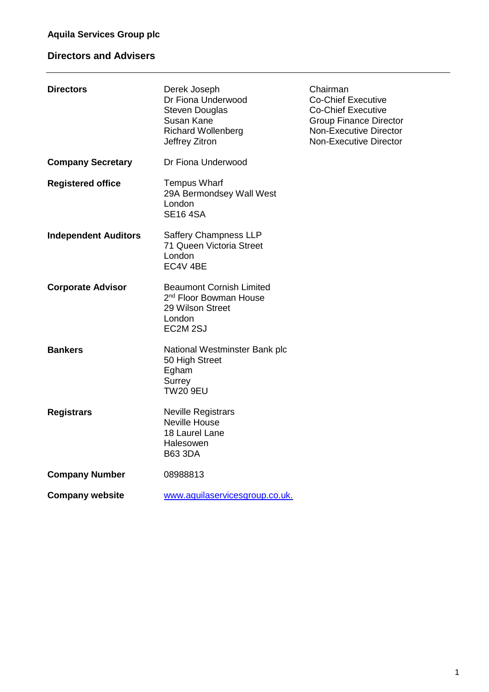# **Directors and Advisers**

| <b>Directors</b>            | Derek Joseph<br>Dr Fiona Underwood<br><b>Steven Douglas</b><br>Susan Kane<br><b>Richard Wollenberg</b><br>Jeffrey Zitron   | Chairman<br><b>Co-Chief Executive</b><br><b>Co-Chief Executive</b><br><b>Group Finance Director</b><br><b>Non-Executive Director</b><br><b>Non-Executive Director</b> |
|-----------------------------|----------------------------------------------------------------------------------------------------------------------------|-----------------------------------------------------------------------------------------------------------------------------------------------------------------------|
| <b>Company Secretary</b>    | Dr Fiona Underwood                                                                                                         |                                                                                                                                                                       |
| <b>Registered office</b>    | <b>Tempus Wharf</b><br>29A Bermondsey Wall West<br>London<br><b>SE16 4SA</b>                                               |                                                                                                                                                                       |
| <b>Independent Auditors</b> | <b>Saffery Champness LLP</b><br>71 Queen Victoria Street<br>London<br>EC4V 4BE                                             |                                                                                                                                                                       |
| <b>Corporate Advisor</b>    | <b>Beaumont Cornish Limited</b><br>2 <sup>nd</sup> Floor Bowman House<br>29 Wilson Street<br>London<br>EC2M <sub>2SJ</sub> |                                                                                                                                                                       |
| <b>Bankers</b>              | National Westminster Bank plc<br>50 High Street<br>Egham<br>Surrey<br><b>TW20 9EU</b>                                      |                                                                                                                                                                       |
| <b>Registrars</b>           | <b>Neville Registrars</b><br><b>Neville House</b><br>18 Laurel Lane<br>Halesowen<br><b>B63 3DA</b>                         |                                                                                                                                                                       |
| <b>Company Number</b>       | 08988813                                                                                                                   |                                                                                                                                                                       |
| <b>Company website</b>      | www.aquilaservicesgroup.co.uk.                                                                                             |                                                                                                                                                                       |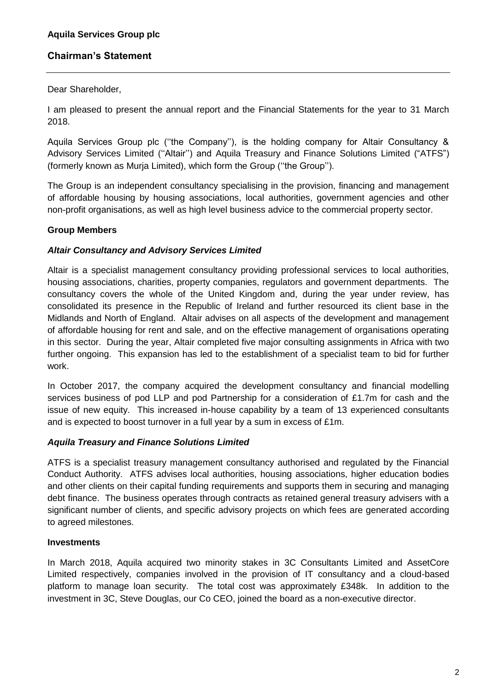Dear Shareholder,

I am pleased to present the annual report and the Financial Statements for the year to 31 March 2018.

Aquila Services Group plc (''the Company''), is the holding company for Altair Consultancy & Advisory Services Limited (''Altair'') and Aquila Treasury and Finance Solutions Limited ("ATFS") (formerly known as Murja Limited), which form the Group (''the Group'').

The Group is an independent consultancy specialising in the provision, financing and management of affordable housing by housing associations, local authorities, government agencies and other non-profit organisations, as well as high level business advice to the commercial property sector.

# **Group Members**

## *Altair Consultancy and Advisory Services Limited*

Altair is a specialist management consultancy providing professional services to local authorities, housing associations, charities, property companies, regulators and government departments. The consultancy covers the whole of the United Kingdom and, during the year under review, has consolidated its presence in the Republic of Ireland and further resourced its client base in the Midlands and North of England. Altair advises on all aspects of the development and management of affordable housing for rent and sale, and on the effective management of organisations operating in this sector. During the year, Altair completed five major consulting assignments in Africa with two further ongoing. This expansion has led to the establishment of a specialist team to bid for further work.

In October 2017, the company acquired the development consultancy and financial modelling services business of pod LLP and pod Partnership for a consideration of £1.7m for cash and the issue of new equity. This increased in-house capability by a team of 13 experienced consultants and is expected to boost turnover in a full year by a sum in excess of £1m.

#### *Aquila Treasury and Finance Solutions Limited*

ATFS is a specialist treasury management consultancy authorised and regulated by the Financial Conduct Authority. ATFS advises local authorities, housing associations, higher education bodies and other clients on their capital funding requirements and supports them in securing and managing debt finance. The business operates through contracts as retained general treasury advisers with a significant number of clients, and specific advisory projects on which fees are generated according to agreed milestones.

# **Investments**

In March 2018, Aquila acquired two minority stakes in 3C Consultants Limited and AssetCore Limited respectively, companies involved in the provision of IT consultancy and a cloud-based platform to manage loan security. The total cost was approximately £348k. In addition to the investment in 3C, Steve Douglas, our Co CEO, joined the board as a non-executive director.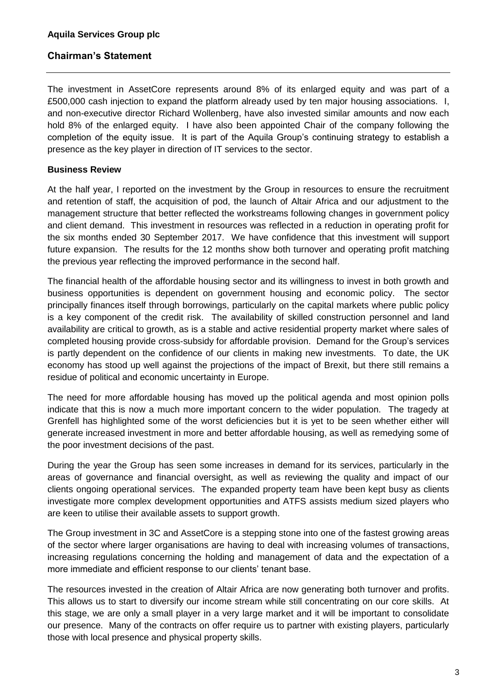The investment in AssetCore represents around 8% of its enlarged equity and was part of a £500,000 cash injection to expand the platform already used by ten major housing associations. I, and non-executive director Richard Wollenberg, have also invested similar amounts and now each hold 8% of the enlarged equity. I have also been appointed Chair of the company following the completion of the equity issue. It is part of the Aquila Group's continuing strategy to establish a presence as the key player in direction of IT services to the sector.

#### **Business Review**

At the half year, I reported on the investment by the Group in resources to ensure the recruitment and retention of staff, the acquisition of pod, the launch of Altair Africa and our adjustment to the management structure that better reflected the workstreams following changes in government policy and client demand. This investment in resources was reflected in a reduction in operating profit for the six months ended 30 September 2017. We have confidence that this investment will support future expansion. The results for the 12 months show both turnover and operating profit matching the previous year reflecting the improved performance in the second half.

The financial health of the affordable housing sector and its willingness to invest in both growth and business opportunities is dependent on government housing and economic policy. The sector principally finances itself through borrowings, particularly on the capital markets where public policy is a key component of the credit risk. The availability of skilled construction personnel and land availability are critical to growth, as is a stable and active residential property market where sales of completed housing provide cross-subsidy for affordable provision. Demand for the Group's services is partly dependent on the confidence of our clients in making new investments. To date, the UK economy has stood up well against the projections of the impact of Brexit, but there still remains a residue of political and economic uncertainty in Europe.

The need for more affordable housing has moved up the political agenda and most opinion polls indicate that this is now a much more important concern to the wider population. The tragedy at Grenfell has highlighted some of the worst deficiencies but it is yet to be seen whether either will generate increased investment in more and better affordable housing, as well as remedying some of the poor investment decisions of the past.

During the year the Group has seen some increases in demand for its services, particularly in the areas of governance and financial oversight, as well as reviewing the quality and impact of our clients ongoing operational services. The expanded property team have been kept busy as clients investigate more complex development opportunities and ATFS assists medium sized players who are keen to utilise their available assets to support growth.

The Group investment in 3C and AssetCore is a stepping stone into one of the fastest growing areas of the sector where larger organisations are having to deal with increasing volumes of transactions, increasing regulations concerning the holding and management of data and the expectation of a more immediate and efficient response to our clients' tenant base.

The resources invested in the creation of Altair Africa are now generating both turnover and profits. This allows us to start to diversify our income stream while still concentrating on our core skills. At this stage, we are only a small player in a very large market and it will be important to consolidate our presence. Many of the contracts on offer require us to partner with existing players, particularly those with local presence and physical property skills.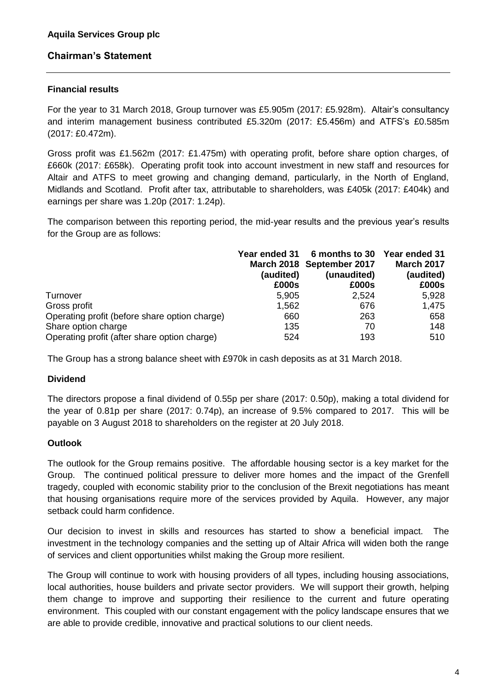#### **Financial results**

For the year to 31 March 2018, Group turnover was £5.905m (2017: £5.928m). Altair's consultancy and interim management business contributed £5.320m (2017: £5.456m) and ATFS's £0.585m (2017: £0.472m).

Gross profit was £1.562m (2017: £1.475m) with operating profit, before share option charges, of £660k (2017: £658k). Operating profit took into account investment in new staff and resources for Altair and ATFS to meet growing and changing demand, particularly, in the North of England, Midlands and Scotland. Profit after tax, attributable to shareholders, was £405k (2017: £404k) and earnings per share was 1.20p (2017: 1.24p).

The comparison between this reporting period, the mid-year results and the previous year's results for the Group are as follows:

|                                               |           | Year ended 31 6 months to 30 Year ended 31<br>March 2018 September 2017 | <b>March 2017</b> |
|-----------------------------------------------|-----------|-------------------------------------------------------------------------|-------------------|
|                                               | (audited) | (unaudited)                                                             | (audited)         |
|                                               | £000s     | £000s                                                                   | £000s             |
| Turnover                                      | 5,905     | 2,524                                                                   | 5,928             |
| Gross profit                                  | 1,562     | 676                                                                     | 1,475             |
| Operating profit (before share option charge) | 660       | 263                                                                     | 658               |
| Share option charge                           | 135       | 70                                                                      | 148               |
| Operating profit (after share option charge)  | 524       | 193                                                                     | 510               |

The Group has a strong balance sheet with £970k in cash deposits as at 31 March 2018.

#### **Dividend**

The directors propose a final dividend of 0.55p per share (2017: 0.50p), making a total dividend for the year of 0.81p per share (2017: 0.74p), an increase of 9.5% compared to 2017. This will be payable on 3 August 2018 to shareholders on the register at 20 July 2018.

#### **Outlook**

The outlook for the Group remains positive. The affordable housing sector is a key market for the Group. The continued political pressure to deliver more homes and the impact of the Grenfell tragedy, coupled with economic stability prior to the conclusion of the Brexit negotiations has meant that housing organisations require more of the services provided by Aquila. However, any major setback could harm confidence.

Our decision to invest in skills and resources has started to show a beneficial impact. The investment in the technology companies and the setting up of Altair Africa will widen both the range of services and client opportunities whilst making the Group more resilient.

The Group will continue to work with housing providers of all types, including housing associations, local authorities, house builders and private sector providers. We will support their growth, helping them change to improve and supporting their resilience to the current and future operating environment. This coupled with our constant engagement with the policy landscape ensures that we are able to provide credible, innovative and practical solutions to our client needs.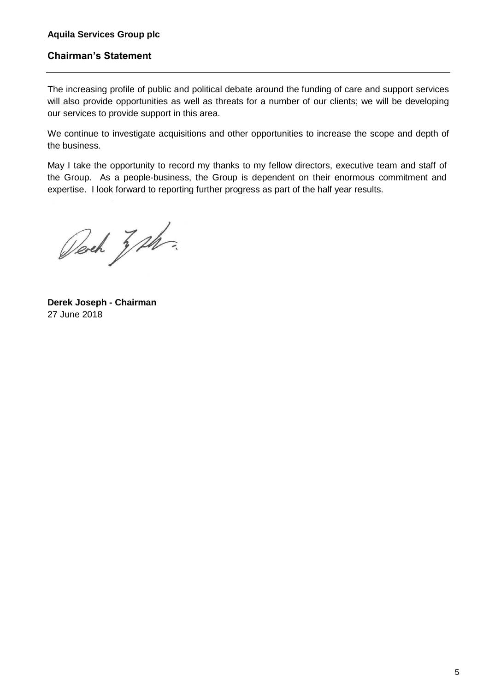The increasing profile of public and political debate around the funding of care and support services will also provide opportunities as well as threats for a number of our clients; we will be developing our services to provide support in this area.

We continue to investigate acquisitions and other opportunities to increase the scope and depth of the business.

May I take the opportunity to record my thanks to my fellow directors, executive team and staff of the Group. As a people-business, the Group is dependent on their enormous commitment and expertise. I look forward to reporting further progress as part of the half year results.

Devek Jahr.

**Derek Joseph - Chairman** 27 June 2018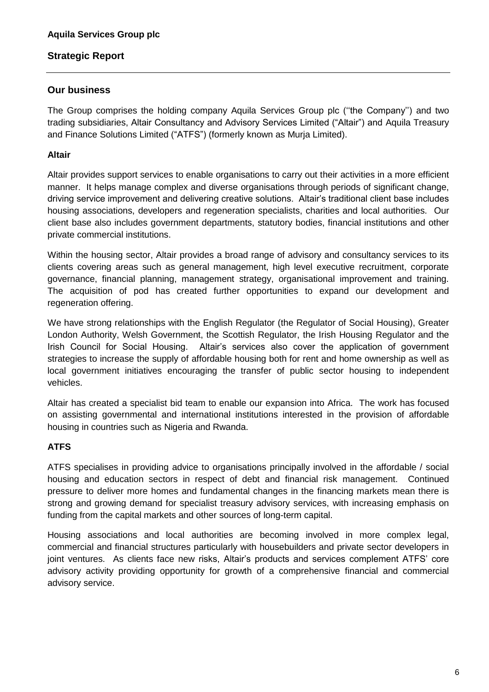# **Our business**

The Group comprises the holding company Aquila Services Group plc (''the Company'') and two trading subsidiaries, Altair Consultancy and Advisory Services Limited ("Altair") and Aquila Treasury and Finance Solutions Limited ("ATFS") (formerly known as Murja Limited).

# **Altair**

Altair provides support services to enable organisations to carry out their activities in a more efficient manner. It helps manage complex and diverse organisations through periods of significant change, driving service improvement and delivering creative solutions. Altair's traditional client base includes housing associations, developers and regeneration specialists, charities and local authorities. Our client base also includes government departments, statutory bodies, financial institutions and other private commercial institutions.

Within the housing sector, Altair provides a broad range of advisory and consultancy services to its clients covering areas such as general management, high level executive recruitment, corporate governance, financial planning, management strategy, organisational improvement and training. The acquisition of pod has created further opportunities to expand our development and regeneration offering.

We have strong relationships with the English Regulator (the Regulator of Social Housing), Greater London Authority, Welsh Government, the Scottish Regulator, the Irish Housing Regulator and the Irish Council for Social Housing. Altair's services also cover the application of government strategies to increase the supply of affordable housing both for rent and home ownership as well as local government initiatives encouraging the transfer of public sector housing to independent vehicles.

Altair has created a specialist bid team to enable our expansion into Africa. The work has focused on assisting governmental and international institutions interested in the provision of affordable housing in countries such as Nigeria and Rwanda.

# **ATFS**

ATFS specialises in providing advice to organisations principally involved in the affordable / social housing and education sectors in respect of debt and financial risk management. Continued pressure to deliver more homes and fundamental changes in the financing markets mean there is strong and growing demand for specialist treasury advisory services, with increasing emphasis on funding from the capital markets and other sources of long-term capital.

Housing associations and local authorities are becoming involved in more complex legal, commercial and financial structures particularly with housebuilders and private sector developers in joint ventures. As clients face new risks, Altair's products and services complement ATFS' core advisory activity providing opportunity for growth of a comprehensive financial and commercial advisory service.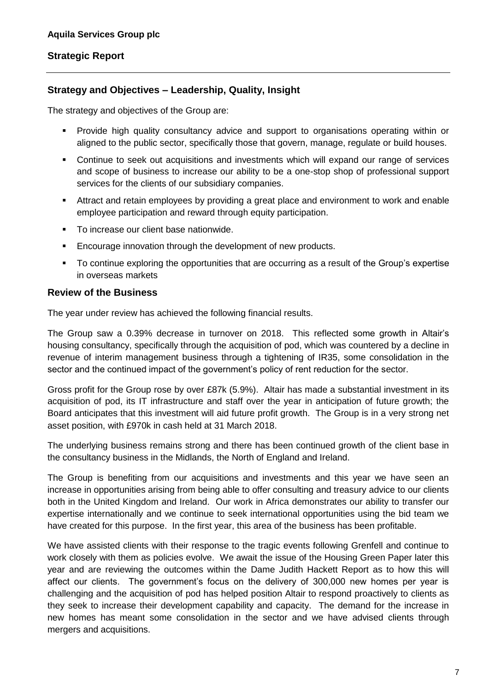# **Strategy and Objectives – Leadership, Quality, Insight**

The strategy and objectives of the Group are:

- Provide high quality consultancy advice and support to organisations operating within or aligned to the public sector, specifically those that govern, manage, regulate or build houses.
- Continue to seek out acquisitions and investments which will expand our range of services and scope of business to increase our ability to be a one-stop shop of professional support services for the clients of our subsidiary companies.
- Attract and retain employees by providing a great place and environment to work and enable employee participation and reward through equity participation.
- To increase our client base nationwide.
- Encourage innovation through the development of new products.
- To continue exploring the opportunities that are occurring as a result of the Group's expertise in overseas markets

## **Review of the Business**

The year under review has achieved the following financial results.

The Group saw a 0.39% decrease in turnover on 2018. This reflected some growth in Altair's housing consultancy, specifically through the acquisition of pod, which was countered by a decline in revenue of interim management business through a tightening of IR35, some consolidation in the sector and the continued impact of the government's policy of rent reduction for the sector.

Gross profit for the Group rose by over £87k (5.9%). Altair has made a substantial investment in its acquisition of pod, its IT infrastructure and staff over the year in anticipation of future growth; the Board anticipates that this investment will aid future profit growth. The Group is in a very strong net asset position, with £970k in cash held at 31 March 2018.

The underlying business remains strong and there has been continued growth of the client base in the consultancy business in the Midlands, the North of England and Ireland.

The Group is benefiting from our acquisitions and investments and this year we have seen an increase in opportunities arising from being able to offer consulting and treasury advice to our clients both in the United Kingdom and Ireland. Our work in Africa demonstrates our ability to transfer our expertise internationally and we continue to seek international opportunities using the bid team we have created for this purpose. In the first year, this area of the business has been profitable.

We have assisted clients with their response to the tragic events following Grenfell and continue to work closely with them as policies evolve. We await the issue of the Housing Green Paper later this year and are reviewing the outcomes within the Dame Judith Hackett Report as to how this will affect our clients. The government's focus on the delivery of 300,000 new homes per year is challenging and the acquisition of pod has helped position Altair to respond proactively to clients as they seek to increase their development capability and capacity. The demand for the increase in new homes has meant some consolidation in the sector and we have advised clients through mergers and acquisitions.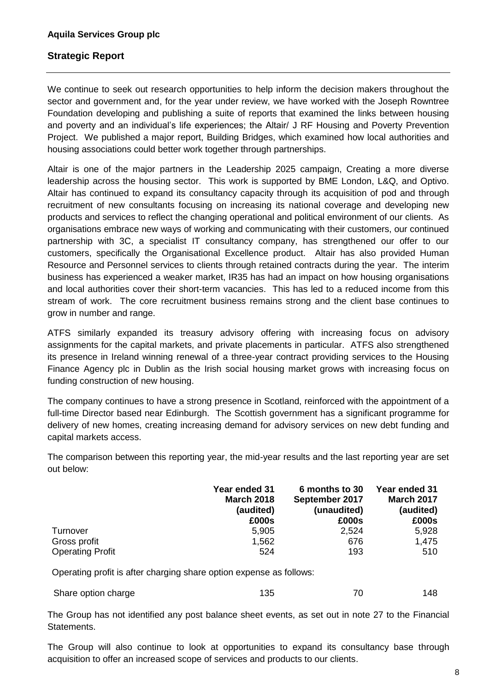We continue to seek out research opportunities to help inform the decision makers throughout the sector and government and, for the year under review, we have worked with the Joseph Rowntree Foundation developing and publishing a suite of reports that examined the links between housing and poverty and an individual's life experiences; the Altair/ J RF Housing and Poverty Prevention Project. We published a major report, Building Bridges, which examined how local authorities and housing associations could better work together through partnerships.

Altair is one of the major partners in the Leadership 2025 campaign, Creating a more diverse leadership across the housing sector. This work is supported by BME London, L&Q, and Optivo. Altair has continued to expand its consultancy capacity through its acquisition of pod and through recruitment of new consultants focusing on increasing its national coverage and developing new products and services to reflect the changing operational and political environment of our clients. As organisations embrace new ways of working and communicating with their customers, our continued partnership with 3C, a specialist IT consultancy company, has strengthened our offer to our customers, specifically the Organisational Excellence product. Altair has also provided Human Resource and Personnel services to clients through retained contracts during the year. The interim business has experienced a weaker market, IR35 has had an impact on how housing organisations and local authorities cover their short-term vacancies. This has led to a reduced income from this stream of work. The core recruitment business remains strong and the client base continues to grow in number and range.

ATFS similarly expanded its treasury advisory offering with increasing focus on advisory assignments for the capital markets, and private placements in particular. ATFS also strengthened its presence in Ireland winning renewal of a three-year contract providing services to the Housing Finance Agency plc in Dublin as the Irish social housing market grows with increasing focus on funding construction of new housing.

The company continues to have a strong presence in Scotland, reinforced with the appointment of a full-time Director based near Edinburgh. The Scottish government has a significant programme for delivery of new homes, creating increasing demand for advisory services on new debt funding and capital markets access.

The comparison between this reporting year, the mid-year results and the last reporting year are set out below:

|                         | Year ended 31     | 6 months to 30 | Year ended 31     |
|-------------------------|-------------------|----------------|-------------------|
|                         | <b>March 2018</b> | September 2017 | <b>March 2017</b> |
|                         | (audited)         | (unaudited)    | (audited)         |
|                         | £000s             | £000s          | £000s             |
| Turnover                | 5,905             | 2,524          | 5,928             |
| Gross profit            | 1,562             | 676            | 1,475             |
| <b>Operating Profit</b> | 524               | 193            | 510               |

Operating profit is after charging share option expense as follows:

| Share option charge | . JJ |  | 148 |
|---------------------|------|--|-----|
|---------------------|------|--|-----|

The Group has not identified any post balance sheet events, as set out in note 27 to the Financial Statements.

The Group will also continue to look at opportunities to expand its consultancy base through acquisition to offer an increased scope of services and products to our clients.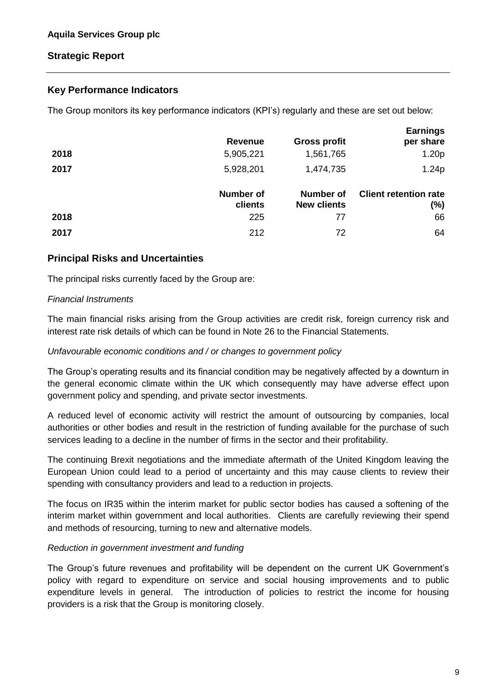# **Key Performance Indicators**

The Group monitors its key performance indicators (KPI's) regularly and these are set out below:

|      | <b>Revenue</b>              | <b>Gross profit</b>                    | <b>Earnings</b><br>per share           |
|------|-----------------------------|----------------------------------------|----------------------------------------|
| 2018 | 5,905,221                   | 1,561,765                              | 1.20p                                  |
| 2017 | 5,928,201                   | 1,474,735                              | 1.24p                                  |
|      | <b>Number of</b><br>clients | <b>Number of</b><br><b>New clients</b> | <b>Client retention rate</b><br>$(\%)$ |
| 2018 | 225                         | 77                                     | 66                                     |
| 2017 | 212                         | 72                                     | 64                                     |

# **Principal Risks and Uncertainties**

The principal risks currently faced by the Group are:

## *Financial Instruments*

The main financial risks arising from the Group activities are credit risk, foreign currency risk and interest rate risk details of which can be found in Note 26 to the Financial Statements.

#### *Unfavourable economic conditions and / or changes to government policy*

The Group's operating results and its financial condition may be negatively affected by a downturn in the general economic climate within the UK which consequently may have adverse effect upon government policy and spending, and private sector investments.

A reduced level of economic activity will restrict the amount of outsourcing by companies, local authorities or other bodies and result in the restriction of funding available for the purchase of such services leading to a decline in the number of firms in the sector and their profitability.

The continuing Brexit negotiations and the immediate aftermath of the United Kingdom leaving the European Union could lead to a period of uncertainty and this may cause clients to review their spending with consultancy providers and lead to a reduction in projects.

The focus on IR35 within the interim market for public sector bodies has caused a softening of the interim market within government and local authorities. Clients are carefully reviewing their spend and methods of resourcing, turning to new and alternative models.

#### *Reduction in government investment and funding*

The Group's future revenues and profitability will be dependent on the current UK Government's policy with regard to expenditure on service and social housing improvements and to public expenditure levels in general. The introduction of policies to restrict the income for housing providers is a risk that the Group is monitoring closely.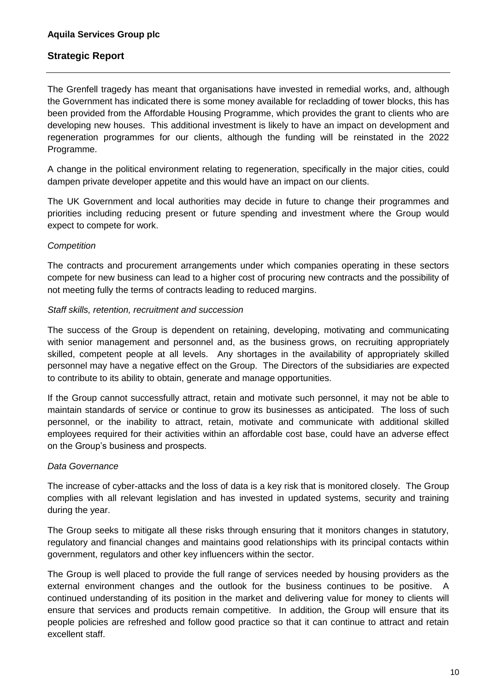The Grenfell tragedy has meant that organisations have invested in remedial works, and, although the Government has indicated there is some money available for recladding of tower blocks, this has been provided from the Affordable Housing Programme, which provides the grant to clients who are developing new houses. This additional investment is likely to have an impact on development and regeneration programmes for our clients, although the funding will be reinstated in the 2022 Programme.

A change in the political environment relating to regeneration, specifically in the major cities, could dampen private developer appetite and this would have an impact on our clients.

The UK Government and local authorities may decide in future to change their programmes and priorities including reducing present or future spending and investment where the Group would expect to compete for work.

#### *Competition*

The contracts and procurement arrangements under which companies operating in these sectors compete for new business can lead to a higher cost of procuring new contracts and the possibility of not meeting fully the terms of contracts leading to reduced margins.

#### *Staff skills, retention, recruitment and succession*

The success of the Group is dependent on retaining, developing, motivating and communicating with senior management and personnel and, as the business grows, on recruiting appropriately skilled, competent people at all levels. Any shortages in the availability of appropriately skilled personnel may have a negative effect on the Group. The Directors of the subsidiaries are expected to contribute to its ability to obtain, generate and manage opportunities.

If the Group cannot successfully attract, retain and motivate such personnel, it may not be able to maintain standards of service or continue to grow its businesses as anticipated. The loss of such personnel, or the inability to attract, retain, motivate and communicate with additional skilled employees required for their activities within an affordable cost base, could have an adverse effect on the Group's business and prospects.

#### *Data Governance*

The increase of cyber-attacks and the loss of data is a key risk that is monitored closely. The Group complies with all relevant legislation and has invested in updated systems, security and training during the year.

The Group seeks to mitigate all these risks through ensuring that it monitors changes in statutory, regulatory and financial changes and maintains good relationships with its principal contacts within government, regulators and other key influencers within the sector.

The Group is well placed to provide the full range of services needed by housing providers as the external environment changes and the outlook for the business continues to be positive. A continued understanding of its position in the market and delivering value for money to clients will ensure that services and products remain competitive. In addition, the Group will ensure that its people policies are refreshed and follow good practice so that it can continue to attract and retain excellent staff.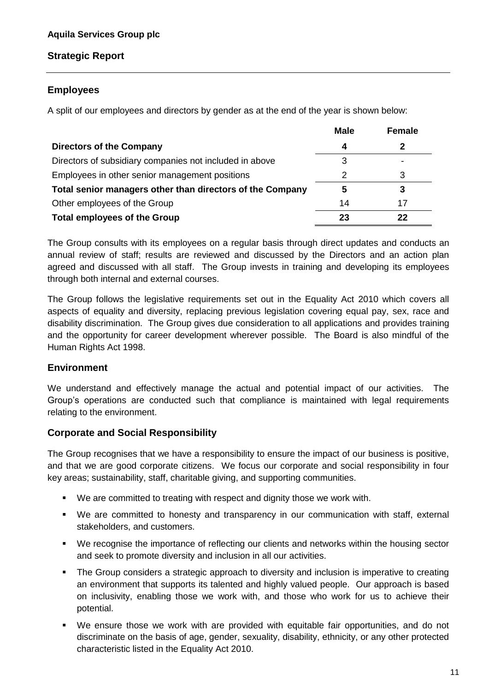# **Employees**

A split of our employees and directors by gender as at the end of the year is shown below:

|                                                           | <b>Male</b> | <b>Female</b>            |
|-----------------------------------------------------------|-------------|--------------------------|
| <b>Directors of the Company</b>                           | 4           | 2                        |
| Directors of subsidiary companies not included in above   |             | $\overline{\phantom{0}}$ |
| Employees in other senior management positions            |             | 3                        |
| Total senior managers other than directors of the Company | 5           | 3                        |
| Other employees of the Group                              | 14          | 17                       |
| <b>Total employees of the Group</b>                       | 23          | 22                       |

The Group consults with its employees on a regular basis through direct updates and conducts an annual review of staff; results are reviewed and discussed by the Directors and an action plan agreed and discussed with all staff. The Group invests in training and developing its employees through both internal and external courses.

The Group follows the legislative requirements set out in the Equality Act 2010 which covers all aspects of equality and diversity, replacing previous legislation covering equal pay, sex, race and disability discrimination. The Group gives due consideration to all applications and provides training and the opportunity for career development wherever possible. The Board is also mindful of the Human Rights Act 1998.

# **Environment**

We understand and effectively manage the actual and potential impact of our activities. The Group's operations are conducted such that compliance is maintained with legal requirements relating to the environment.

# **Corporate and Social Responsibility**

The Group recognises that we have a responsibility to ensure the impact of our business is positive, and that we are good corporate citizens. We focus our corporate and social responsibility in four key areas; sustainability, staff, charitable giving, and supporting communities.

- We are committed to treating with respect and dignity those we work with.
- We are committed to honesty and transparency in our communication with staff, external stakeholders, and customers.
- We recognise the importance of reflecting our clients and networks within the housing sector and seek to promote diversity and inclusion in all our activities.
- The Group considers a strategic approach to diversity and inclusion is imperative to creating an environment that supports its talented and highly valued people. Our approach is based on inclusivity, enabling those we work with, and those who work for us to achieve their potential.
- We ensure those we work with are provided with equitable fair opportunities, and do not discriminate on the basis of age, gender, sexuality, disability, ethnicity, or any other protected characteristic listed in the Equality Act 2010.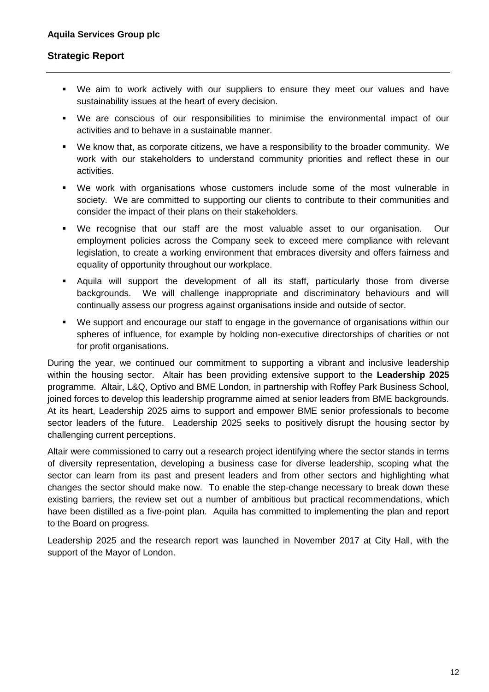- We aim to work actively with our suppliers to ensure they meet our values and have sustainability issues at the heart of every decision.
- We are conscious of our responsibilities to minimise the environmental impact of our activities and to behave in a sustainable manner.
- We know that, as corporate citizens, we have a responsibility to the broader community. We work with our stakeholders to understand community priorities and reflect these in our activities.
- We work with organisations whose customers include some of the most vulnerable in society. We are committed to supporting our clients to contribute to their communities and consider the impact of their plans on their stakeholders.
- We recognise that our staff are the most valuable asset to our organisation. Our employment policies across the Company seek to exceed mere compliance with relevant legislation, to create a working environment that embraces diversity and offers fairness and equality of opportunity throughout our workplace.
- Aquila will support the development of all its staff, particularly those from diverse backgrounds. We will challenge inappropriate and discriminatory behaviours and will continually assess our progress against organisations inside and outside of sector.
- We support and encourage our staff to engage in the governance of organisations within our spheres of influence, for example by holding non-executive directorships of charities or not for profit organisations.

During the year, we continued our commitment to supporting a vibrant and inclusive leadership within the housing sector. Altair has been providing extensive support to the **Leadership 2025** programme. Altair, L&Q, Optivo and BME London, in partnership with Roffey Park Business School, joined forces to develop this leadership programme aimed at senior leaders from BME backgrounds. At its heart, Leadership 2025 aims to support and empower BME senior professionals to become sector leaders of the future. Leadership 2025 seeks to positively disrupt the housing sector by challenging current perceptions.

Altair were commissioned to carry out a research project identifying where the sector stands in terms of diversity representation, developing a business case for diverse leadership, scoping what the sector can learn from its past and present leaders and from other sectors and highlighting what changes the sector should make now. To enable the step-change necessary to break down these existing barriers, the review set out a number of ambitious but practical recommendations, which have been distilled as a five-point plan. Aquila has committed to implementing the plan and report to the Board on progress.

Leadership 2025 and the research report was launched in November 2017 at City Hall, with the support of the Mayor of London.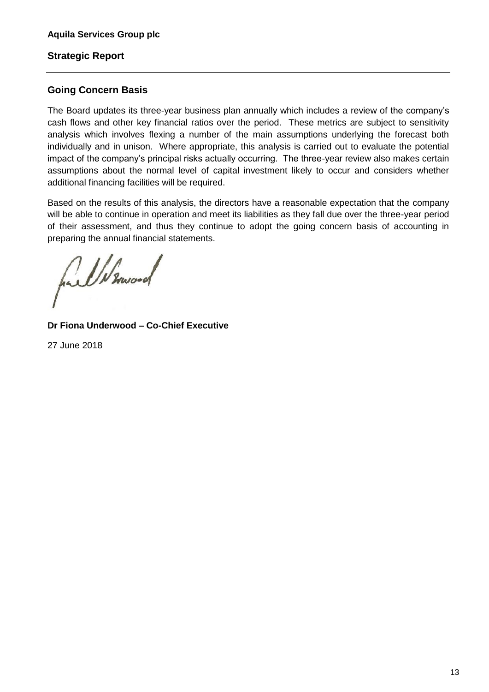# **Going Concern Basis**

The Board updates its three-year business plan annually which includes a review of the company's cash flows and other key financial ratios over the period. These metrics are subject to sensitivity analysis which involves flexing a number of the main assumptions underlying the forecast both individually and in unison. Where appropriate, this analysis is carried out to evaluate the potential impact of the company's principal risks actually occurring. The three-year review also makes certain assumptions about the normal level of capital investment likely to occur and considers whether additional financing facilities will be required.

Based on the results of this analysis, the directors have a reasonable expectation that the company will be able to continue in operation and meet its liabilities as they fall due over the three-year period of their assessment, and thus they continue to adopt the going concern basis of accounting in preparing the annual financial statements.

full hanced

**Dr Fiona Underwood – Co-Chief Executive**

27 June 2018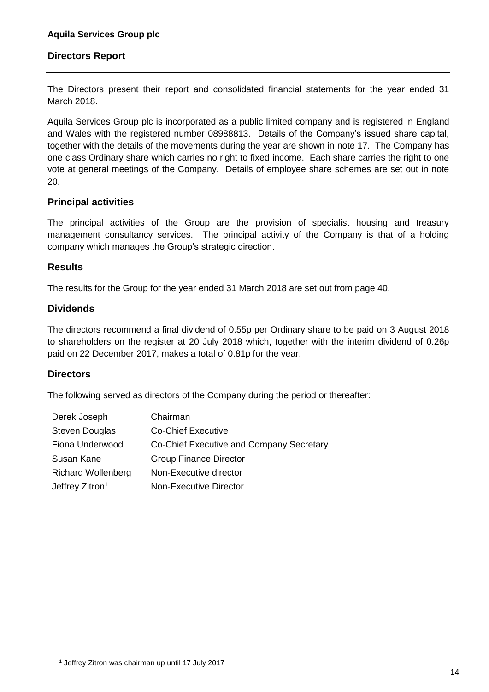The Directors present their report and consolidated financial statements for the year ended 31 March 2018.

Aquila Services Group plc is incorporated as a public limited company and is registered in England and Wales with the registered number 08988813. Details of the Company's issued share capital, together with the details of the movements during the year are shown in note 17. The Company has one class Ordinary share which carries no right to fixed income. Each share carries the right to one vote at general meetings of the Company. Details of employee share schemes are set out in note 20.

# **Principal activities**

The principal activities of the Group are the provision of specialist housing and treasury management consultancy services. The principal activity of the Company is that of a holding company which manages the Group's strategic direction.

## **Results**

The results for the Group for the year ended 31 March 2018 are set out from page 40.

# **Dividends**

The directors recommend a final dividend of 0.55p per Ordinary share to be paid on 3 August 2018 to shareholders on the register at 20 July 2018 which, together with the interim dividend of 0.26p paid on 22 December 2017, makes a total of 0.81p for the year.

# **Directors**

The following served as directors of the Company during the period or thereafter:

| Derek Joseph                | Chairman                                 |
|-----------------------------|------------------------------------------|
| <b>Steven Douglas</b>       | <b>Co-Chief Executive</b>                |
| Fiona Underwood             | Co-Chief Executive and Company Secretary |
| Susan Kane                  | <b>Group Finance Director</b>            |
| <b>Richard Wollenberg</b>   | Non-Executive director                   |
| Jeffrey Zitron <sup>1</sup> | <b>Non-Executive Director</b>            |
|                             |                                          |

<sup>1</sup> <sup>1</sup> Jeffrey Zitron was chairman up until 17 July 2017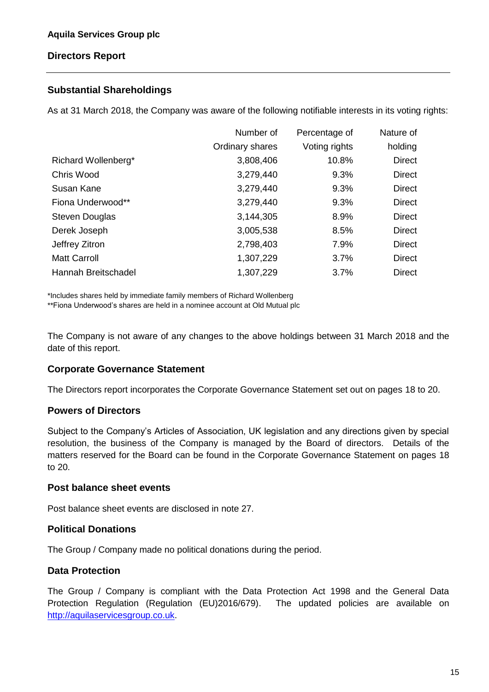## **Substantial Shareholdings**

As at 31 March 2018, the Company was aware of the following notifiable interests in its voting rights:

|                       | Number of       | Percentage of | Nature of     |
|-----------------------|-----------------|---------------|---------------|
|                       | Ordinary shares | Voting rights | holding       |
| Richard Wollenberg*   | 3,808,406       | 10.8%         | <b>Direct</b> |
| Chris Wood            | 3,279,440       | 9.3%          | <b>Direct</b> |
| Susan Kane            | 3,279,440       | 9.3%          | <b>Direct</b> |
| Fiona Underwood**     | 3,279,440       | 9.3%          | <b>Direct</b> |
| <b>Steven Douglas</b> | 3,144,305       | 8.9%          | <b>Direct</b> |
| Derek Joseph          | 3,005,538       | 8.5%          | <b>Direct</b> |
| Jeffrey Zitron        | 2,798,403       | 7.9%          | <b>Direct</b> |
| <b>Matt Carroll</b>   | 1,307,229       | 3.7%          | <b>Direct</b> |
| Hannah Breitschadel   | 1,307,229       | 3.7%          | <b>Direct</b> |

\*Includes shares held by immediate family members of Richard Wollenberg

\*\*Fiona Underwood's shares are held in a nominee account at Old Mutual plc

The Company is not aware of any changes to the above holdings between 31 March 2018 and the date of this report.

# **Corporate Governance Statement**

The Directors report incorporates the Corporate Governance Statement set out on pages 18 to 20.

# **Powers of Directors**

Subject to the Company's Articles of Association, UK legislation and any directions given by special resolution, the business of the Company is managed by the Board of directors. Details of the matters reserved for the Board can be found in the Corporate Governance Statement on pages 18 to 20.

#### **Post balance sheet events**

Post balance sheet events are disclosed in note 27.

#### **Political Donations**

The Group / Company made no political donations during the period.

# **Data Protection**

The Group / Company is compliant with the Data Protection Act 1998 and the General Data Protection Regulation (Regulation (EU)2016/679). The updated policies are available on [http://aquilaservicesgroup.co.uk.](http://aquilaservicesgroup.co.uk/)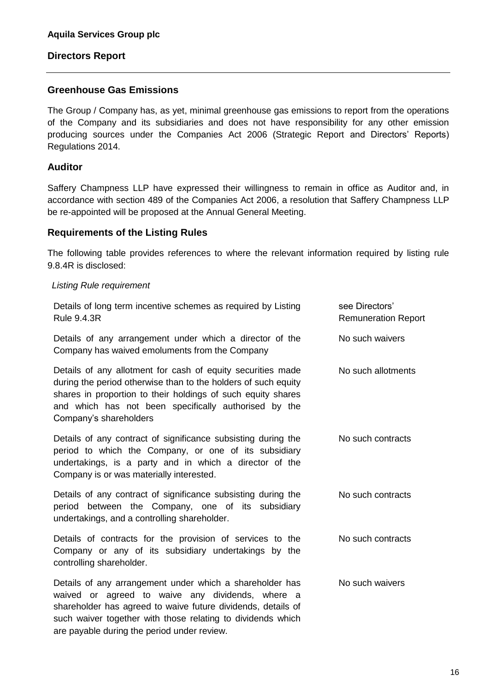## **Greenhouse Gas Emissions**

The Group / Company has, as yet, minimal greenhouse gas emissions to report from the operations of the Company and its subsidiaries and does not have responsibility for any other emission producing sources under the Companies Act 2006 (Strategic Report and Directors' Reports) Regulations 2014.

# **Auditor**

Saffery Champness LLP have expressed their willingness to remain in office as Auditor and, in accordance with section 489 of the Companies Act 2006, a resolution that Saffery Champness LLP be re-appointed will be proposed at the Annual General Meeting.

#### **Requirements of the Listing Rules**

are payable during the period under review.

The following table provides references to where the relevant information required by listing rule 9.8.4R is disclosed:

#### *Listing Rule requirement*

| Details of long term incentive schemes as required by Listing<br><b>Rule 9.4.3R</b>                                                                                                                                                                                              | see Directors'<br><b>Remuneration Report</b> |
|----------------------------------------------------------------------------------------------------------------------------------------------------------------------------------------------------------------------------------------------------------------------------------|----------------------------------------------|
| Details of any arrangement under which a director of the<br>Company has waived emoluments from the Company                                                                                                                                                                       | No such waivers                              |
| Details of any allotment for cash of equity securities made<br>during the period otherwise than to the holders of such equity<br>shares in proportion to their holdings of such equity shares<br>and which has not been specifically authorised by the<br>Company's shareholders | No such allotments                           |
| Details of any contract of significance subsisting during the<br>period to which the Company, or one of its subsidiary<br>undertakings, is a party and in which a director of the<br>Company is or was materially interested.                                                    | No such contracts                            |
| Details of any contract of significance subsisting during the<br>period between the Company, one of its subsidiary<br>undertakings, and a controlling shareholder.                                                                                                               | No such contracts                            |
| Details of contracts for the provision of services to the<br>Company or any of its subsidiary undertakings by the<br>controlling shareholder.                                                                                                                                    | No such contracts                            |
| Details of any arrangement under which a shareholder has<br>waived or agreed to waive any dividends, where a<br>shareholder has agreed to waive future dividends, details of<br>such waiver together with those relating to dividends which                                      | No such waivers                              |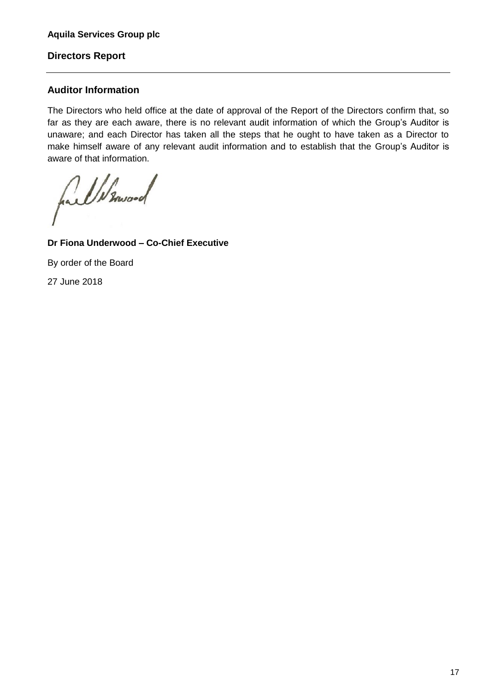# **Auditor Information**

The Directors who held office at the date of approval of the Report of the Directors confirm that, so far as they are each aware, there is no relevant audit information of which the Group's Auditor is unaware; and each Director has taken all the steps that he ought to have taken as a Director to make himself aware of any relevant audit information and to establish that the Group's Auditor is aware of that information.

fail W mood

# **Dr Fiona Underwood – Co-Chief Executive**

By order of the Board

27 June 2018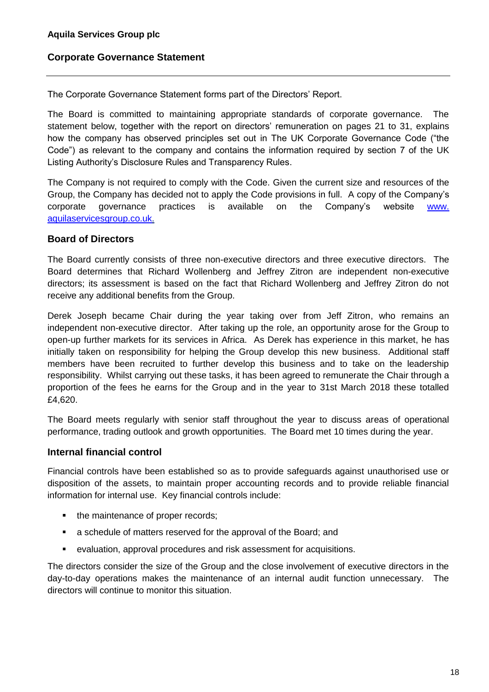# **Corporate Governance Statement**

The Corporate Governance Statement forms part of the Directors' Report.

The Board is committed to maintaining appropriate standards of corporate governance. The statement below, together with the report on directors' remuneration on pages 21 to 31, explains how the company has observed principles set out in The UK Corporate Governance Code ("the Code") as relevant to the company and contains the information required by section 7 of the UK Listing Authority's Disclosure Rules and Transparency Rules.

The Company is not required to comply with the Code. Given the current size and resources of the Group, the Company has decided not to apply the Code provisions in full. A copy of the Company's corporate governance practices is available on the Company's website [www.](http://www.aquilaservicesgroup.co.uk/) [aquilaservicesgroup.co.uk.](http://www.aquilaservicesgroup.co.uk/)

## **Board of Directors**

The Board currently consists of three non-executive directors and three executive directors. The Board determines that Richard Wollenberg and Jeffrey Zitron are independent non-executive directors; its assessment is based on the fact that Richard Wollenberg and Jeffrey Zitron do not receive any additional benefits from the Group.

Derek Joseph became Chair during the year taking over from Jeff Zitron, who remains an independent non-executive director. After taking up the role, an opportunity arose for the Group to open-up further markets for its services in Africa. As Derek has experience in this market, he has initially taken on responsibility for helping the Group develop this new business. Additional staff members have been recruited to further develop this business and to take on the leadership responsibility. Whilst carrying out these tasks, it has been agreed to remunerate the Chair through a proportion of the fees he earns for the Group and in the year to 31st March 2018 these totalled £4,620.

The Board meets regularly with senior staff throughout the year to discuss areas of operational performance, trading outlook and growth opportunities. The Board met 10 times during the year.

# **Internal financial control**

Financial controls have been established so as to provide safeguards against unauthorised use or disposition of the assets, to maintain proper accounting records and to provide reliable financial information for internal use. Key financial controls include:

- the maintenance of proper records;
- a schedule of matters reserved for the approval of the Board; and
- evaluation, approval procedures and risk assessment for acquisitions.

The directors consider the size of the Group and the close involvement of executive directors in the day-to-day operations makes the maintenance of an internal audit function unnecessary. The directors will continue to monitor this situation.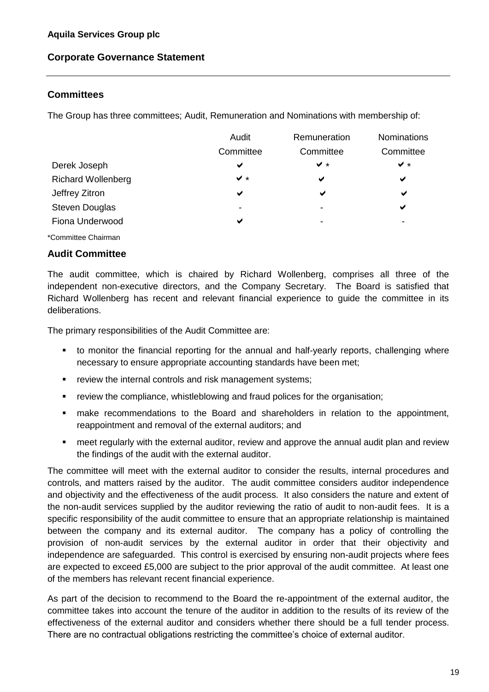# **Corporate Governance Statement**

# **Committees**

The Group has three committees; Audit, Remuneration and Nominations with membership of:

|                           | Audit     | Remuneration   | Nominations  |
|---------------------------|-----------|----------------|--------------|
|                           | Committee | Committee      | Committee    |
| Derek Joseph              | ✔         | $\checkmark$ * | $\vee$ *     |
| <b>Richard Wollenberg</b> | $\vee$ *  | ✔              | ✔            |
| Jeffrey Zitron            | ✔         | ✔              | $\checkmark$ |
| <b>Steven Douglas</b>     | ۰         |                | ✔            |
| Fiona Underwood           | ✔         | -              | -            |
| *Committee Chairman.      |           |                |              |

#### **Audit Committee**

The audit committee, which is chaired by Richard Wollenberg, comprises all three of the independent non-executive directors, and the Company Secretary. The Board is satisfied that Richard Wollenberg has recent and relevant financial experience to guide the committee in its deliberations.

The primary responsibilities of the Audit Committee are:

- to monitor the financial reporting for the annual and half-yearly reports, challenging where necessary to ensure appropriate accounting standards have been met;
- **•** review the internal controls and risk management systems;
- review the compliance, whistleblowing and fraud polices for the organisation;
- make recommendations to the Board and shareholders in relation to the appointment, reappointment and removal of the external auditors; and
- meet regularly with the external auditor, review and approve the annual audit plan and review the findings of the audit with the external auditor.

The committee will meet with the external auditor to consider the results, internal procedures and controls, and matters raised by the auditor. The audit committee considers auditor independence and objectivity and the effectiveness of the audit process. It also considers the nature and extent of the non-audit services supplied by the auditor reviewing the ratio of audit to non-audit fees. It is a specific responsibility of the audit committee to ensure that an appropriate relationship is maintained between the company and its external auditor. The company has a policy of controlling the provision of non-audit services by the external auditor in order that their objectivity and independence are safeguarded. This control is exercised by ensuring non-audit projects where fees are expected to exceed £5,000 are subject to the prior approval of the audit committee. At least one of the members has relevant recent financial experience.

As part of the decision to recommend to the Board the re-appointment of the external auditor, the committee takes into account the tenure of the auditor in addition to the results of its review of the effectiveness of the external auditor and considers whether there should be a full tender process. There are no contractual obligations restricting the committee's choice of external auditor.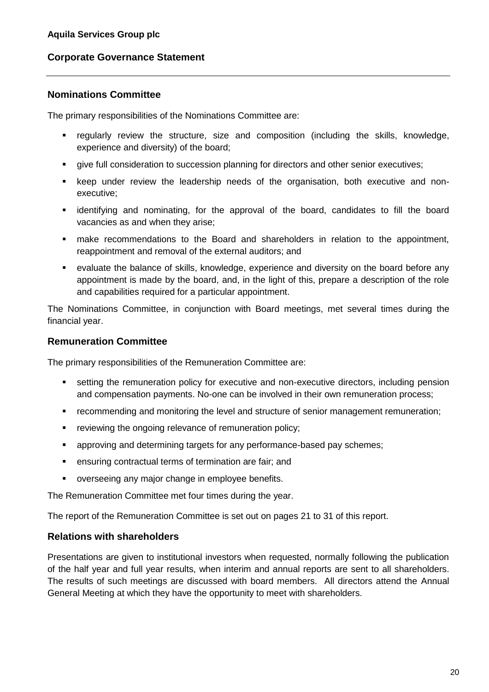# **Corporate Governance Statement**

## **Nominations Committee**

The primary responsibilities of the Nominations Committee are:

- regularly review the structure, size and composition (including the skills, knowledge, experience and diversity) of the board;
- **•** give full consideration to succession planning for directors and other senior executives;
- keep under review the leadership needs of the organisation, both executive and nonexecutive;
- identifying and nominating, for the approval of the board, candidates to fill the board vacancies as and when they arise;
- make recommendations to the Board and shareholders in relation to the appointment, reappointment and removal of the external auditors; and
- evaluate the balance of skills, knowledge, experience and diversity on the board before any appointment is made by the board, and, in the light of this, prepare a description of the role and capabilities required for a particular appointment.

The Nominations Committee, in conjunction with Board meetings, met several times during the financial year.

## **Remuneration Committee**

The primary responsibilities of the Remuneration Committee are:

- setting the remuneration policy for executive and non-executive directors, including pension and compensation payments. No-one can be involved in their own remuneration process;
- recommending and monitoring the level and structure of senior management remuneration;
- **•** reviewing the ongoing relevance of remuneration policy;
- **•** approving and determining targets for any performance-based pay schemes;
- ensuring contractual terms of termination are fair; and
- overseeing any major change in employee benefits.

The Remuneration Committee met four times during the year.

The report of the Remuneration Committee is set out on pages 21 to 31 of this report.

# **Relations with shareholders**

Presentations are given to institutional investors when requested, normally following the publication of the half year and full year results, when interim and annual reports are sent to all shareholders. The results of such meetings are discussed with board members. All directors attend the Annual General Meeting at which they have the opportunity to meet with shareholders.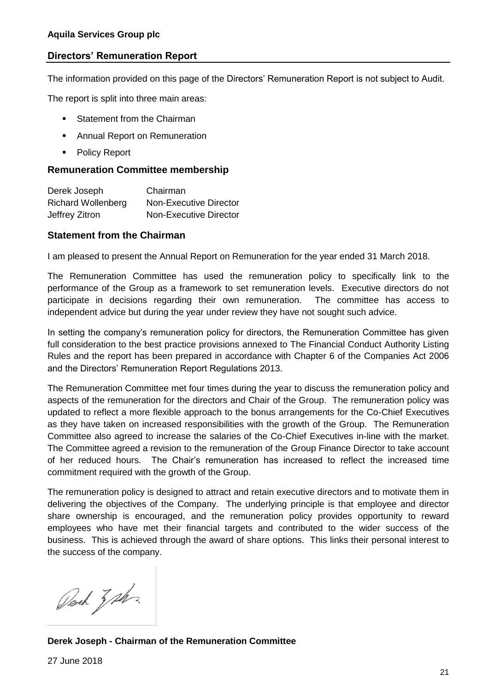The information provided on this page of the Directors' Remuneration Report is not subject to Audit.

The report is split into three main areas:

- Statement from the Chairman
- Annual Report on Remuneration
- Policy Report

#### **Remuneration Committee membership**

| Derek Joseph              | Chairman                      |
|---------------------------|-------------------------------|
| <b>Richard Wollenberg</b> | <b>Non-Executive Director</b> |
| Jeffrey Zitron            | <b>Non-Executive Director</b> |

#### **Statement from the Chairman**

I am pleased to present the Annual Report on Remuneration for the year ended 31 March 2018.

The Remuneration Committee has used the remuneration policy to specifically link to the performance of the Group as a framework to set remuneration levels. Executive directors do not participate in decisions regarding their own remuneration. The committee has access to independent advice but during the year under review they have not sought such advice.

In setting the company's remuneration policy for directors, the Remuneration Committee has given full consideration to the best practice provisions annexed to The Financial Conduct Authority Listing Rules and the report has been prepared in accordance with Chapter 6 of the Companies Act 2006 and the Directors' Remuneration Report Regulations 2013.

The Remuneration Committee met four times during the year to discuss the remuneration policy and aspects of the remuneration for the directors and Chair of the Group. The remuneration policy was updated to reflect a more flexible approach to the bonus arrangements for the Co-Chief Executives as they have taken on increased responsibilities with the growth of the Group. The Remuneration Committee also agreed to increase the salaries of the Co-Chief Executives in-line with the market. The Committee agreed a revision to the remuneration of the Group Finance Director to take account of her reduced hours. The Chair's remuneration has increased to reflect the increased time commitment required with the growth of the Group.

The remuneration policy is designed to attract and retain executive directors and to motivate them in delivering the objectives of the Company. The underlying principle is that employee and director share ownership is encouraged, and the remuneration policy provides opportunity to reward employees who have met their financial targets and contributed to the wider success of the business. This is achieved through the award of share options. This links their personal interest to the success of the company.

Derch 3 ph.

**Derek Joseph - Chairman of the Remuneration Committee**

27 June 2018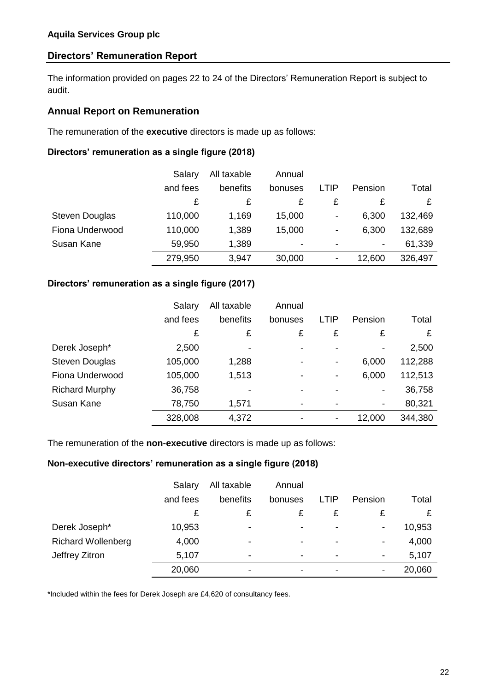The information provided on pages 22 to 24 of the Directors' Remuneration Report is subject to audit.

## **Annual Report on Remuneration**

The remuneration of the **executive** directors is made up as follows:

#### **Directors' remuneration as a single figure (2018)**

|                       | Salary   | All taxable | Annual  |                              |                |         |
|-----------------------|----------|-------------|---------|------------------------------|----------------|---------|
|                       | and fees | benefits    | bonuses | LTIP                         | Pension        | Total   |
|                       | £        | £           | £       | £                            | £              |         |
| <b>Steven Douglas</b> | 110,000  | 1,169       | 15,000  | $\qquad \qquad \blacksquare$ | 6,300          | 132,469 |
| Fiona Underwood       | 110,000  | 1,389       | 15,000  | $\qquad \qquad \blacksquare$ | 6,300          | 132,689 |
| Susan Kane            | 59,950   | 1,389       | ٠       | $\blacksquare$               | $\blacksquare$ | 61,339  |
|                       | 279,950  | 3,947       | 30,000  | ٠                            | 12,600         | 326,497 |

# **Directors' remuneration as a single figure (2017)**

|                       | Salary   | All taxable | Annual  |                          |                          |         |
|-----------------------|----------|-------------|---------|--------------------------|--------------------------|---------|
|                       | and fees | benefits    | bonuses | LTIP                     | Pension                  | Total   |
|                       | £        | £           | £       | £                        | £                        | £       |
| Derek Joseph*         | 2,500    |             |         |                          | ٠                        | 2,500   |
| <b>Steven Douglas</b> | 105,000  | 1,288       | -       | $\overline{\phantom{a}}$ | 6,000                    | 112,288 |
| Fiona Underwood       | 105,000  | 1,513       |         | $\overline{\phantom{a}}$ | 6,000                    | 112,513 |
| <b>Richard Murphy</b> | 36,758   |             |         |                          | $\overline{\phantom{a}}$ | 36,758  |
| Susan Kane            | 78,750   | 1,571       |         |                          | $\overline{\phantom{a}}$ | 80,321  |
|                       | 328,008  | 4,372       |         | $\blacksquare$           | 12,000                   | 344,380 |

The remuneration of the **non-executive** directors is made up as follows:

# **Non-executive directors' remuneration as a single figure (2018)**

|                           | Salary   | All taxable              | Annual  |                          |                          |        |
|---------------------------|----------|--------------------------|---------|--------------------------|--------------------------|--------|
|                           | and fees | benefits                 | bonuses | <b>LTIP</b>              | Pension                  | Total  |
|                           | £        | £                        | £       | £                        | £                        |        |
| Derek Joseph*             | 10,953   |                          |         |                          | $\overline{\phantom{a}}$ | 10,953 |
| <b>Richard Wollenberg</b> | 4,000    |                          | ۰       | $\,$                     | $\overline{\phantom{a}}$ | 4,000  |
| Jeffrey Zitron            | 5,107    | $\overline{\phantom{0}}$ | -       | $\overline{\phantom{0}}$ | $\overline{\phantom{a}}$ | 5,107  |
|                           | 20,060   |                          |         |                          |                          | 20,060 |

\*Included within the fees for Derek Joseph are £4,620 of consultancy fees.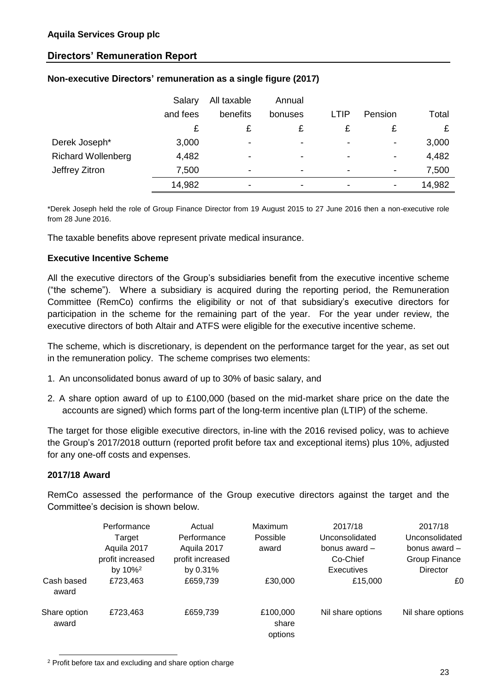|                           | Salary   | All taxable | Annual                   |                          |                          |        |
|---------------------------|----------|-------------|--------------------------|--------------------------|--------------------------|--------|
|                           | and fees | benefits    | bonuses                  | LTIP                     | Pension                  | Total  |
|                           | £        |             | £                        |                          | £                        |        |
| Derek Joseph*             | 3,000    | ۰           | $\overline{\phantom{a}}$ | ٠                        | -                        | 3,000  |
| <b>Richard Wollenberg</b> | 4,482    | -           | $\blacksquare$           | $\blacksquare$           | $\overline{\phantom{a}}$ | 4,482  |
| Jeffrey Zitron            | 7,500    | ۰           | $\overline{\phantom{a}}$ | $\overline{\phantom{a}}$ |                          | 7,500  |
|                           | 14,982   | ۰           | $\,$                     | $\,$                     |                          | 14,982 |

#### **Non-executive Directors' remuneration as a single figure (2017)**

\*Derek Joseph held the role of Group Finance Director from 19 August 2015 to 27 June 2016 then a non-executive role from 28 June 2016.

The taxable benefits above represent private medical insurance.

#### **Executive Incentive Scheme**

All the executive directors of the Group's subsidiaries benefit from the executive incentive scheme ("the scheme"). Where a subsidiary is acquired during the reporting period, the Remuneration Committee (RemCo) confirms the eligibility or not of that subsidiary's executive directors for participation in the scheme for the remaining part of the year. For the year under review, the executive directors of both Altair and ATFS were eligible for the executive incentive scheme.

The scheme, which is discretionary, is dependent on the performance target for the year, as set out in the remuneration policy. The scheme comprises two elements:

- 1. An unconsolidated bonus award of up to 30% of basic salary, and
- 2. A share option award of up to £100,000 (based on the mid-market share price on the date the accounts are signed) which forms part of the long-term incentive plan (LTIP) of the scheme.

The target for those eligible executive directors, in-line with the 2016 revised policy, was to achieve the Group's 2017/2018 outturn (reported profit before tax and exceptional items) plus 10%, adjusted for any one-off costs and expenses.

#### **2017/18 Award**

RemCo assessed the performance of the Group executive directors against the target and the Committee's decision is shown below.

|                       | Performance<br>Target<br>Aquila 2017<br>profit increased<br>by 10% <sup>2</sup> | Actual<br>Performance<br>Aquila 2017<br>profit increased<br>by 0.31% | Maximum<br>Possible<br>award | 2017/18<br>Unconsolidated<br>bonus award $-$<br>Co-Chief<br><b>Executives</b> | 2017/18<br>Unconsolidated<br>bonus award $-$<br>Group Finance<br>Director |
|-----------------------|---------------------------------------------------------------------------------|----------------------------------------------------------------------|------------------------------|-------------------------------------------------------------------------------|---------------------------------------------------------------------------|
| Cash based<br>award   | £723,463                                                                        | £659,739                                                             | £30,000                      | £15,000                                                                       | £0                                                                        |
| Share option<br>award | £723,463                                                                        | £659,739                                                             | £100,000<br>share<br>options | Nil share options                                                             | Nil share options                                                         |

<sup>1</sup> <sup>2</sup> Profit before tax and excluding and share option charge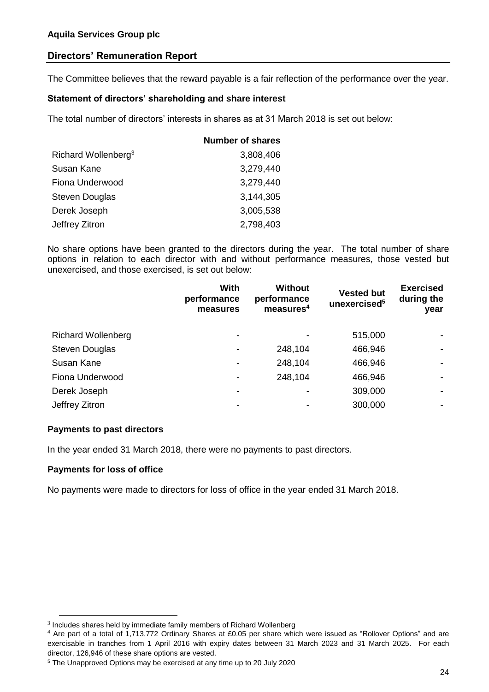The Committee believes that the reward payable is a fair reflection of the performance over the year.

#### **Statement of directors' shareholding and share interest**

The total number of directors' interests in shares as at 31 March 2018 is set out below:

| <b>Number of shares</b> |
|-------------------------|
| 3,808,406               |
| 3,279,440               |
| 3,279,440               |
| 3,144,305               |
| 3,005,538               |
| 2,798,403               |
|                         |

No share options have been granted to the directors during the year. The total number of share options in relation to each director with and without performance measures, those vested but unexercised, and those exercised, is set out below:

|                           | With<br>performance<br>measures | <b>Without</b><br>performance<br>measures <sup>4</sup> | <b>Vested but</b><br>unexercised <sup>5</sup> | <b>Exercised</b><br>during the<br>year |
|---------------------------|---------------------------------|--------------------------------------------------------|-----------------------------------------------|----------------------------------------|
| <b>Richard Wollenberg</b> | -                               |                                                        | 515,000                                       |                                        |
| <b>Steven Douglas</b>     |                                 | 248,104                                                | 466,946                                       |                                        |
| Susan Kane                |                                 | 248,104                                                | 466,946                                       |                                        |
| Fiona Underwood           |                                 | 248,104                                                | 466,946                                       |                                        |
| Derek Joseph              |                                 |                                                        | 309,000                                       |                                        |
| Jeffrey Zitron            |                                 |                                                        | 300,000                                       |                                        |
|                           |                                 |                                                        |                                               |                                        |

#### **Payments to past directors**

In the year ended 31 March 2018, there were no payments to past directors.

#### **Payments for loss of office**

-

No payments were made to directors for loss of office in the year ended 31 March 2018.

 $3$  Includes shares held by immediate family members of Richard Wollenberg

<sup>4</sup> Are part of a total of 1,713,772 Ordinary Shares at £0.05 per share which were issued as "Rollover Options" and are exercisable in tranches from 1 April 2016 with expiry dates between 31 March 2023 and 31 March 2025. For each director, 126,946 of these share options are vested.

<sup>5</sup> The Unapproved Options may be exercised at any time up to 20 July 2020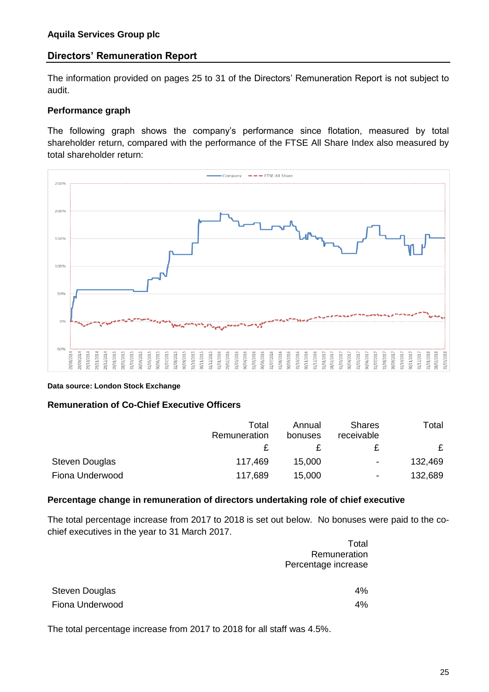The information provided on pages 25 to 31 of the Directors' Remuneration Report is not subject to audit.

## **Performance graph**

The following graph shows the company's performance since flotation, measured by total shareholder return, compared with the performance of the FTSE All Share Index also measured by total shareholder return:



#### **Data source: London Stock Exchange**

#### **Remuneration of Co-Chief Executive Officers**

|                 | Total        | Annual  | <b>Shares</b>            | Total   |
|-----------------|--------------|---------|--------------------------|---------|
|                 | Remuneration | bonuses | receivable               |         |
|                 |              |         |                          |         |
| Steven Douglas  | 117,469      | 15,000  | $\overline{\phantom{a}}$ | 132,469 |
| Fiona Underwood | 117,689      | 15,000  | $\overline{\phantom{0}}$ | 132,689 |

#### **Percentage change in remuneration of directors undertaking role of chief executive**

The total percentage increase from 2017 to 2018 is set out below. No bonuses were paid to the cochief executives in the year to 31 March 2017.

|                       | Total               |
|-----------------------|---------------------|
|                       | Remuneration        |
|                       | Percentage increase |
| <b>Steven Douglas</b> | 4%                  |
| Fiona Underwood       | 4%                  |

The total percentage increase from 2017 to 2018 for all staff was 4.5%.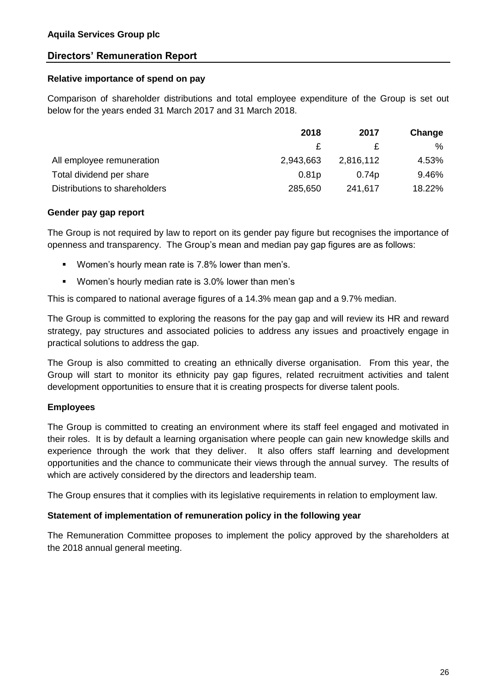#### **Relative importance of spend on pay**

Comparison of shareholder distributions and total employee expenditure of the Group is set out below for the years ended 31 March 2017 and 31 March 2018.

|                               | 2018              | 2017              | Change |
|-------------------------------|-------------------|-------------------|--------|
|                               |                   | £                 | ℅      |
| All employee remuneration     | 2,943,663         | 2,816,112         | 4.53%  |
| Total dividend per share      | 0.81 <sub>p</sub> | 0.74 <sub>p</sub> | 9.46%  |
| Distributions to shareholders | 285,650           | 241,617           | 18.22% |

## **Gender pay gap report**

The Group is not required by law to report on its gender pay figure but recognises the importance of openness and transparency. The Group's mean and median pay gap figures are as follows:

- Women's hourly mean rate is 7.8% lower than men's.
- Women's hourly median rate is 3.0% lower than men's

This is compared to national average figures of a 14.3% mean gap and a 9.7% median.

The Group is committed to exploring the reasons for the pay gap and will review its HR and reward strategy, pay structures and associated policies to address any issues and proactively engage in practical solutions to address the gap.

The Group is also committed to creating an ethnically diverse organisation. From this year, the Group will start to monitor its ethnicity pay gap figures, related recruitment activities and talent development opportunities to ensure that it is creating prospects for diverse talent pools.

# **Employees**

The Group is committed to creating an environment where its staff feel engaged and motivated in their roles. It is by default a learning organisation where people can gain new knowledge skills and experience through the work that they deliver. It also offers staff learning and development opportunities and the chance to communicate their views through the annual survey. The results of which are actively considered by the directors and leadership team.

The Group ensures that it complies with its legislative requirements in relation to employment law.

# **Statement of implementation of remuneration policy in the following year**

The Remuneration Committee proposes to implement the policy approved by the shareholders at the 2018 annual general meeting.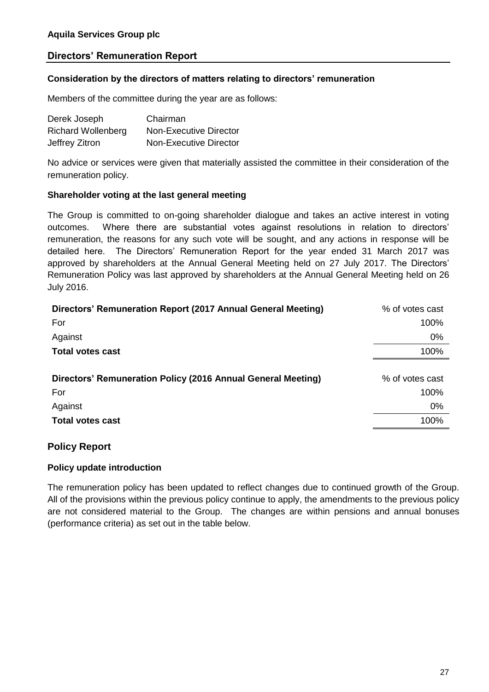#### **Consideration by the directors of matters relating to directors' remuneration**

Members of the committee during the year are as follows:

| Derek Joseph              | Chairman               |
|---------------------------|------------------------|
| <b>Richard Wollenberg</b> | Non-Executive Director |
| Jeffrey Zitron            | Non-Executive Director |

No advice or services were given that materially assisted the committee in their consideration of the remuneration policy.

#### **Shareholder voting at the last general meeting**

The Group is committed to on-going shareholder dialogue and takes an active interest in voting outcomes. Where there are substantial votes against resolutions in relation to directors' remuneration, the reasons for any such vote will be sought, and any actions in response will be detailed here. The Directors' Remuneration Report for the year ended 31 March 2017 was approved by shareholders at the Annual General Meeting held on 27 July 2017. The Directors' Remuneration Policy was last approved by shareholders at the Annual General Meeting held on 26 July 2016.

| Directors' Remuneration Report (2017 Annual General Meeting) | % of votes cast |
|--------------------------------------------------------------|-----------------|
| For                                                          | 100%            |
| Against                                                      | $0\%$           |
| <b>Total votes cast</b>                                      | 100%            |
|                                                              |                 |
|                                                              |                 |
| Directors' Remuneration Policy (2016 Annual General Meeting) | % of votes cast |
| For                                                          | 100%            |
| Against                                                      | 0%              |

# **Policy Report**

#### **Policy update introduction**

The remuneration policy has been updated to reflect changes due to continued growth of the Group. All of the provisions within the previous policy continue to apply, the amendments to the previous policy are not considered material to the Group. The changes are within pensions and annual bonuses (performance criteria) as set out in the table below.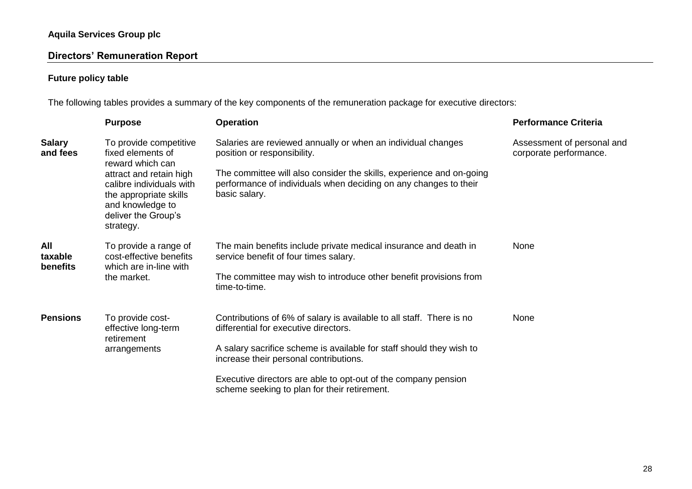# **Aquila Services Group plc**

# **Directors' Remuneration Report**

# **Future policy table**

The following tables provides a summary of the key components of the remuneration package for executive directors:

|                            | <b>Purpose</b>                                                                                                                                                                                           | <b>Operation</b>                                                                                                                                          | <b>Performance Criteria</b>                          |
|----------------------------|----------------------------------------------------------------------------------------------------------------------------------------------------------------------------------------------------------|-----------------------------------------------------------------------------------------------------------------------------------------------------------|------------------------------------------------------|
| <b>Salary</b><br>and fees  | To provide competitive<br>fixed elements of<br>reward which can<br>attract and retain high<br>calibre individuals with<br>the appropriate skills<br>and knowledge to<br>deliver the Group's<br>strategy. | Salaries are reviewed annually or when an individual changes<br>position or responsibility.                                                               | Assessment of personal and<br>corporate performance. |
|                            |                                                                                                                                                                                                          | The committee will also consider the skills, experience and on-going<br>performance of individuals when deciding on any changes to their<br>basic salary. |                                                      |
| All<br>taxable<br>benefits | To provide a range of<br>cost-effective benefits<br>which are in-line with<br>the market.                                                                                                                | The main benefits include private medical insurance and death in<br>service benefit of four times salary.                                                 | None                                                 |
|                            |                                                                                                                                                                                                          | The committee may wish to introduce other benefit provisions from<br>time-to-time.                                                                        |                                                      |
| <b>Pensions</b>            | To provide cost-<br>effective long-term<br>retirement<br>arrangements                                                                                                                                    | Contributions of 6% of salary is available to all staff. There is no<br>differential for executive directors.                                             | None                                                 |
|                            |                                                                                                                                                                                                          | A salary sacrifice scheme is available for staff should they wish to<br>increase their personal contributions.                                            |                                                      |
|                            |                                                                                                                                                                                                          | Executive directors are able to opt-out of the company pension<br>scheme seeking to plan for their retirement.                                            |                                                      |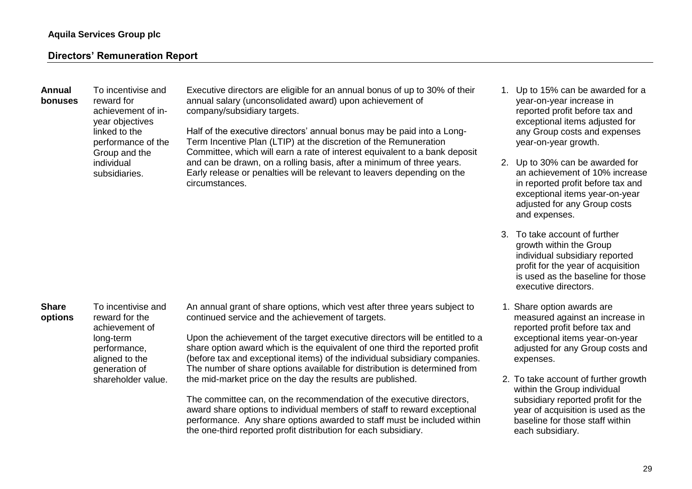| Annual<br>bonuses | To incentivise and<br>reward for<br>achievement of in-<br>year objectives | Executive directors are eligible for an annual bonus of up to 30% of their<br>annual salary (unconsolidated award) upon achievement of<br>company/subsidiary targets.                                                    | Up to 1<br>year-on<br>reported      |
|-------------------|---------------------------------------------------------------------------|--------------------------------------------------------------------------------------------------------------------------------------------------------------------------------------------------------------------------|-------------------------------------|
|                   | linked to the<br>performance of the<br>Group and the                      | Half of the executive directors' annual bonus may be paid into a Long-<br>Term Incentive Plan (LTIP) at the discretion of the Remuneration<br>Committee, which will earn a rate of interest equivalent to a bank deposit | exceptio<br>any Gro<br>year-on      |
|                   | individual<br>subsidiaries.                                               | and can be drawn, on a rolling basis, after a minimum of three years.<br>Early release or penalties will be relevant to leavers depending on the<br>circumstances.                                                       | 2. Up to $3$<br>an achi<br>in repor |

**Share options**

To incentivise and reward for the achievement of long-term performance, aligned to the generation of shareholder value. An annual grant of share options, which vest after three years subject to continued service and the achievement of targets.

Upon the achievement of the target executive directors will be entitled to a share option award which is the equivalent of one third the reported profit (before tax and exceptional items) of the individual subsidiary companies. The number of share options available for distribution is determined from the mid-market price on the day the results are published.

The committee can, on the recommendation of the executive directors, award share options to individual members of staff to reward exceptional performance. Any share options awarded to staff must be included within the one-third reported profit distribution for each subsidiary.

- 5% can be awarded for a year increase in d profit before tax and onal items adjusted for oup costs and expenses i-year growth.
- $0\%$  can be awarded for evement of 10% increase rted profit before tax and exceptional items year-on-year adjusted for any Group costs and expenses.
- 3. To take account of further growth within the Group individual subsidiary reported profit for the year of acquisition is used as the baseline for those executive directors.
- 1. Share option awards are measured against an increase in reported profit before tax and exceptional items year-on-year adjusted for any Group costs and expenses.
- 2. To take account of further growth within the Group individual subsidiary reported profit for the year of acquisition is used as the baseline for those staff within each subsidiary.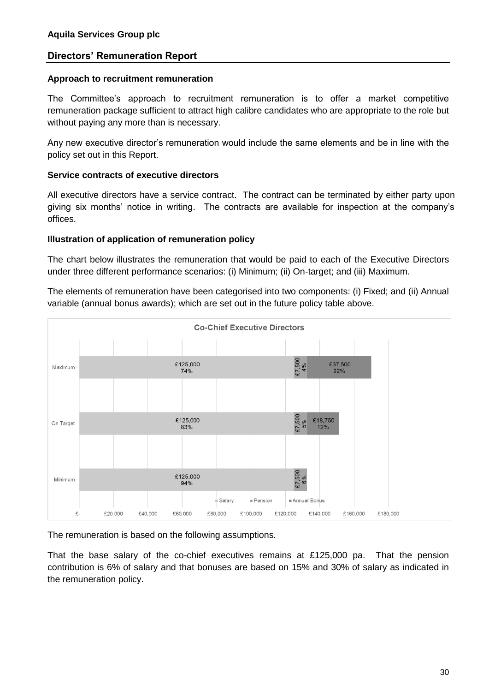#### **Approach to recruitment remuneration**

The Committee's approach to recruitment remuneration is to offer a market competitive remuneration package sufficient to attract high calibre candidates who are appropriate to the role but without paying any more than is necessary.

Any new executive director's remuneration would include the same elements and be in line with the policy set out in this Report.

#### **Service contracts of executive directors**

All executive directors have a service contract. The contract can be terminated by either party upon giving six months' notice in writing. The contracts are available for inspection at the company's offices.

#### **Illustration of application of remuneration policy**

The chart below illustrates the remuneration that would be paid to each of the Executive Directors under three different performance scenarios: (i) Minimum; (ii) On-target; and (iii) Maximum.

The elements of remuneration have been categorised into two components: (i) Fixed; and (ii) Annual variable (annual bonus awards); which are set out in the future policy table above.



The remuneration is based on the following assumptions.

That the base salary of the co-chief executives remains at £125,000 pa. That the pension contribution is 6% of salary and that bonuses are based on 15% and 30% of salary as indicated in the remuneration policy.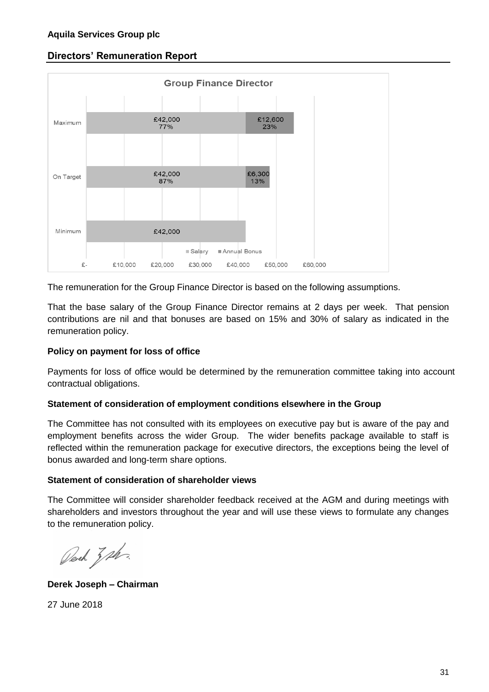

The remuneration for the Group Finance Director is based on the following assumptions.

That the base salary of the Group Finance Director remains at 2 days per week. That pension contributions are nil and that bonuses are based on 15% and 30% of salary as indicated in the remuneration policy.

#### **Policy on payment for loss of office**

Payments for loss of office would be determined by the remuneration committee taking into account contractual obligations.

#### **Statement of consideration of employment conditions elsewhere in the Group**

The Committee has not consulted with its employees on executive pay but is aware of the pay and employment benefits across the wider Group. The wider benefits package available to staff is reflected within the remuneration package for executive directors, the exceptions being the level of bonus awarded and long-term share options.

#### **Statement of consideration of shareholder views**

The Committee will consider shareholder feedback received at the AGM and during meetings with shareholders and investors throughout the year and will use these views to formulate any changes to the remuneration policy.

Perch 3 ph.

**Derek Joseph – Chairman**

27 June 2018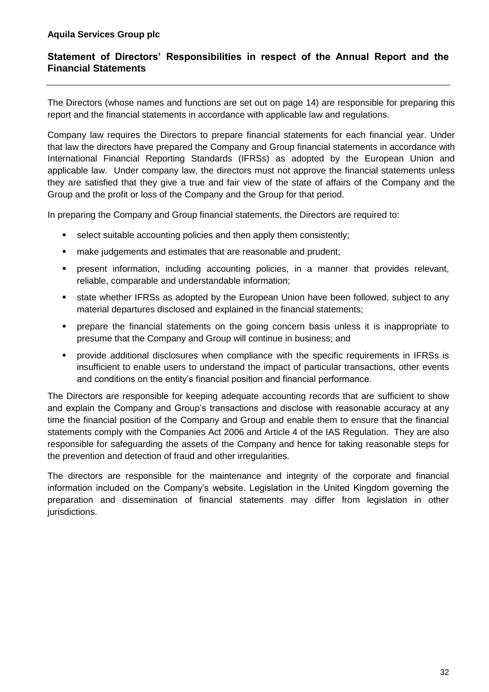# **Statement of Directors' Responsibilities in respect of the Annual Report and the Financial Statements**

The Directors (whose names and functions are set out on page 14) are responsible for preparing this report and the financial statements in accordance with applicable law and regulations.

Company law requires the Directors to prepare financial statements for each financial year. Under that law the directors have prepared the Company and Group financial statements in accordance with International Financial Reporting Standards (IFRSs) as adopted by the European Union and applicable law. Under company law, the directors must not approve the financial statements unless they are satisfied that they give a true and fair view of the state of affairs of the Company and the Group and the profit or loss of the Company and the Group for that period.

In preparing the Company and Group financial statements, the Directors are required to:

- select suitable accounting policies and then apply them consistently;
- make judgements and estimates that are reasonable and prudent;
- present information, including accounting policies, in a manner that provides relevant, reliable, comparable and understandable information;
- state whether IFRSs as adopted by the European Union have been followed, subject to any material departures disclosed and explained in the financial statements;
- **•** prepare the financial statements on the going concern basis unless it is inappropriate to presume that the Company and Group will continue in business; and
- provide additional disclosures when compliance with the specific requirements in IFRSs is insufficient to enable users to understand the impact of particular transactions, other events and conditions on the entity's financial position and financial performance.

The Directors are responsible for keeping adequate accounting records that are sufficient to show and explain the Company and Group's transactions and disclose with reasonable accuracy at any time the financial position of the Company and Group and enable them to ensure that the financial statements comply with the Companies Act 2006 and Article 4 of the IAS Regulation. They are also responsible for safeguarding the assets of the Company and hence for taking reasonable steps for the prevention and detection of fraud and other irregularities.

The directors are responsible for the maintenance and integrity of the corporate and financial information included on the Company's website. Legislation in the United Kingdom governing the preparation and dissemination of financial statements may differ from legislation in other jurisdictions.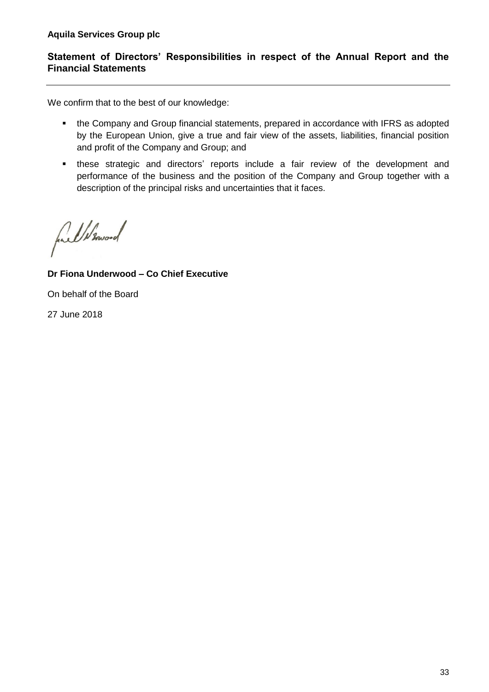# **Statement of Directors' Responsibilities in respect of the Annual Report and the Financial Statements**

We confirm that to the best of our knowledge:

- the Company and Group financial statements, prepared in accordance with IFRS as adopted by the European Union, give a true and fair view of the assets, liabilities, financial position and profit of the Company and Group; and
- these strategic and directors' reports include a fair review of the development and performance of the business and the position of the Company and Group together with a description of the principal risks and uncertainties that it faces.

fuel browned

# **Dr Fiona Underwood – Co Chief Executive**

On behalf of the Board

27 June 2018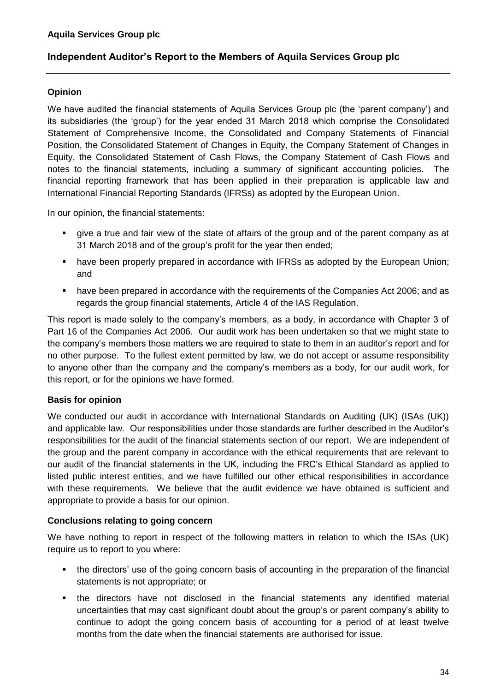# **Independent Auditor's Report to the Members of Aquila Services Group plc**

# **Opinion**

We have audited the financial statements of Aquila Services Group plc (the 'parent company') and its subsidiaries (the 'group') for the year ended 31 March 2018 which comprise the Consolidated Statement of Comprehensive Income, the Consolidated and Company Statements of Financial Position, the Consolidated Statement of Changes in Equity, the Company Statement of Changes in Equity, the Consolidated Statement of Cash Flows, the Company Statement of Cash Flows and notes to the financial statements, including a summary of significant accounting policies. The financial reporting framework that has been applied in their preparation is applicable law and International Financial Reporting Standards (IFRSs) as adopted by the European Union.

In our opinion, the financial statements:

- give a true and fair view of the state of affairs of the group and of the parent company as at 31 March 2018 and of the group's profit for the year then ended;
- have been properly prepared in accordance with IFRSs as adopted by the European Union; and
- have been prepared in accordance with the requirements of the Companies Act 2006; and as regards the group financial statements, Article 4 of the IAS Regulation.

This report is made solely to the company's members, as a body, in accordance with Chapter 3 of Part 16 of the Companies Act 2006. Our audit work has been undertaken so that we might state to the company's members those matters we are required to state to them in an auditor's report and for no other purpose. To the fullest extent permitted by law, we do not accept or assume responsibility to anyone other than the company and the company's members as a body, for our audit work, for this report, or for the opinions we have formed.

# **Basis for opinion**

We conducted our audit in accordance with International Standards on Auditing (UK) (ISAs (UK)) and applicable law. Our responsibilities under those standards are further described in the Auditor's responsibilities for the audit of the financial statements section of our report. We are independent of the group and the parent company in accordance with the ethical requirements that are relevant to our audit of the financial statements in the UK, including the FRC's Ethical Standard as applied to listed public interest entities, and we have fulfilled our other ethical responsibilities in accordance with these requirements. We believe that the audit evidence we have obtained is sufficient and appropriate to provide a basis for our opinion.

#### **Conclusions relating to going concern**

We have nothing to report in respect of the following matters in relation to which the ISAs (UK) require us to report to you where:

- the directors' use of the going concern basis of accounting in the preparation of the financial statements is not appropriate; or
- the directors have not disclosed in the financial statements any identified material uncertainties that may cast significant doubt about the group's or parent company's ability to continue to adopt the going concern basis of accounting for a period of at least twelve months from the date when the financial statements are authorised for issue.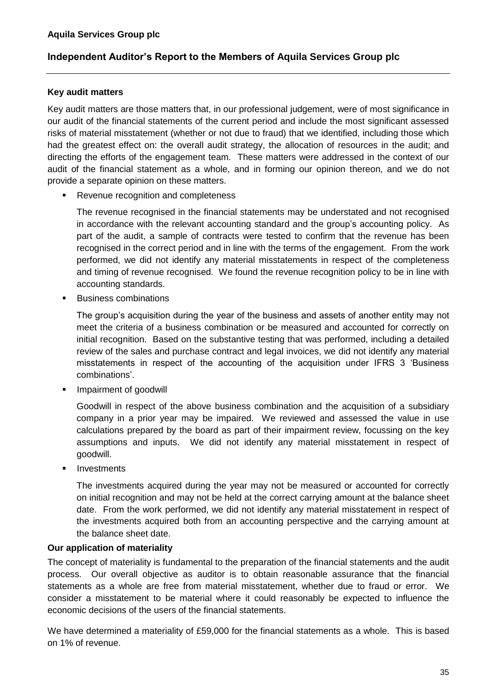### **Key audit matters**

Key audit matters are those matters that, in our professional judgement, were of most significance in our audit of the financial statements of the current period and include the most significant assessed risks of material misstatement (whether or not due to fraud) that we identified, including those which had the greatest effect on: the overall audit strategy, the allocation of resources in the audit; and directing the efforts of the engagement team. These matters were addressed in the context of our audit of the financial statement as a whole, and in forming our opinion thereon, and we do not provide a separate opinion on these matters.

Revenue recognition and completeness

The revenue recognised in the financial statements may be understated and not recognised in accordance with the relevant accounting standard and the group's accounting policy. As part of the audit, a sample of contracts were tested to confirm that the revenue has been recognised in the correct period and in line with the terms of the engagement. From the work performed, we did not identify any material misstatements in respect of the completeness and timing of revenue recognised. We found the revenue recognition policy to be in line with accounting standards.

**Business combinations** 

The group's acquisition during the year of the business and assets of another entity may not meet the criteria of a business combination or be measured and accounted for correctly on initial recognition. Based on the substantive testing that was performed, including a detailed review of the sales and purchase contract and legal invoices, we did not identify any material misstatements in respect of the accounting of the acquisition under IFRS 3 'Business combinations'.

Impairment of goodwill

Goodwill in respect of the above business combination and the acquisition of a subsidiary company in a prior year may be impaired. We reviewed and assessed the value in use calculations prepared by the board as part of their impairment review, focussing on the key assumptions and inputs. We did not identify any material misstatement in respect of goodwill.

**Investments** 

The investments acquired during the year may not be measured or accounted for correctly on initial recognition and may not be held at the correct carrying amount at the balance sheet date. From the work performed, we did not identify any material misstatement in respect of the investments acquired both from an accounting perspective and the carrying amount at the balance sheet date.

### **Our application of materiality**

The concept of materiality is fundamental to the preparation of the financial statements and the audit process. Our overall objective as auditor is to obtain reasonable assurance that the financial statements as a whole are free from material misstatement, whether due to fraud or error. We consider a misstatement to be material where it could reasonably be expected to influence the economic decisions of the users of the financial statements.

We have determined a materiality of £59,000 for the financial statements as a whole. This is based on 1% of revenue.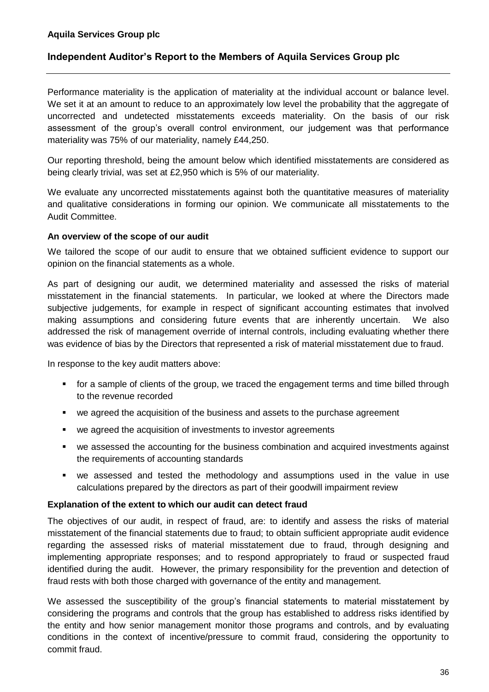Performance materiality is the application of materiality at the individual account or balance level. We set it at an amount to reduce to an approximately low level the probability that the aggregate of uncorrected and undetected misstatements exceeds materiality. On the basis of our risk assessment of the group's overall control environment, our judgement was that performance materiality was 75% of our materiality, namely £44,250.

Our reporting threshold, being the amount below which identified misstatements are considered as being clearly trivial, was set at £2,950 which is 5% of our materiality.

We evaluate any uncorrected misstatements against both the quantitative measures of materiality and qualitative considerations in forming our opinion. We communicate all misstatements to the Audit Committee.

#### **An overview of the scope of our audit**

We tailored the scope of our audit to ensure that we obtained sufficient evidence to support our opinion on the financial statements as a whole.

As part of designing our audit, we determined materiality and assessed the risks of material misstatement in the financial statements. In particular, we looked at where the Directors made subjective judgements, for example in respect of significant accounting estimates that involved making assumptions and considering future events that are inherently uncertain. We also addressed the risk of management override of internal controls, including evaluating whether there was evidence of bias by the Directors that represented a risk of material misstatement due to fraud.

In response to the key audit matters above:

- for a sample of clients of the group, we traced the engagement terms and time billed through to the revenue recorded
- we agreed the acquisition of the business and assets to the purchase agreement
- we agreed the acquisition of investments to investor agreements
- we assessed the accounting for the business combination and acquired investments against the requirements of accounting standards
- we assessed and tested the methodology and assumptions used in the value in use calculations prepared by the directors as part of their goodwill impairment review

### **Explanation of the extent to which our audit can detect fraud**

The objectives of our audit, in respect of fraud, are: to identify and assess the risks of material misstatement of the financial statements due to fraud; to obtain sufficient appropriate audit evidence regarding the assessed risks of material misstatement due to fraud, through designing and implementing appropriate responses; and to respond appropriately to fraud or suspected fraud identified during the audit. However, the primary responsibility for the prevention and detection of fraud rests with both those charged with governance of the entity and management.

We assessed the susceptibility of the group's financial statements to material misstatement by considering the programs and controls that the group has established to address risks identified by the entity and how senior management monitor those programs and controls, and by evaluating conditions in the context of incentive/pressure to commit fraud, considering the opportunity to commit fraud.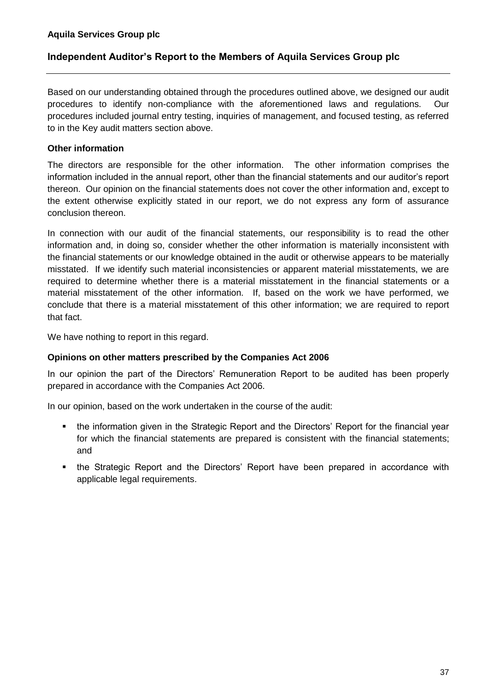Based on our understanding obtained through the procedures outlined above, we designed our audit procedures to identify non-compliance with the aforementioned laws and regulations. Our procedures included journal entry testing, inquiries of management, and focused testing, as referred to in the Key audit matters section above.

### **Other information**

The directors are responsible for the other information. The other information comprises the information included in the annual report, other than the financial statements and our auditor's report thereon. Our opinion on the financial statements does not cover the other information and, except to the extent otherwise explicitly stated in our report, we do not express any form of assurance conclusion thereon.

In connection with our audit of the financial statements, our responsibility is to read the other information and, in doing so, consider whether the other information is materially inconsistent with the financial statements or our knowledge obtained in the audit or otherwise appears to be materially misstated. If we identify such material inconsistencies or apparent material misstatements, we are required to determine whether there is a material misstatement in the financial statements or a material misstatement of the other information. If, based on the work we have performed, we conclude that there is a material misstatement of this other information; we are required to report that fact.

We have nothing to report in this regard.

### **Opinions on other matters prescribed by the Companies Act 2006**

In our opinion the part of the Directors' Remuneration Report to be audited has been properly prepared in accordance with the Companies Act 2006.

In our opinion, based on the work undertaken in the course of the audit:

- the information given in the Strategic Report and the Directors' Report for the financial year for which the financial statements are prepared is consistent with the financial statements; and
- the Strategic Report and the Directors' Report have been prepared in accordance with applicable legal requirements.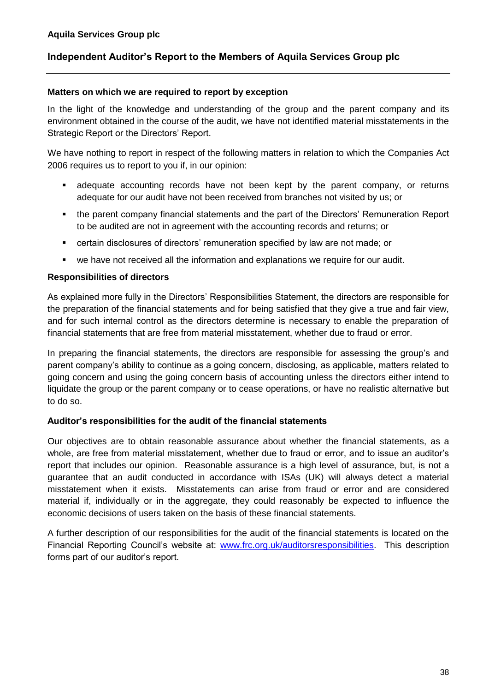### **Matters on which we are required to report by exception**

In the light of the knowledge and understanding of the group and the parent company and its environment obtained in the course of the audit, we have not identified material misstatements in the Strategic Report or the Directors' Report.

We have nothing to report in respect of the following matters in relation to which the Companies Act 2006 requires us to report to you if, in our opinion:

- adequate accounting records have not been kept by the parent company, or returns adequate for our audit have not been received from branches not visited by us; or
- the parent company financial statements and the part of the Directors' Remuneration Report to be audited are not in agreement with the accounting records and returns; or
- certain disclosures of directors' remuneration specified by law are not made; or
- we have not received all the information and explanations we require for our audit.

### **Responsibilities of directors**

As explained more fully in the Directors' Responsibilities Statement, the directors are responsible for the preparation of the financial statements and for being satisfied that they give a true and fair view, and for such internal control as the directors determine is necessary to enable the preparation of financial statements that are free from material misstatement, whether due to fraud or error.

In preparing the financial statements, the directors are responsible for assessing the group's and parent company's ability to continue as a going concern, disclosing, as applicable, matters related to going concern and using the going concern basis of accounting unless the directors either intend to liquidate the group or the parent company or to cease operations, or have no realistic alternative but to do so.

### **Auditor's responsibilities for the audit of the financial statements**

Our objectives are to obtain reasonable assurance about whether the financial statements, as a whole, are free from material misstatement, whether due to fraud or error, and to issue an auditor's report that includes our opinion. Reasonable assurance is a high level of assurance, but, is not a guarantee that an audit conducted in accordance with ISAs (UK) will always detect a material misstatement when it exists. Misstatements can arise from fraud or error and are considered material if, individually or in the aggregate, they could reasonably be expected to influence the economic decisions of users taken on the basis of these financial statements.

A further description of our responsibilities for the audit of the financial statements is located on the Financial Reporting Council's website at: [www.frc.org.uk/auditorsresponsibilities.](http://www.frc.org.uk/auditorsresponsibilities) This description forms part of our auditor's report.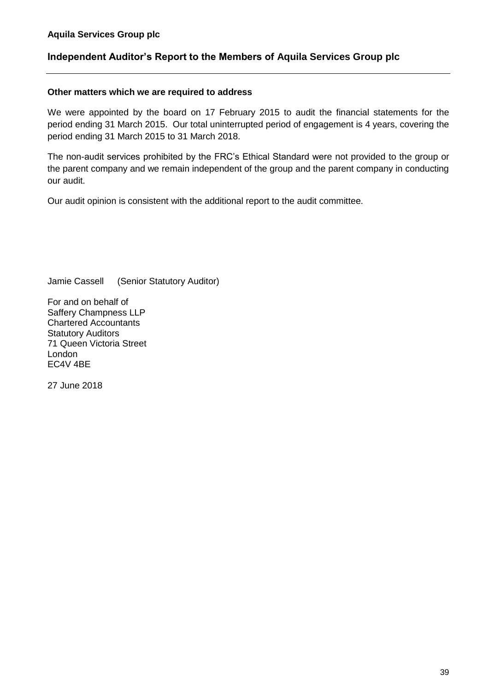#### **Other matters which we are required to address**

We were appointed by the board on 17 February 2015 to audit the financial statements for the period ending 31 March 2015. Our total uninterrupted period of engagement is 4 years, covering the period ending 31 March 2015 to 31 March 2018.

The non-audit services prohibited by the FRC's Ethical Standard were not provided to the group or the parent company and we remain independent of the group and the parent company in conducting our audit.

Our audit opinion is consistent with the additional report to the audit committee.

Jamie Cassell (Senior Statutory Auditor)

For and on behalf of Saffery Champness LLP Chartered Accountants Statutory Auditors 71 Queen Victoria Street London EC4V 4BE

27 June 2018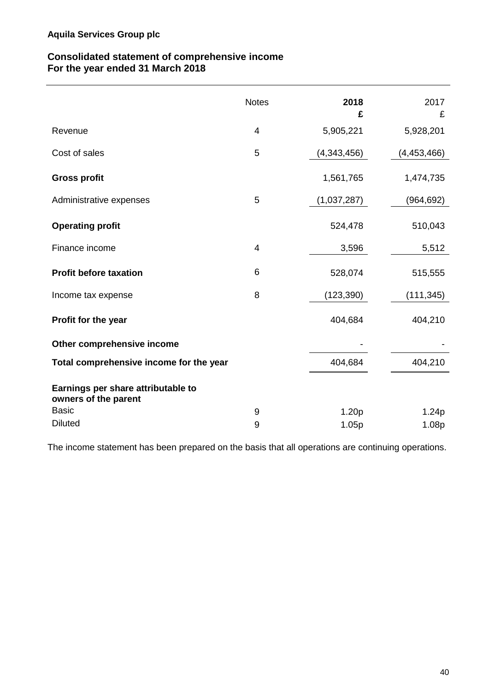# **Consolidated statement of comprehensive income For the year ended 31 March 2018**

|                                                            | <b>Notes</b>   | 2018<br>£   | 2017<br>£     |
|------------------------------------------------------------|----------------|-------------|---------------|
| Revenue                                                    | $\overline{4}$ | 5,905,221   | 5,928,201     |
| Cost of sales                                              | 5              | (4,343,456) | (4, 453, 466) |
| <b>Gross profit</b>                                        |                | 1,561,765   | 1,474,735     |
| Administrative expenses                                    | 5              | (1,037,287) | (964, 692)    |
| <b>Operating profit</b>                                    |                | 524,478     | 510,043       |
| Finance income                                             | 4              | 3,596       | 5,512         |
| <b>Profit before taxation</b>                              | 6              | 528,074     | 515,555       |
| Income tax expense                                         | 8              | (123, 390)  | (111, 345)    |
| Profit for the year                                        |                | 404,684     | 404,210       |
| Other comprehensive income                                 |                |             |               |
| Total comprehensive income for the year                    |                | 404,684     | 404,210       |
| Earnings per share attributable to<br>owners of the parent |                |             |               |
| <b>Basic</b>                                               | 9              | 1.20p       | 1.24p         |
| <b>Diluted</b>                                             | 9              | 1.05p       | 1.08p         |

The income statement has been prepared on the basis that all operations are continuing operations.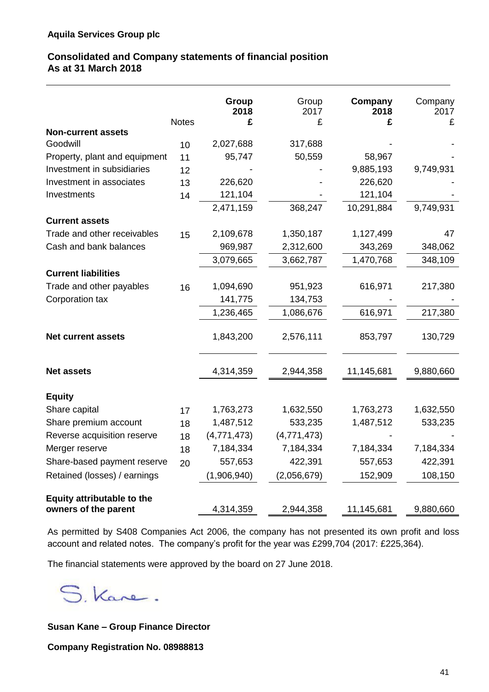# **Consolidated and Company statements of financial position As at 31 March 2018**

|                                   |              | Group<br>2018 | Group<br>2017 | Company<br>2018 | Company<br>2017 |
|-----------------------------------|--------------|---------------|---------------|-----------------|-----------------|
| <b>Non-current assets</b>         | <b>Notes</b> | £             | £             | £               | £               |
| Goodwill                          | 10           | 2,027,688     | 317,688       |                 |                 |
| Property, plant and equipment     | 11           | 95,747        | 50,559        | 58,967          |                 |
| Investment in subsidiaries        | 12           |               |               | 9,885,193       | 9,749,931       |
| Investment in associates          | 13           | 226,620       |               | 226,620         |                 |
| Investments                       | 14           | 121,104       |               | 121,104         |                 |
|                                   |              | 2,471,159     | 368,247       | 10,291,884      | 9,749,931       |
| <b>Current assets</b>             |              |               |               |                 |                 |
| Trade and other receivables       | 15           | 2,109,678     | 1,350,187     | 1,127,499       | 47              |
| Cash and bank balances            |              | 969,987       | 2,312,600     | 343,269         | 348,062         |
|                                   |              | 3,079,665     | 3,662,787     | 1,470,768       | 348,109         |
| <b>Current liabilities</b>        |              |               |               |                 |                 |
| Trade and other payables          | 16           | 1,094,690     | 951,923       | 616,971         | 217,380         |
| Corporation tax                   |              | 141,775       | 134,753       |                 |                 |
|                                   |              | 1,236,465     | 1,086,676     | 616,971         | 217,380         |
| <b>Net current assets</b>         |              | 1,843,200     | 2,576,111     | 853,797         | 130,729         |
| <b>Net assets</b>                 |              | 4,314,359     | 2,944,358     | 11,145,681      | 9,880,660       |
| <b>Equity</b>                     |              |               |               |                 |                 |
| Share capital                     | 17           | 1,763,273     | 1,632,550     | 1,763,273       | 1,632,550       |
| Share premium account             | 18           | 1,487,512     | 533,235       | 1,487,512       | 533,235         |
| Reverse acquisition reserve       | 18           | (4,771,473)   | (4,771,473)   |                 |                 |
| Merger reserve                    | 18           | 7,184,334     | 7,184,334     | 7,184,334       | 7,184,334       |
| Share-based payment reserve       | 20           | 557,653       | 422,391       | 557,653         | 422,391         |
| Retained (losses) / earnings      |              | (1,906,940)   | (2,056,679)   | 152,909         | 108,150         |
| <b>Equity attributable to the</b> |              |               |               |                 |                 |
| owners of the parent              |              | 4,314,359     | 2,944,358     | 11,145,681      | 9,880,660       |

As permitted by S408 Companies Act 2006, the company has not presented its own profit and loss account and related notes. The company's profit for the year was £299,704 (2017: £225,364).

The financial statements were approved by the board on 27 June 2018.

S. Kane.

**Susan Kane – Group Finance Director**

**Company Registration No. 08988813**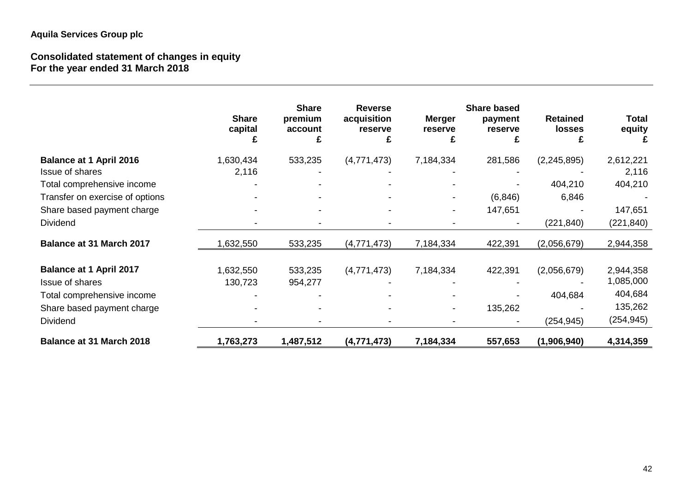# **Aquila Services Group plc**

### **Consolidated statement of changes in equity For the year ended 31 March 2018**

|                                 | <b>Share</b><br>capital<br>£ | <b>Share</b><br>premium<br>account | <b>Reverse</b><br>acquisition<br>reserve | <b>Merger</b><br>reserve<br>£ | <b>Share based</b><br>payment<br>reserve<br>£ | <b>Retained</b><br>losses<br>£ | Total<br>equity |
|---------------------------------|------------------------------|------------------------------------|------------------------------------------|-------------------------------|-----------------------------------------------|--------------------------------|-----------------|
| <b>Balance at 1 April 2016</b>  | 1,630,434                    | 533,235                            | (4,771,473)                              | 7,184,334                     | 281,586                                       | (2, 245, 895)                  | 2,612,221       |
| Issue of shares                 | 2,116                        |                                    |                                          |                               |                                               |                                | 2,116           |
| Total comprehensive income      |                              |                                    |                                          |                               |                                               | 404,210                        | 404,210         |
| Transfer on exercise of options |                              |                                    |                                          |                               | (6, 846)                                      | 6,846                          |                 |
| Share based payment charge      |                              |                                    |                                          |                               | 147,651                                       |                                | 147,651         |
| Dividend                        |                              |                                    |                                          |                               |                                               | (221, 840)                     | (221, 840)      |
| <b>Balance at 31 March 2017</b> | 1,632,550                    | 533,235                            | (4, 771, 473)                            | 7,184,334                     | 422,391                                       | (2,056,679)                    | 2,944,358       |
| <b>Balance at 1 April 2017</b>  | 1,632,550                    | 533,235                            | (4,771,473)                              | 7,184,334                     | 422,391                                       | (2,056,679)                    | 2,944,358       |
| Issue of shares                 | 130,723                      | 954,277                            |                                          |                               |                                               |                                | 1,085,000       |
| Total comprehensive income      |                              |                                    |                                          |                               |                                               | 404,684                        | 404,684         |
| Share based payment charge      |                              |                                    |                                          |                               | 135,262                                       |                                | 135,262         |
| <b>Dividend</b>                 |                              |                                    |                                          |                               |                                               | (254, 945)                     | (254, 945)      |
| <b>Balance at 31 March 2018</b> | 1,763,273                    | 1,487,512                          | (4,771,473)                              | 7,184,334                     | 557,653                                       | (1,906,940)                    | 4,314,359       |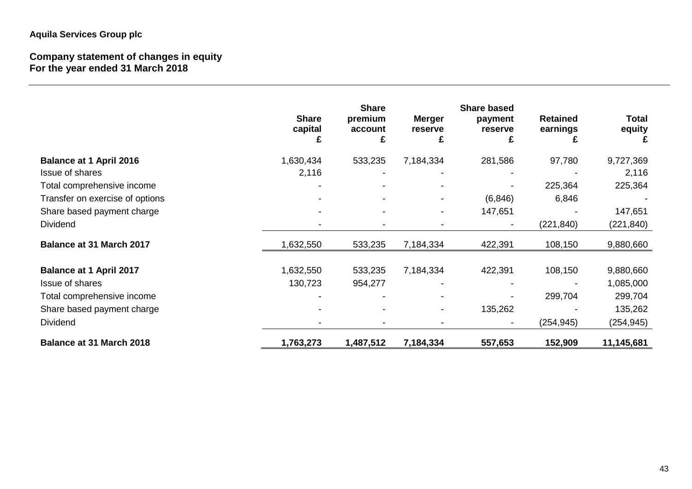# **Aquila Services Group plc**

### **Company statement of changes in equity For the year ended 31 March 2018**

|                                 | <b>Share</b><br>capital<br>£ | <b>Share</b><br>premium<br>account<br>£ | <b>Merger</b><br>reserve<br>£ | <b>Share based</b><br>payment<br>reserve<br>£ | <b>Retained</b><br>earnings | <b>Total</b><br>equity<br>£ |
|---------------------------------|------------------------------|-----------------------------------------|-------------------------------|-----------------------------------------------|-----------------------------|-----------------------------|
| <b>Balance at 1 April 2016</b>  | 1,630,434                    | 533,235                                 | 7,184,334                     | 281,586                                       | 97,780                      | 9,727,369                   |
| <b>Issue of shares</b>          | 2,116                        |                                         |                               |                                               |                             | 2,116                       |
| Total comprehensive income      |                              |                                         |                               |                                               | 225,364                     | 225,364                     |
| Transfer on exercise of options |                              |                                         |                               | (6, 846)                                      | 6,846                       |                             |
| Share based payment charge      |                              |                                         | -                             | 147,651                                       |                             | 147,651                     |
| <b>Dividend</b>                 |                              |                                         |                               |                                               | (221, 840)                  | (221, 840)                  |
| <b>Balance at 31 March 2017</b> | 1,632,550                    | 533,235                                 | 7,184,334                     | 422,391                                       | 108,150                     | 9,880,660                   |
| <b>Balance at 1 April 2017</b>  | 1,632,550                    | 533,235                                 | 7,184,334                     | 422,391                                       | 108,150                     | 9,880,660                   |
| <b>Issue of shares</b>          | 130,723                      | 954,277                                 |                               |                                               |                             | 1,085,000                   |
| Total comprehensive income      |                              |                                         |                               |                                               | 299,704                     | 299,704                     |
| Share based payment charge      |                              |                                         |                               | 135,262                                       |                             | 135,262                     |
| <b>Dividend</b>                 |                              |                                         |                               |                                               | (254, 945)                  | (254, 945)                  |
| <b>Balance at 31 March 2018</b> | 1,763,273                    | 1,487,512                               | 7,184,334                     | 557,653                                       | 152,909                     | 11,145,681                  |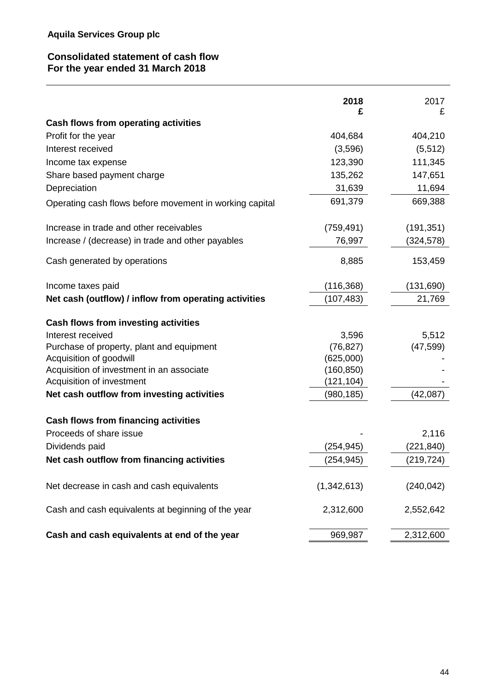# **Consolidated statement of cash flow For the year ended 31 March 2018**

|                                                         | 2018<br>£   | 2017<br>£  |
|---------------------------------------------------------|-------------|------------|
| Cash flows from operating activities                    |             |            |
| Profit for the year                                     | 404,684     | 404,210    |
| Interest received                                       | (3,596)     | (5, 512)   |
| Income tax expense                                      | 123,390     | 111,345    |
| Share based payment charge                              | 135,262     | 147,651    |
| Depreciation                                            | 31,639      | 11,694     |
| Operating cash flows before movement in working capital | 691,379     | 669,388    |
| Increase in trade and other receivables                 | (759, 491)  | (191, 351) |
| Increase / (decrease) in trade and other payables       | 76,997      | (324, 578) |
| Cash generated by operations                            | 8,885       | 153,459    |
| Income taxes paid                                       | (116, 368)  | (131, 690) |
| Net cash (outflow) / inflow from operating activities   | (107, 483)  | 21,769     |
| Cash flows from investing activities                    |             |            |
| Interest received                                       | 3,596       | 5,512      |
| Purchase of property, plant and equipment               | (76, 827)   | (47, 599)  |
| Acquisition of goodwill                                 | (625,000)   |            |
| Acquisition of investment in an associate               | (160, 850)  |            |
| Acquisition of investment                               | (121, 104)  |            |
| Net cash outflow from investing activities              | (980, 185)  | (42, 087)  |
| Cash flows from financing activities                    |             |            |
| Proceeds of share issue                                 |             | 2,116      |
| Dividends paid                                          | (254, 945)  | (221, 840) |
| Net cash outflow from financing activities              | (254, 945)  | (219, 724) |
| Net decrease in cash and cash equivalents               | (1,342,613) | (240, 042) |
| Cash and cash equivalents at beginning of the year      | 2,312,600   | 2,552,642  |
| Cash and cash equivalents at end of the year            | 969,987     | 2,312,600  |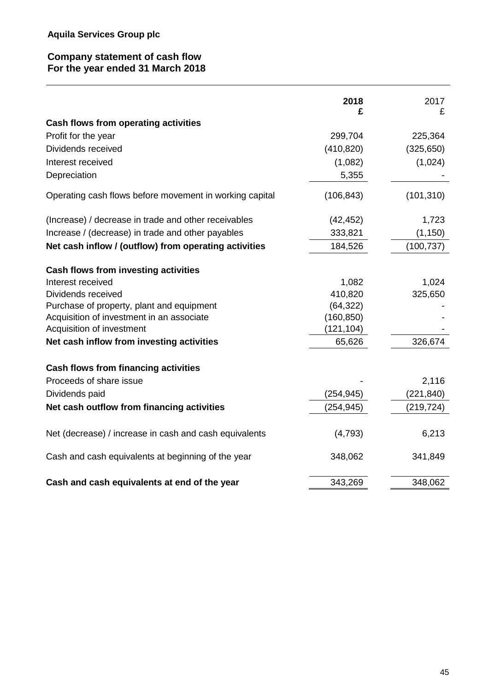# **Company statement of cash flow For the year ended 31 March 2018**

|                                                         | 2018<br>£  | 2017<br>£  |
|---------------------------------------------------------|------------|------------|
| Cash flows from operating activities                    |            |            |
| Profit for the year                                     | 299,704    | 225,364    |
| Dividends received                                      | (410, 820) | (325, 650) |
| Interest received                                       | (1,082)    | (1,024)    |
| Depreciation                                            | 5,355      |            |
| Operating cash flows before movement in working capital | (106, 843) | (101, 310) |
| (Increase) / decrease in trade and other receivables    | (42, 452)  | 1,723      |
| Increase / (decrease) in trade and other payables       | 333,821    | (1, 150)   |
| Net cash inflow / (outflow) from operating activities   | 184,526    | (100, 737) |
| Cash flows from investing activities                    |            |            |
| Interest received                                       | 1,082      | 1,024      |
| Dividends received                                      | 410,820    | 325,650    |
| Purchase of property, plant and equipment               | (64, 322)  |            |
| Acquisition of investment in an associate               | (160, 850) |            |
| Acquisition of investment                               | (121, 104) |            |
| Net cash inflow from investing activities               | 65,626     | 326,674    |
| Cash flows from financing activities                    |            |            |
| Proceeds of share issue                                 |            | 2,116      |
| Dividends paid                                          | (254, 945) | (221, 840) |
| Net cash outflow from financing activities              | (254, 945) | (219, 724) |
| Net (decrease) / increase in cash and cash equivalents  | (4, 793)   | 6,213      |
| Cash and cash equivalents at beginning of the year      | 348,062    | 341,849    |
| Cash and cash equivalents at end of the year            | 343,269    | 348,062    |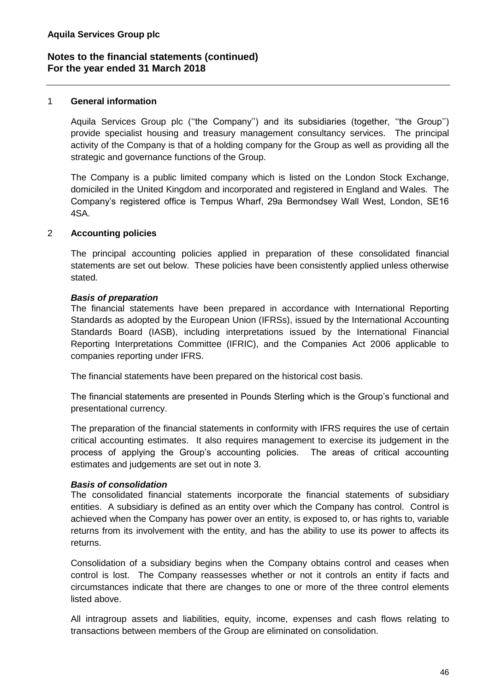### 1 **General information**

Aquila Services Group plc (''the Company'') and its subsidiaries (together, ''the Group'') provide specialist housing and treasury management consultancy services. The principal activity of the Company is that of a holding company for the Group as well as providing all the strategic and governance functions of the Group.

The Company is a public limited company which is listed on the London Stock Exchange, domiciled in the United Kingdom and incorporated and registered in England and Wales. The Company's registered office is Tempus Wharf, 29a Bermondsey Wall West, London, SE16 4SA.

### 2 **Accounting policies**

The principal accounting policies applied in preparation of these consolidated financial statements are set out below. These policies have been consistently applied unless otherwise stated.

### *Basis of preparation*

The financial statements have been prepared in accordance with International Reporting Standards as adopted by the European Union (IFRSs), issued by the International Accounting Standards Board (IASB), including interpretations issued by the International Financial Reporting Interpretations Committee (IFRIC), and the Companies Act 2006 applicable to companies reporting under IFRS.

The financial statements have been prepared on the historical cost basis.

The financial statements are presented in Pounds Sterling which is the Group's functional and presentational currency.

The preparation of the financial statements in conformity with IFRS requires the use of certain critical accounting estimates. It also requires management to exercise its judgement in the process of applying the Group's accounting policies. The areas of critical accounting estimates and judgements are set out in note 3.

### *Basis of consolidation*

The consolidated financial statements incorporate the financial statements of subsidiary entities. A subsidiary is defined as an entity over which the Company has control. Control is achieved when the Company has power over an entity, is exposed to, or has rights to, variable returns from its involvement with the entity, and has the ability to use its power to affects its returns.

Consolidation of a subsidiary begins when the Company obtains control and ceases when control is lost. The Company reassesses whether or not it controls an entity if facts and circumstances indicate that there are changes to one or more of the three control elements listed above.

All intragroup assets and liabilities, equity, income, expenses and cash flows relating to transactions between members of the Group are eliminated on consolidation.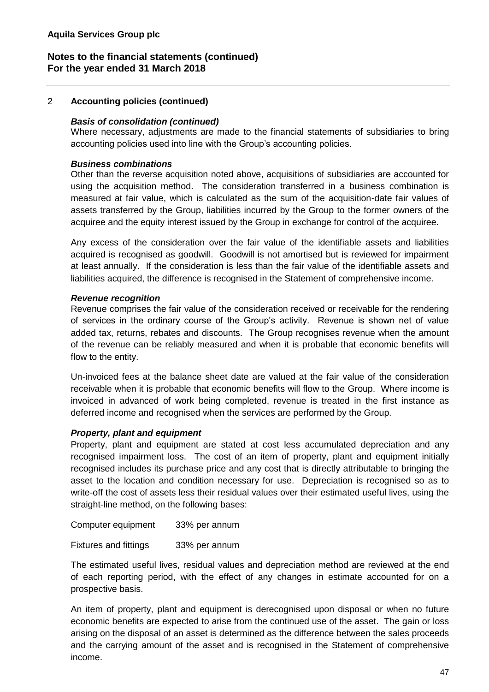# 2 **Accounting policies (continued)**

### *Basis of consolidation (continued)*

Where necessary, adjustments are made to the financial statements of subsidiaries to bring accounting policies used into line with the Group's accounting policies.

### *Business combinations*

Other than the reverse acquisition noted above, acquisitions of subsidiaries are accounted for using the acquisition method. The consideration transferred in a business combination is measured at fair value, which is calculated as the sum of the acquisition-date fair values of assets transferred by the Group, liabilities incurred by the Group to the former owners of the acquiree and the equity interest issued by the Group in exchange for control of the acquiree.

Any excess of the consideration over the fair value of the identifiable assets and liabilities acquired is recognised as goodwill. Goodwill is not amortised but is reviewed for impairment at least annually. If the consideration is less than the fair value of the identifiable assets and liabilities acquired, the difference is recognised in the Statement of comprehensive income.

### *Revenue recognition*

Revenue comprises the fair value of the consideration received or receivable for the rendering of services in the ordinary course of the Group's activity. Revenue is shown net of value added tax, returns, rebates and discounts. The Group recognises revenue when the amount of the revenue can be reliably measured and when it is probable that economic benefits will flow to the entity.

Un-invoiced fees at the balance sheet date are valued at the fair value of the consideration receivable when it is probable that economic benefits will flow to the Group. Where income is invoiced in advanced of work being completed, revenue is treated in the first instance as deferred income and recognised when the services are performed by the Group.

# *Property, plant and equipment*

Property, plant and equipment are stated at cost less accumulated depreciation and any recognised impairment loss. The cost of an item of property, plant and equipment initially recognised includes its purchase price and any cost that is directly attributable to bringing the asset to the location and condition necessary for use. Depreciation is recognised so as to write-off the cost of assets less their residual values over their estimated useful lives, using the straight-line method, on the following bases:

Computer equipment 33% per annum

Fixtures and fittings 33% per annum

The estimated useful lives, residual values and depreciation method are reviewed at the end of each reporting period, with the effect of any changes in estimate accounted for on a prospective basis.

An item of property, plant and equipment is derecognised upon disposal or when no future economic benefits are expected to arise from the continued use of the asset. The gain or loss arising on the disposal of an asset is determined as the difference between the sales proceeds and the carrying amount of the asset and is recognised in the Statement of comprehensive income.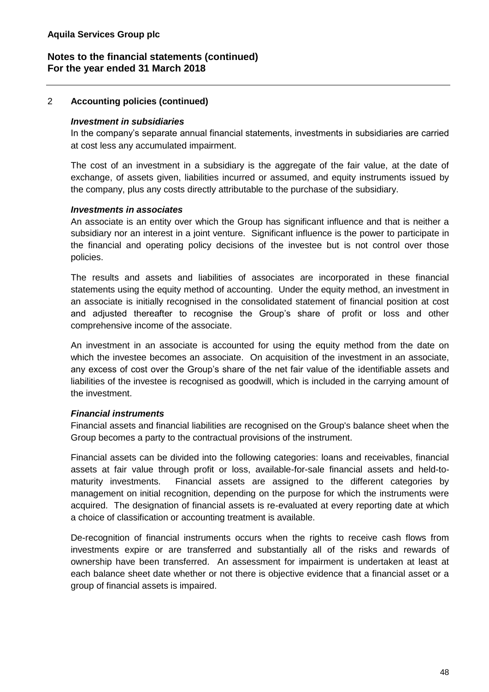### 2 **Accounting policies (continued)**

### *Investment in subsidiaries*

In the company's separate annual financial statements, investments in subsidiaries are carried at cost less any accumulated impairment.

The cost of an investment in a subsidiary is the aggregate of the fair value, at the date of exchange, of assets given, liabilities incurred or assumed, and equity instruments issued by the company, plus any costs directly attributable to the purchase of the subsidiary.

### *Investments in associates*

An associate is an entity over which the Group has significant influence and that is neither a subsidiary nor an interest in a joint venture. Significant influence is the power to participate in the financial and operating policy decisions of the investee but is not control over those policies.

The results and assets and liabilities of associates are incorporated in these financial statements using the equity method of accounting. Under the equity method, an investment in an associate is initially recognised in the consolidated statement of financial position at cost and adjusted thereafter to recognise the Group's share of profit or loss and other comprehensive income of the associate.

An investment in an associate is accounted for using the equity method from the date on which the investee becomes an associate. On acquisition of the investment in an associate, any excess of cost over the Group's share of the net fair value of the identifiable assets and liabilities of the investee is recognised as goodwill, which is included in the carrying amount of the investment.

# *Financial instruments*

Financial assets and financial liabilities are recognised on the Group's balance sheet when the Group becomes a party to the contractual provisions of the instrument.

Financial assets can be divided into the following categories: loans and receivables, financial assets at fair value through profit or loss, available-for-sale financial assets and held-tomaturity investments. Financial assets are assigned to the different categories by management on initial recognition, depending on the purpose for which the instruments were acquired. The designation of financial assets is re-evaluated at every reporting date at which a choice of classification or accounting treatment is available.

De-recognition of financial instruments occurs when the rights to receive cash flows from investments expire or are transferred and substantially all of the risks and rewards of ownership have been transferred. An assessment for impairment is undertaken at least at each balance sheet date whether or not there is objective evidence that a financial asset or a group of financial assets is impaired.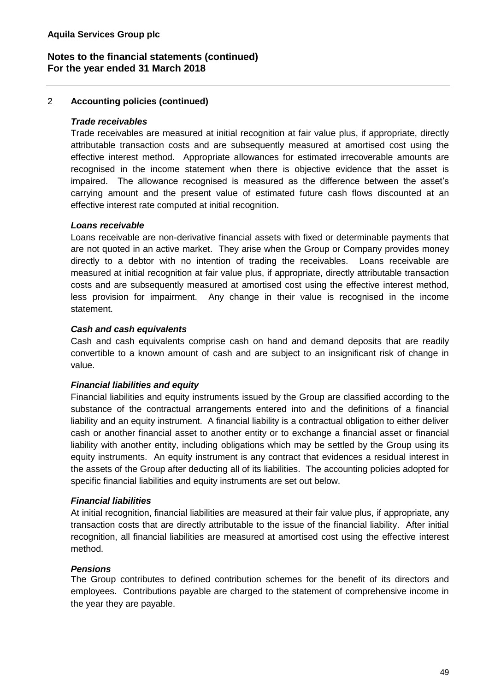# 2 **Accounting policies (continued)**

### *Trade receivables*

Trade receivables are measured at initial recognition at fair value plus, if appropriate, directly attributable transaction costs and are subsequently measured at amortised cost using the effective interest method. Appropriate allowances for estimated irrecoverable amounts are recognised in the income statement when there is objective evidence that the asset is impaired. The allowance recognised is measured as the difference between the asset's carrying amount and the present value of estimated future cash flows discounted at an effective interest rate computed at initial recognition.

### *Loans receivable*

Loans receivable are non-derivative financial assets with fixed or determinable payments that are not quoted in an active market. They arise when the Group or Company provides money directly to a debtor with no intention of trading the receivables. Loans receivable are measured at initial recognition at fair value plus, if appropriate, directly attributable transaction costs and are subsequently measured at amortised cost using the effective interest method, less provision for impairment. Any change in their value is recognised in the income statement.

# *Cash and cash equivalents*

Cash and cash equivalents comprise cash on hand and demand deposits that are readily convertible to a known amount of cash and are subject to an insignificant risk of change in value.

# *Financial liabilities and equity*

Financial liabilities and equity instruments issued by the Group are classified according to the substance of the contractual arrangements entered into and the definitions of a financial liability and an equity instrument. A financial liability is a contractual obligation to either deliver cash or another financial asset to another entity or to exchange a financial asset or financial liability with another entity, including obligations which may be settled by the Group using its equity instruments. An equity instrument is any contract that evidences a residual interest in the assets of the Group after deducting all of its liabilities. The accounting policies adopted for specific financial liabilities and equity instruments are set out below.

### *Financial liabilities*

At initial recognition, financial liabilities are measured at their fair value plus, if appropriate, any transaction costs that are directly attributable to the issue of the financial liability. After initial recognition, all financial liabilities are measured at amortised cost using the effective interest method.

# *Pensions*

The Group contributes to defined contribution schemes for the benefit of its directors and employees. Contributions payable are charged to the statement of comprehensive income in the year they are payable.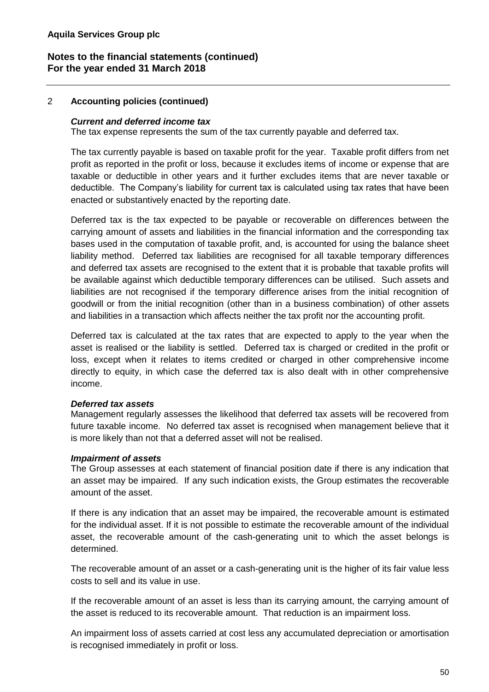# 2 **Accounting policies (continued)**

### *Current and deferred income tax*

The tax expense represents the sum of the tax currently payable and deferred tax.

The tax currently payable is based on taxable profit for the year. Taxable profit differs from net profit as reported in the profit or loss, because it excludes items of income or expense that are taxable or deductible in other years and it further excludes items that are never taxable or deductible. The Company's liability for current tax is calculated using tax rates that have been enacted or substantively enacted by the reporting date.

Deferred tax is the tax expected to be payable or recoverable on differences between the carrying amount of assets and liabilities in the financial information and the corresponding tax bases used in the computation of taxable profit, and, is accounted for using the balance sheet liability method. Deferred tax liabilities are recognised for all taxable temporary differences and deferred tax assets are recognised to the extent that it is probable that taxable profits will be available against which deductible temporary differences can be utilised. Such assets and liabilities are not recognised if the temporary difference arises from the initial recognition of goodwill or from the initial recognition (other than in a business combination) of other assets and liabilities in a transaction which affects neither the tax profit nor the accounting profit.

Deferred tax is calculated at the tax rates that are expected to apply to the year when the asset is realised or the liability is settled. Deferred tax is charged or credited in the profit or loss, except when it relates to items credited or charged in other comprehensive income directly to equity, in which case the deferred tax is also dealt with in other comprehensive income.

### *Deferred tax assets*

Management regularly assesses the likelihood that deferred tax assets will be recovered from future taxable income. No deferred tax asset is recognised when management believe that it is more likely than not that a deferred asset will not be realised.

### *Impairment of assets*

The Group assesses at each statement of financial position date if there is any indication that an asset may be impaired. If any such indication exists, the Group estimates the recoverable amount of the asset.

If there is any indication that an asset may be impaired, the recoverable amount is estimated for the individual asset. If it is not possible to estimate the recoverable amount of the individual asset, the recoverable amount of the cash-generating unit to which the asset belongs is determined.

The recoverable amount of an asset or a cash-generating unit is the higher of its fair value less costs to sell and its value in use.

If the recoverable amount of an asset is less than its carrying amount, the carrying amount of the asset is reduced to its recoverable amount. That reduction is an impairment loss.

An impairment loss of assets carried at cost less any accumulated depreciation or amortisation is recognised immediately in profit or loss.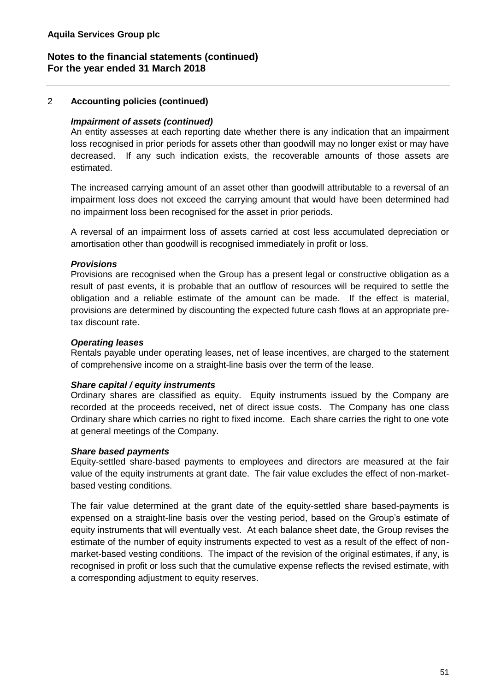# 2 **Accounting policies (continued)**

### *Impairment of assets (continued)*

An entity assesses at each reporting date whether there is any indication that an impairment loss recognised in prior periods for assets other than goodwill may no longer exist or may have decreased. If any such indication exists, the recoverable amounts of those assets are estimated.

The increased carrying amount of an asset other than goodwill attributable to a reversal of an impairment loss does not exceed the carrying amount that would have been determined had no impairment loss been recognised for the asset in prior periods.

A reversal of an impairment loss of assets carried at cost less accumulated depreciation or amortisation other than goodwill is recognised immediately in profit or loss.

### *Provisions*

Provisions are recognised when the Group has a present legal or constructive obligation as a result of past events, it is probable that an outflow of resources will be required to settle the obligation and a reliable estimate of the amount can be made. If the effect is material, provisions are determined by discounting the expected future cash flows at an appropriate pretax discount rate.

### *Operating leases*

Rentals payable under operating leases, net of lease incentives, are charged to the statement of comprehensive income on a straight-line basis over the term of the lease.

# *Share capital / equity instruments*

Ordinary shares are classified as equity. Equity instruments issued by the Company are recorded at the proceeds received, net of direct issue costs. The Company has one class Ordinary share which carries no right to fixed income. Each share carries the right to one vote at general meetings of the Company.

### *Share based payments*

Equity-settled share-based payments to employees and directors are measured at the fair value of the equity instruments at grant date. The fair value excludes the effect of non-marketbased vesting conditions.

The fair value determined at the grant date of the equity-settled share based-payments is expensed on a straight-line basis over the vesting period, based on the Group's estimate of equity instruments that will eventually vest. At each balance sheet date, the Group revises the estimate of the number of equity instruments expected to vest as a result of the effect of nonmarket-based vesting conditions. The impact of the revision of the original estimates, if any, is recognised in profit or loss such that the cumulative expense reflects the revised estimate, with a corresponding adjustment to equity reserves.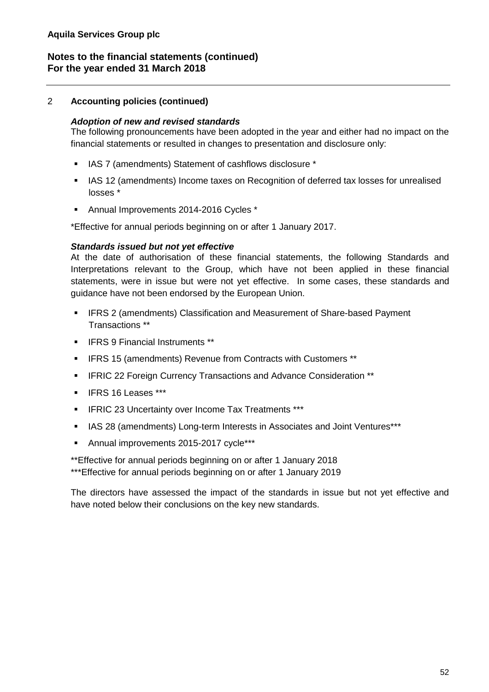# 2 **Accounting policies (continued)**

### *Adoption of new and revised standards*

The following pronouncements have been adopted in the year and either had no impact on the financial statements or resulted in changes to presentation and disclosure only:

- IAS 7 (amendments) Statement of cashflows disclosure \*
- IAS 12 (amendments) Income taxes on Recognition of deferred tax losses for unrealised losses \*
- Annual Improvements 2014-2016 Cycles \*

\*Effective for annual periods beginning on or after 1 January 2017.

### *Standards issued but not yet effective*

At the date of authorisation of these financial statements, the following Standards and Interpretations relevant to the Group, which have not been applied in these financial statements, were in issue but were not yet effective. In some cases, these standards and guidance have not been endorsed by the European Union.

- **IFRS 2 (amendments) Classification and Measurement of Share-based Payment** Transactions \*\*
- **EXECUTE:** IFRS 9 Financial Instruments \*\*
- IFRS 15 (amendments) Revenue from Contracts with Customers \*\*
- IFRIC 22 Foreign Currency Transactions and Advance Consideration \*\*
- IFRS 16 Leases \*\*\*
- IFRIC 23 Uncertainty over Income Tax Treatments \*\*\*
- IAS 28 (amendments) Long-term Interests in Associates and Joint Ventures\*\*\*
- Annual improvements 2015-2017 cycle\*\*\*

\*\*Effective for annual periods beginning on or after 1 January 2018 \*\*\*Effective for annual periods beginning on or after 1 January 2019

The directors have assessed the impact of the standards in issue but not yet effective and have noted below their conclusions on the key new standards.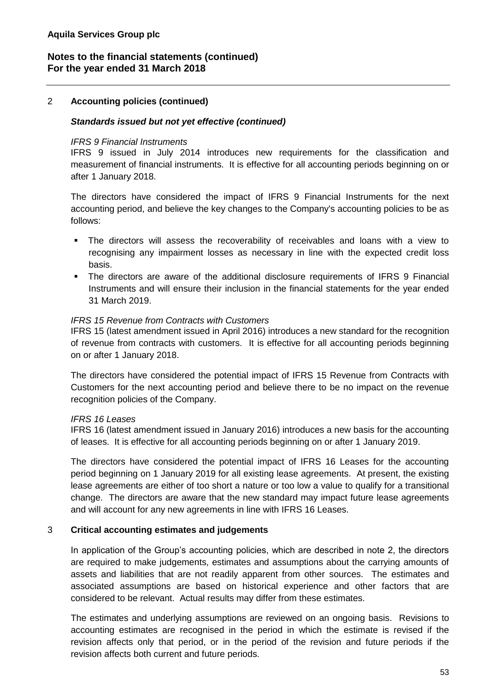# 2 **Accounting policies (continued)**

### *Standards issued but not yet effective (continued)*

#### *IFRS 9 Financial Instruments*

IFRS 9 issued in July 2014 introduces new requirements for the classification and measurement of financial instruments. It is effective for all accounting periods beginning on or after 1 January 2018.

The directors have considered the impact of IFRS 9 Financial Instruments for the next accounting period, and believe the key changes to the Company's accounting policies to be as follows:

- The directors will assess the recoverability of receivables and loans with a view to recognising any impairment losses as necessary in line with the expected credit loss basis.
- The directors are aware of the additional disclosure requirements of IFRS 9 Financial Instruments and will ensure their inclusion in the financial statements for the year ended 31 March 2019.

### *IFRS 15 Revenue from Contracts with Customers*

IFRS 15 (latest amendment issued in April 2016) introduces a new standard for the recognition of revenue from contracts with customers. It is effective for all accounting periods beginning on or after 1 January 2018.

The directors have considered the potential impact of IFRS 15 Revenue from Contracts with Customers for the next accounting period and believe there to be no impact on the revenue recognition policies of the Company.

### *IFRS 16 Leases*

IFRS 16 (latest amendment issued in January 2016) introduces a new basis for the accounting of leases. It is effective for all accounting periods beginning on or after 1 January 2019.

The directors have considered the potential impact of IFRS 16 Leases for the accounting period beginning on 1 January 2019 for all existing lease agreements. At present, the existing lease agreements are either of too short a nature or too low a value to qualify for a transitional change. The directors are aware that the new standard may impact future lease agreements and will account for any new agreements in line with IFRS 16 Leases.

### 3 **Critical accounting estimates and judgements**

In application of the Group's accounting policies, which are described in note 2, the directors are required to make judgements, estimates and assumptions about the carrying amounts of assets and liabilities that are not readily apparent from other sources. The estimates and associated assumptions are based on historical experience and other factors that are considered to be relevant. Actual results may differ from these estimates.

The estimates and underlying assumptions are reviewed on an ongoing basis. Revisions to accounting estimates are recognised in the period in which the estimate is revised if the revision affects only that period, or in the period of the revision and future periods if the revision affects both current and future periods.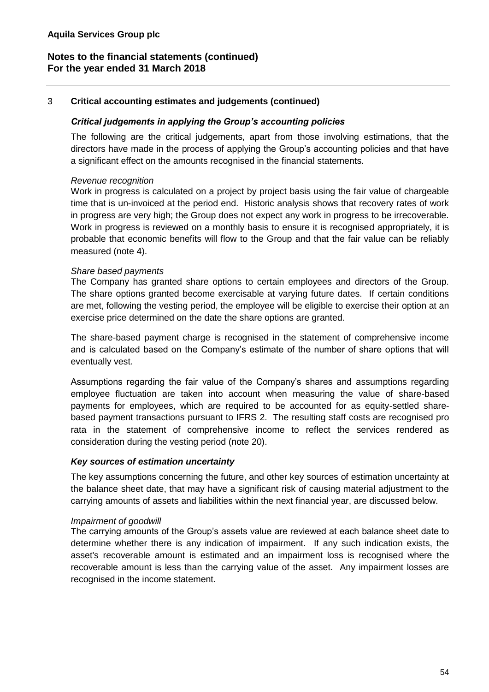### 3 **Critical accounting estimates and judgements (continued)**

### *Critical judgements in applying the Group's accounting policies*

The following are the critical judgements, apart from those involving estimations, that the directors have made in the process of applying the Group's accounting policies and that have a significant effect on the amounts recognised in the financial statements.

### *Revenue recognition*

Work in progress is calculated on a project by project basis using the fair value of chargeable time that is un-invoiced at the period end. Historic analysis shows that recovery rates of work in progress are very high; the Group does not expect any work in progress to be irrecoverable. Work in progress is reviewed on a monthly basis to ensure it is recognised appropriately, it is probable that economic benefits will flow to the Group and that the fair value can be reliably measured (note 4).

### *Share based payments*

The Company has granted share options to certain employees and directors of the Group. The share options granted become exercisable at varying future dates. If certain conditions are met, following the vesting period, the employee will be eligible to exercise their option at an exercise price determined on the date the share options are granted.

The share-based payment charge is recognised in the statement of comprehensive income and is calculated based on the Company's estimate of the number of share options that will eventually vest.

Assumptions regarding the fair value of the Company's shares and assumptions regarding employee fluctuation are taken into account when measuring the value of share-based payments for employees, which are required to be accounted for as equity-settled sharebased payment transactions pursuant to IFRS 2. The resulting staff costs are recognised pro rata in the statement of comprehensive income to reflect the services rendered as consideration during the vesting period (note 20).

### *Key sources of estimation uncertainty*

The key assumptions concerning the future, and other key sources of estimation uncertainty at the balance sheet date, that may have a significant risk of causing material adjustment to the carrying amounts of assets and liabilities within the next financial year, are discussed below.

### *Impairment of goodwill*

The carrying amounts of the Group's assets value are reviewed at each balance sheet date to determine whether there is any indication of impairment. If any such indication exists, the asset's recoverable amount is estimated and an impairment loss is recognised where the recoverable amount is less than the carrying value of the asset. Any impairment losses are recognised in the income statement.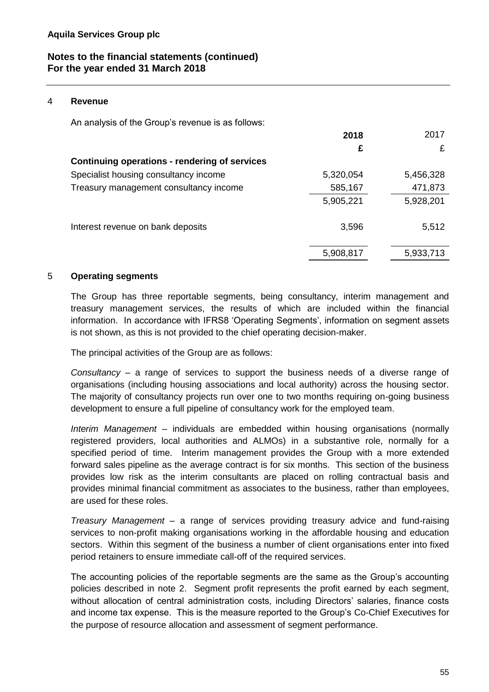### 4 **Revenue**

An analysis of the Group's revenue is as follows:

|                                                      | 2018      | 2017      |
|------------------------------------------------------|-----------|-----------|
|                                                      | £         | £         |
| <b>Continuing operations - rendering of services</b> |           |           |
| Specialist housing consultancy income                | 5,320,054 | 5,456,328 |
| Treasury management consultancy income               | 585,167   | 471,873   |
|                                                      | 5,905,221 | 5,928,201 |
| Interest revenue on bank deposits                    | 3,596     | 5,512     |
|                                                      | 5,908,817 | 5,933,713 |

### 5 **Operating segments**

The Group has three reportable segments, being consultancy, interim management and treasury management services, the results of which are included within the financial information. In accordance with IFRS8 'Operating Segments', information on segment assets is not shown, as this is not provided to the chief operating decision-maker.

The principal activities of the Group are as follows:

*Consultancy* – a range of services to support the business needs of a diverse range of organisations (including housing associations and local authority) across the housing sector. The majority of consultancy projects run over one to two months requiring on-going business development to ensure a full pipeline of consultancy work for the employed team.

*Interim Management* – individuals are embedded within housing organisations (normally registered providers, local authorities and ALMOs) in a substantive role, normally for a specified period of time. Interim management provides the Group with a more extended forward sales pipeline as the average contract is for six months. This section of the business provides low risk as the interim consultants are placed on rolling contractual basis and provides minimal financial commitment as associates to the business, rather than employees, are used for these roles.

*Treasury Management* – a range of services providing treasury advice and fund-raising services to non-profit making organisations working in the affordable housing and education sectors. Within this segment of the business a number of client organisations enter into fixed period retainers to ensure immediate call-off of the required services.

The accounting policies of the reportable segments are the same as the Group's accounting policies described in note 2. Segment profit represents the profit earned by each segment, without allocation of central administration costs, including Directors' salaries, finance costs and income tax expense. This is the measure reported to the Group's Co-Chief Executives for the purpose of resource allocation and assessment of segment performance.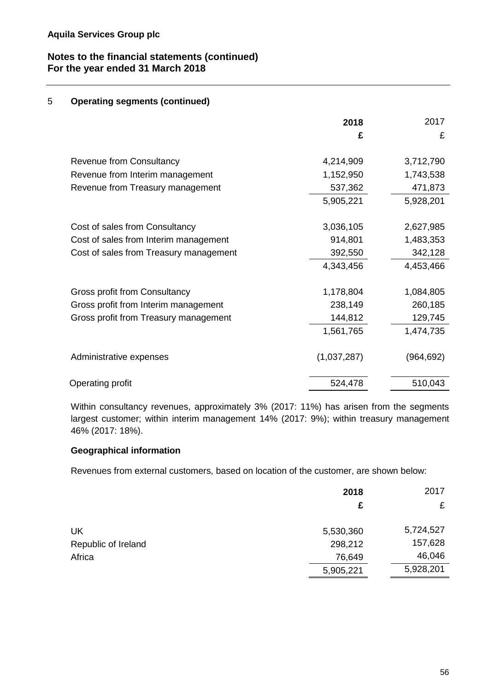# 5 **Operating segments (continued)**

|                                        | 2018<br>£   | 2017<br>£  |
|----------------------------------------|-------------|------------|
| <b>Revenue from Consultancy</b>        | 4,214,909   | 3,712,790  |
| Revenue from Interim management        | 1,152,950   | 1,743,538  |
| Revenue from Treasury management       | 537,362     | 471,873    |
|                                        | 5,905,221   | 5,928,201  |
| Cost of sales from Consultancy         | 3,036,105   | 2,627,985  |
| Cost of sales from Interim management  | 914,801     | 1,483,353  |
| Cost of sales from Treasury management | 392,550     | 342,128    |
|                                        | 4,343,456   | 4,453,466  |
| Gross profit from Consultancy          | 1,178,804   | 1,084,805  |
| Gross profit from Interim management   | 238,149     | 260,185    |
| Gross profit from Treasury management  | 144,812     | 129,745    |
|                                        | 1,561,765   | 1,474,735  |
| Administrative expenses                | (1,037,287) | (964, 692) |
| Operating profit                       | 524,478     | 510,043    |

Within consultancy revenues, approximately 3% (2017: 11%) has arisen from the segments largest customer; within interim management 14% (2017: 9%); within treasury management 46% (2017: 18%).

# **Geographical information**

Revenues from external customers, based on location of the customer, are shown below:

|                     | 2018      | 2017      |
|---------------------|-----------|-----------|
|                     | £         | £         |
| UK                  | 5,530,360 | 5,724,527 |
| Republic of Ireland | 298,212   | 157,628   |
| Africa              | 76,649    | 46,046    |
|                     | 5,905,221 | 5,928,201 |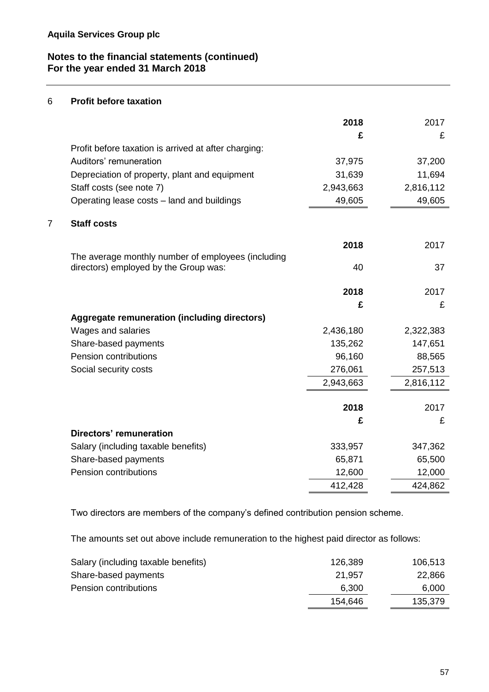# 6 **Profit before taxation**

|   |                                                      | 2018<br>£ | 2017<br>£ |
|---|------------------------------------------------------|-----------|-----------|
|   | Profit before taxation is arrived at after charging: |           |           |
|   | Auditors' remuneration                               | 37,975    | 37,200    |
|   | Depreciation of property, plant and equipment        | 31,639    | 11,694    |
|   | Staff costs (see note 7)                             | 2,943,663 | 2,816,112 |
|   | Operating lease costs – land and buildings           | 49,605    | 49,605    |
| 7 | <b>Staff costs</b>                                   |           |           |
|   |                                                      | 2018      | 2017      |
|   | The average monthly number of employees (including   |           |           |
|   | directors) employed by the Group was:                | 40        | 37        |
|   |                                                      | 2018      | 2017      |
|   |                                                      | £         | £         |
|   | Aggregate remuneration (including directors)         |           |           |
|   | Wages and salaries                                   | 2,436,180 | 2,322,383 |
|   | Share-based payments                                 | 135,262   | 147,651   |
|   | Pension contributions                                | 96,160    | 88,565    |
|   | Social security costs                                | 276,061   | 257,513   |
|   |                                                      | 2,943,663 | 2,816,112 |
|   |                                                      | 2018      | 2017      |
|   |                                                      | £         | £         |
|   | Directors' remuneration                              |           |           |
|   | Salary (including taxable benefits)                  | 333,957   | 347,362   |
|   | Share-based payments                                 | 65,871    | 65,500    |
|   | Pension contributions                                | 12,600    | 12,000    |
|   |                                                      | 412,428   | 424,862   |

Two directors are members of the company's defined contribution pension scheme.

The amounts set out above include remuneration to the highest paid director as follows:

|         | 106,513 |
|---------|---------|
| 21,957  | 22,866  |
| 6,300   | 6,000   |
| 154,646 | 135,379 |
|         | 126,389 |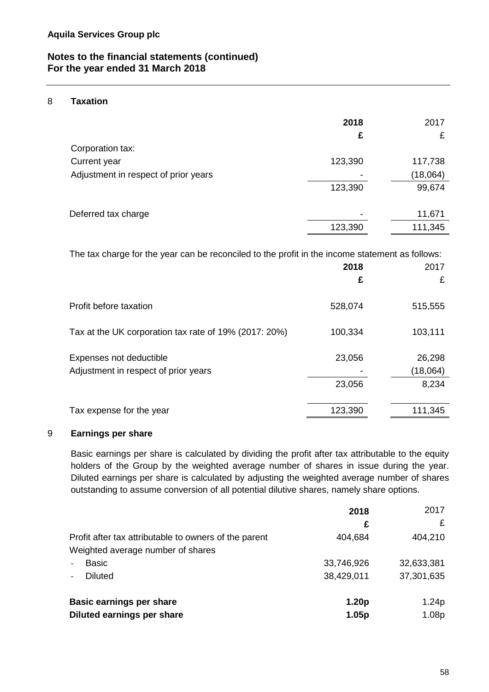### 8 **Taxation**

|                                      | 2018<br>£ | 2017<br>£ |
|--------------------------------------|-----------|-----------|
| Corporation tax:                     |           |           |
| Current year                         | 123,390   | 117,738   |
| Adjustment in respect of prior years |           | (18,064)  |
|                                      | 123,390   | 99,674    |
| Deferred tax charge                  |           | 11,671    |
|                                      | 123,390   | 111,345   |

The tax charge for the year can be reconciled to the profit in the income statement as follows:

|                                                                 | 2018<br>£        | 2017<br>£                   |
|-----------------------------------------------------------------|------------------|-----------------------------|
| Profit before taxation                                          | 528,074          | 515,555                     |
| Tax at the UK corporation tax rate of 19% (2017: 20%)           | 100,334          | 103,111                     |
| Expenses not deductible<br>Adjustment in respect of prior years | 23,056<br>23,056 | 26,298<br>(18,064)<br>8,234 |
| Tax expense for the year                                        | 123,390          | 111,345                     |

### 9 **Earnings per share**

Basic earnings per share is calculated by dividing the profit after tax attributable to the equity holders of the Group by the weighted average number of shares in issue during the year. Diluted earnings per share is calculated by adjusting the weighted average number of shares outstanding to assume conversion of all potential dilutive shares, namely share options.

|                                                       | 2018              | 2017       |
|-------------------------------------------------------|-------------------|------------|
|                                                       | £                 | £          |
| Profit after tax attributable to owners of the parent | 404,684           | 404,210    |
| Weighted average number of shares                     |                   |            |
| <b>Basic</b>                                          | 33,746,926        | 32,633,381 |
| <b>Diluted</b>                                        | 38,429,011        | 37,301,635 |
| <b>Basic earnings per share</b>                       | 1.20 <sub>p</sub> | 1.24p      |
| Diluted earnings per share                            | 1.05 <sub>p</sub> | 1.08p      |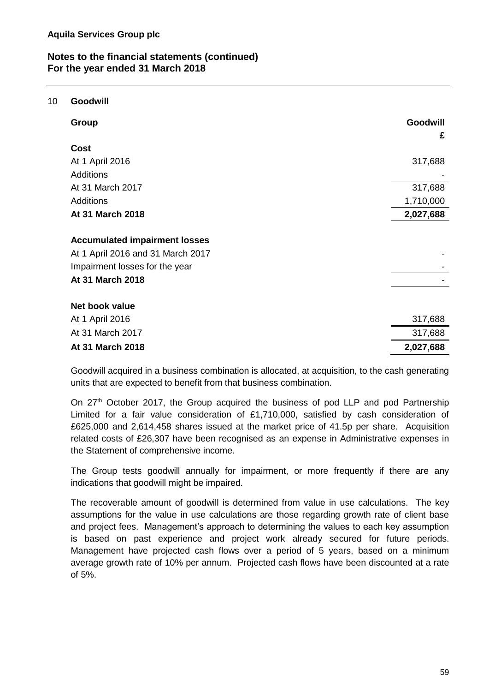### 10 **Goodwill**

| Group                                                                                                                           | Goodwill<br>£ |
|---------------------------------------------------------------------------------------------------------------------------------|---------------|
| Cost                                                                                                                            |               |
| At 1 April 2016                                                                                                                 | 317,688       |
| <b>Additions</b>                                                                                                                |               |
| At 31 March 2017                                                                                                                | 317,688       |
| <b>Additions</b>                                                                                                                | 1,710,000     |
| At 31 March 2018                                                                                                                | 2,027,688     |
| <b>Accumulated impairment losses</b><br>At 1 April 2016 and 31 March 2017<br>Impairment losses for the year<br>At 31 March 2018 |               |
| Net book value                                                                                                                  |               |
| At 1 April 2016                                                                                                                 | 317,688       |
| At 31 March 2017                                                                                                                | 317,688       |
| At 31 March 2018                                                                                                                | 2,027,688     |

Goodwill acquired in a business combination is allocated, at acquisition, to the cash generating units that are expected to benefit from that business combination.

On 27<sup>th</sup> October 2017, the Group acquired the business of pod LLP and pod Partnership Limited for a fair value consideration of £1,710,000, satisfied by cash consideration of £625,000 and 2,614,458 shares issued at the market price of 41.5p per share. Acquisition related costs of £26,307 have been recognised as an expense in Administrative expenses in the Statement of comprehensive income.

The Group tests goodwill annually for impairment, or more frequently if there are any indications that goodwill might be impaired.

The recoverable amount of goodwill is determined from value in use calculations. The key assumptions for the value in use calculations are those regarding growth rate of client base and project fees. Management's approach to determining the values to each key assumption is based on past experience and project work already secured for future periods. Management have projected cash flows over a period of 5 years, based on a minimum average growth rate of 10% per annum. Projected cash flows have been discounted at a rate of 5%.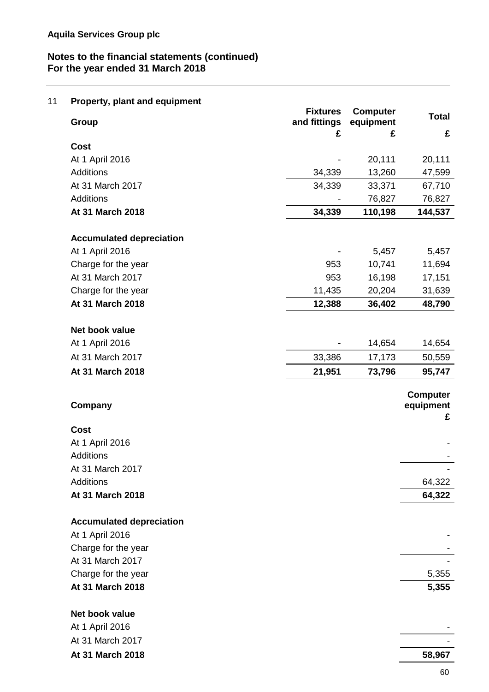| Property, plant and equipment        |                   |                 |                  |
|--------------------------------------|-------------------|-----------------|------------------|
|                                      | <b>Fixtures</b>   | <b>Computer</b> | <b>Total</b>     |
| <b>Group</b>                         | and fittings<br>£ | equipment<br>£  | £                |
| <b>Cost</b>                          |                   |                 |                  |
| At 1 April 2016                      |                   | 20,111          | 20,111           |
| <b>Additions</b>                     | 34,339            | 13,260          | 47,599           |
| At 31 March 2017                     | 34,339            | 33,371          | 67,710           |
| <b>Additions</b>                     |                   | 76,827          | 76,827           |
| At 31 March 2018                     | 34,339            | 110,198         | 144,537          |
| <b>Accumulated depreciation</b>      |                   |                 |                  |
| At 1 April 2016                      |                   | 5,457           | 5,457            |
| Charge for the year                  | 953               | 10,741          | 11,694           |
| At 31 March 2017                     | 953               | 16,198          | 17,151           |
| Charge for the year                  | 11,435            | 20,204          | 31,639           |
| At 31 March 2018                     | 12,388            | 36,402          | 48,790           |
| Net book value                       |                   |                 |                  |
| At 1 April 2016                      |                   | 14,654          | 14,654           |
| At 31 March 2017                     | 33,386            | 17,173          | 50,559           |
| At 31 March 2018                     | 21,951            | 73,796          | 95,747           |
|                                      |                   |                 | <b>Computer</b>  |
| Company                              |                   |                 | equipment        |
|                                      |                   |                 | £                |
|                                      |                   |                 |                  |
| <b>Cost</b>                          |                   |                 |                  |
| At 1 April 2016                      |                   |                 |                  |
| <b>Additions</b>                     |                   |                 |                  |
| At 31 March 2017<br><b>Additions</b> |                   |                 |                  |
| At 31 March 2018                     |                   |                 | 64,322<br>64,322 |
| <b>Accumulated depreciation</b>      |                   |                 |                  |
| At 1 April 2016                      |                   |                 |                  |
| Charge for the year                  |                   |                 |                  |
| At 31 March 2017                     |                   |                 |                  |
| Charge for the year                  |                   |                 | 5,355            |
| At 31 March 2018                     |                   |                 | 5,355            |
| Net book value                       |                   |                 |                  |
| At 1 April 2016                      |                   |                 |                  |
| At 31 March 2017                     |                   |                 |                  |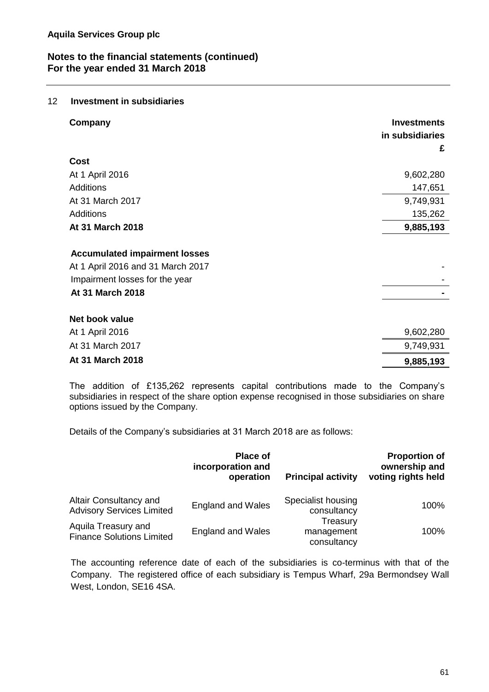### 12 **Investment in subsidiaries**

| Company                                                                                                                         | <b>Investments</b><br>in subsidiaries<br>£ |
|---------------------------------------------------------------------------------------------------------------------------------|--------------------------------------------|
| Cost                                                                                                                            |                                            |
| At 1 April 2016                                                                                                                 | 9,602,280                                  |
| <b>Additions</b>                                                                                                                | 147,651                                    |
| At 31 March 2017                                                                                                                | 9,749,931                                  |
| <b>Additions</b>                                                                                                                | 135,262                                    |
| At 31 March 2018                                                                                                                | 9,885,193                                  |
| <b>Accumulated impairment losses</b><br>At 1 April 2016 and 31 March 2017<br>Impairment losses for the year<br>At 31 March 2018 |                                            |
| Net book value                                                                                                                  |                                            |
| At 1 April 2016                                                                                                                 | 9,602,280                                  |
| At 31 March 2017                                                                                                                | 9,749,931                                  |
| At 31 March 2018                                                                                                                | 9,885,193                                  |

The addition of £135,262 represents capital contributions made to the Company's subsidiaries in respect of the share option expense recognised in those subsidiaries on share options issued by the Company.

Details of the Company's subsidiaries at 31 March 2018 are as follows:

|                                                            | <b>Place of</b><br>incorporation and<br>operation | <b>Principal activity</b>             | <b>Proportion of</b><br>ownership and<br>voting rights held |
|------------------------------------------------------------|---------------------------------------------------|---------------------------------------|-------------------------------------------------------------|
| Altair Consultancy and<br><b>Advisory Services Limited</b> | <b>England and Wales</b>                          | Specialist housing<br>consultancy     | 100%                                                        |
| Aquila Treasury and<br><b>Finance Solutions Limited</b>    | <b>England and Wales</b>                          | Treasury<br>management<br>consultancy | 100%                                                        |

The accounting reference date of each of the subsidiaries is co-terminus with that of the Company. The registered office of each subsidiary is Tempus Wharf, 29a Bermondsey Wall West, London, SE16 4SA.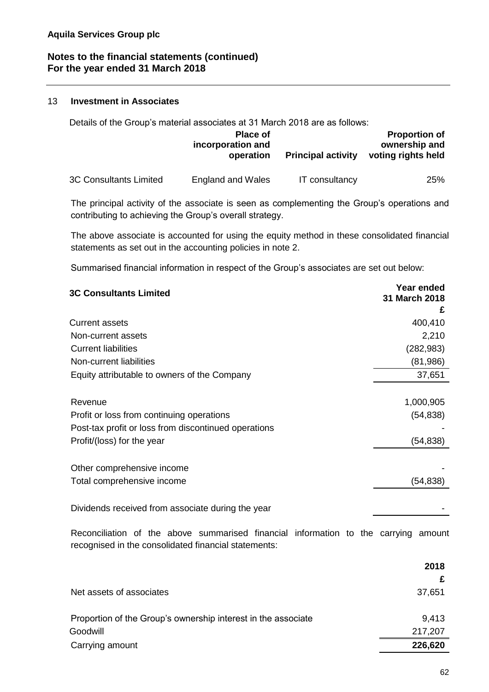### 13 **Investment in Associates**

Details of the Group's material associates at 31 March 2018 are as follows:

|                               | <b>Place of</b><br>incorporation and<br>operation | <b>Principal activity</b> | <b>Proportion of</b><br>ownership and<br>voting rights held |
|-------------------------------|---------------------------------------------------|---------------------------|-------------------------------------------------------------|
| <b>3C Consultants Limited</b> | England and Wales                                 | IT consultancy            | 25%                                                         |

The principal activity of the associate is seen as complementing the Group's operations and contributing to achieving the Group's overall strategy.

The above associate is accounted for using the equity method in these consolidated financial statements as set out in the accounting policies in note 2.

Summarised financial information in respect of the Group's associates are set out below:

| <b>3C Consultants Limited</b>                        | Year ended<br><b>31 March 2018</b> |
|------------------------------------------------------|------------------------------------|
|                                                      | £                                  |
| <b>Current assets</b>                                | 400,410                            |
| Non-current assets                                   | 2,210                              |
| <b>Current liabilities</b>                           | (282, 983)                         |
| Non-current liabilities                              | (81, 986)                          |
| Equity attributable to owners of the Company         | 37,651                             |
| Revenue                                              | 1,000,905                          |
| Profit or loss from continuing operations            | (54, 838)                          |
| Post-tax profit or loss from discontinued operations |                                    |
| Profit/(loss) for the year                           | (54,838)                           |
| Other comprehensive income                           |                                    |
| Total comprehensive income                           | (54,838)                           |
| Dividends received from associate during the year    |                                    |

Reconciliation of the above summarised financial information to the carrying amount recognised in the consolidated financial statements:

|                                                               | 2018    |
|---------------------------------------------------------------|---------|
|                                                               | £       |
| Net assets of associates                                      | 37,651  |
| Proportion of the Group's ownership interest in the associate | 9,413   |
| Goodwill                                                      | 217,207 |
| Carrying amount                                               | 226,620 |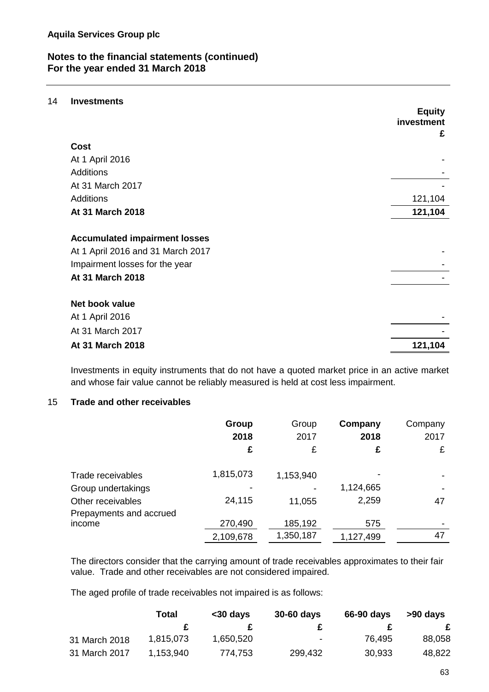### 14 **Investments**

| investment<br>£<br><b>Cost</b><br>At 1 April 2016<br><b>Additions</b><br>At 31 March 2017<br><b>Additions</b><br>121,104<br>At 31 March 2018<br>121,104<br><b>Accumulated impairment losses</b><br>At 1 April 2016 and 31 March 2017<br>Impairment losses for the year<br>At 31 March 2018<br>Net book value<br>At 1 April 2016<br>At 31 March 2017<br>At 31 March 2018<br>121,104 | <b>Equity</b> |
|------------------------------------------------------------------------------------------------------------------------------------------------------------------------------------------------------------------------------------------------------------------------------------------------------------------------------------------------------------------------------------|---------------|
|                                                                                                                                                                                                                                                                                                                                                                                    |               |
|                                                                                                                                                                                                                                                                                                                                                                                    |               |
|                                                                                                                                                                                                                                                                                                                                                                                    |               |
|                                                                                                                                                                                                                                                                                                                                                                                    |               |
|                                                                                                                                                                                                                                                                                                                                                                                    |               |
|                                                                                                                                                                                                                                                                                                                                                                                    |               |
|                                                                                                                                                                                                                                                                                                                                                                                    |               |
|                                                                                                                                                                                                                                                                                                                                                                                    |               |
|                                                                                                                                                                                                                                                                                                                                                                                    |               |
|                                                                                                                                                                                                                                                                                                                                                                                    |               |
|                                                                                                                                                                                                                                                                                                                                                                                    |               |
|                                                                                                                                                                                                                                                                                                                                                                                    |               |
|                                                                                                                                                                                                                                                                                                                                                                                    |               |
|                                                                                                                                                                                                                                                                                                                                                                                    |               |
|                                                                                                                                                                                                                                                                                                                                                                                    |               |

Investments in equity instruments that do not have a quoted market price in an active market and whose fair value cannot be reliably measured is held at cost less impairment.

### 15 **Trade and other receivables**

|                                                                                         | Group<br>2018<br>£   | Group<br>2017<br>£   | Company<br>2018<br>£ | Company<br>2017<br>£ |
|-----------------------------------------------------------------------------------------|----------------------|----------------------|----------------------|----------------------|
| Trade receivables<br>Group undertakings<br>Other receivables<br>Prepayments and accrued | 1,815,073<br>24,115  | 1,153,940<br>11,055  | 1,124,665<br>2,259   | 47                   |
| income                                                                                  | 270,490<br>2,109,678 | 185,192<br>1,350,187 | 575<br>1,127,499     | 47                   |

The directors consider that the carrying amount of trade receivables approximates to their fair value. Trade and other receivables are not considered impaired.

The aged profile of trade receivables not impaired is as follows:

|               | Total     | <30 days  | 30-60 days               | 66-90 days | >90 davs |
|---------------|-----------|-----------|--------------------------|------------|----------|
|               |           |           |                          |            | £        |
| 31 March 2018 | 1,815,073 | 1,650,520 | $\overline{\phantom{a}}$ | 76,495     | 88,058   |
| 31 March 2017 | 1,153,940 | 774,753   | 299,432                  | 30,933     | 48,822   |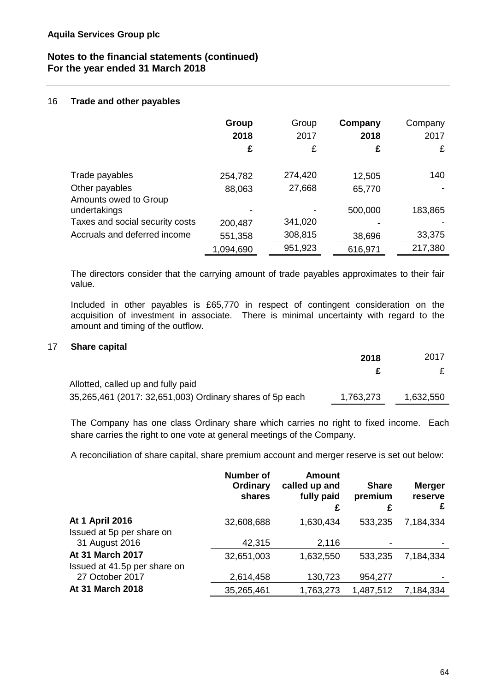### 16 **Trade and other payables**

|                                                           | Group<br>2018<br>£ | Group<br>2017<br>£ | Company<br>2018<br>£ | Company<br>2017<br>£ |
|-----------------------------------------------------------|--------------------|--------------------|----------------------|----------------------|
| Trade payables<br>Other payables<br>Amounts owed to Group | 254,782<br>88,063  | 274,420<br>27,668  | 12,505<br>65,770     | 140                  |
| undertakings                                              |                    |                    | 500,000              | 183,865              |
| Taxes and social security costs                           | 200,487            | 341,020            |                      |                      |
| Accruals and deferred income                              | 551,358            | 308,815            | 38,696               | 33,375               |
|                                                           | 1,094,690          | 951,923            | 616,971              | 217,380              |

The directors consider that the carrying amount of trade payables approximates to their fair value.

Included in other payables is £65,770 in respect of contingent consideration on the acquisition of investment in associate. There is minimal uncertainty with regard to the amount and timing of the outflow.

#### 17 **Share capital**

|                                                          | 2018      | 2017      |
|----------------------------------------------------------|-----------|-----------|
|                                                          |           |           |
| Allotted, called up and fully paid                       |           |           |
| 35,265,461 (2017: 32,651,003) Ordinary shares of 5p each | 1,763,273 | 1,632,550 |

The Company has one class Ordinary share which carries no right to fixed income. Each share carries the right to one vote at general meetings of the Company.

A reconciliation of share capital, share premium account and merger reserve is set out below:

|                                                         | <b>Number of</b><br>Ordinary<br>shares | <b>Amount</b><br>called up and<br>fully paid<br>£ | <b>Share</b><br>premium<br>£ | <b>Merger</b><br>reserve<br>£ |
|---------------------------------------------------------|----------------------------------------|---------------------------------------------------|------------------------------|-------------------------------|
| At 1 April 2016<br>Issued at 5p per share on            | 32,608,688                             | 1,630,434                                         | 533,235                      | 7,184,334                     |
| 31 August 2016                                          | 42,315                                 | 2,116                                             |                              |                               |
| <b>At 31 March 2017</b><br>Issued at 41.5p per share on | 32,651,003                             | 1,632,550                                         | 533,235                      | 7,184,334                     |
| 27 October 2017                                         | 2,614,458                              | 130,723                                           | 954,277                      |                               |
| At 31 March 2018                                        | 35,265,461                             | 1,763,273                                         | 1,487,512                    | 7,184,334                     |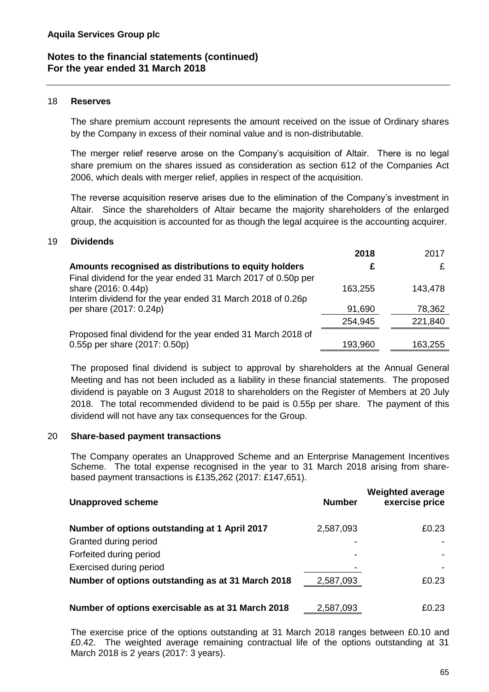### 18 **Reserves**

The share premium account represents the amount received on the issue of Ordinary shares by the Company in excess of their nominal value and is non-distributable.

The merger relief reserve arose on the Company's acquisition of Altair. There is no legal share premium on the shares issued as consideration as section 612 of the Companies Act 2006, which deals with merger relief, applies in respect of the acquisition.

The reverse acquisition reserve arises due to the elimination of the Company's investment in Altair. Since the shareholders of Altair became the majority shareholders of the enlarged group, the acquisition is accounted for as though the legal acquiree is the accounting acquirer.

### 19 **Dividends**

|                                                              | 2018    | 2017    |
|--------------------------------------------------------------|---------|---------|
| Amounts recognised as distributions to equity holders        |         |         |
| Final dividend for the year ended 31 March 2017 of 0.50p per |         |         |
| share (2016: 0.44p)                                          | 163,255 | 143,478 |
| Interim dividend for the year ended 31 March 2018 of 0.26p   |         |         |
| per share (2017: 0.24p)                                      | 91,690  | 78,362  |
|                                                              | 254,945 | 221,840 |
| Proposed final dividend for the year ended 31 March 2018 of  |         |         |
| 0.55p per share (2017: 0.50p)                                | 193,960 | 163,255 |

The proposed final dividend is subject to approval by shareholders at the Annual General Meeting and has not been included as a liability in these financial statements. The proposed dividend is payable on 3 August 2018 to shareholders on the Register of Members at 20 July 2018. The total recommended dividend to be paid is 0.55p per share. The payment of this dividend will not have any tax consequences for the Group.

### 20 **Share-based payment transactions**

The Company operates an Unapproved Scheme and an Enterprise Management Incentives Scheme. The total expense recognised in the year to 31 March 2018 arising from sharebased payment transactions is £135,262 (2017: £147,651).

| <b>Unapproved scheme</b>                          | <b>Number</b> | <b>Weighted average</b><br>exercise price |
|---------------------------------------------------|---------------|-------------------------------------------|
| Number of options outstanding at 1 April 2017     | 2,587,093     | £0.23                                     |
| Granted during period                             |               |                                           |
| Forfeited during period                           |               |                                           |
| Exercised during period                           |               |                                           |
| Number of options outstanding as at 31 March 2018 | 2,587,093     | £0.23                                     |
| Number of options exercisable as at 31 March 2018 | 2,587,093     | £0.23                                     |

The exercise price of the options outstanding at 31 March 2018 ranges between £0.10 and £0.42. The weighted average remaining contractual life of the options outstanding at 31 March 2018 is 2 years (2017: 3 years).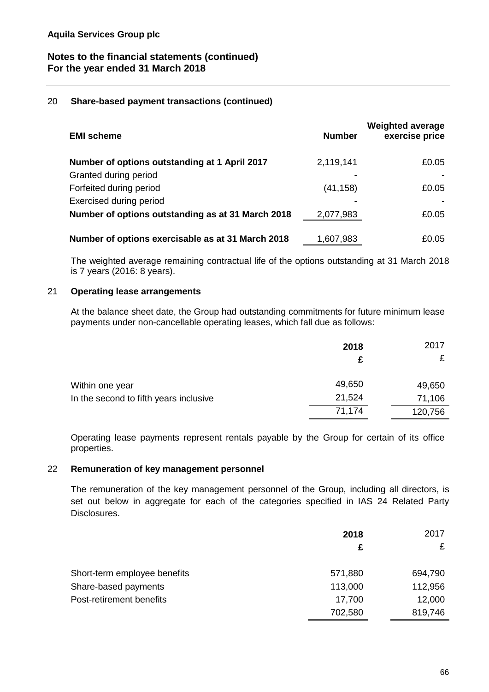### 20 **Share-based payment transactions (continued)**

| <b>EMI scheme</b>                                 | <b>Number</b> | <b>Weighted average</b><br>exercise price |
|---------------------------------------------------|---------------|-------------------------------------------|
| Number of options outstanding at 1 April 2017     | 2,119,141     | £0.05                                     |
| Granted during period                             |               |                                           |
| Forfeited during period                           | (41, 158)     | £0.05                                     |
| Exercised during period                           |               |                                           |
| Number of options outstanding as at 31 March 2018 | 2,077,983     | £0.05                                     |
| Number of options exercisable as at 31 March 2018 | 1,607,983     | £0.05                                     |

The weighted average remaining contractual life of the options outstanding at 31 March 2018 is 7 years (2016: 8 years).

### 21 **Operating lease arrangements**

At the balance sheet date, the Group had outstanding commitments for future minimum lease payments under non-cancellable operating leases, which fall due as follows:

|                                        | 2018   | 2017    |
|----------------------------------------|--------|---------|
|                                        |        | £       |
| Within one year                        | 49,650 | 49,650  |
| In the second to fifth years inclusive | 21,524 | 71,106  |
|                                        | 71,174 | 120,756 |

Operating lease payments represent rentals payable by the Group for certain of its office properties.

### 22 **Remuneration of key management personnel**

The remuneration of the key management personnel of the Group, including all directors, is set out below in aggregate for each of the categories specified in IAS 24 Related Party Disclosures.

|                              | 2018    | 2017    |
|------------------------------|---------|---------|
|                              |         | £       |
| Short-term employee benefits | 571,880 | 694,790 |
| Share-based payments         | 113,000 | 112,956 |
| Post-retirement benefits     | 17,700  | 12,000  |
|                              | 702,580 | 819,746 |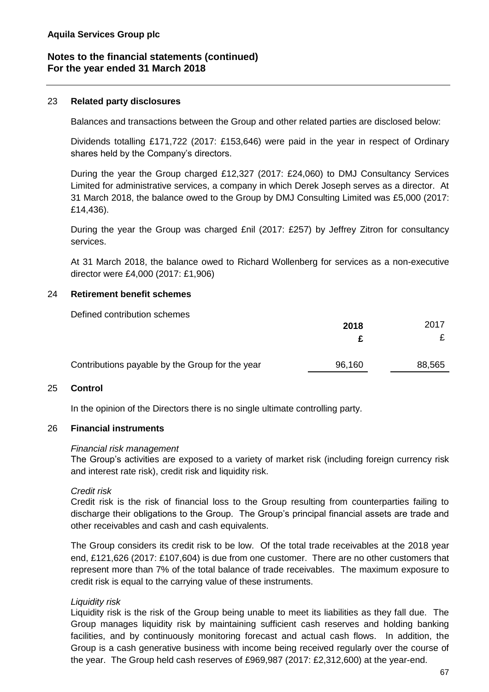#### 23 **Related party disclosures**

Balances and transactions between the Group and other related parties are disclosed below:

Dividends totalling £171,722 (2017: £153,646) were paid in the year in respect of Ordinary shares held by the Company's directors.

During the year the Group charged £12,327 (2017: £24,060) to DMJ Consultancy Services Limited for administrative services, a company in which Derek Joseph serves as a director. At 31 March 2018, the balance owed to the Group by DMJ Consulting Limited was £5,000 (2017: £14,436).

During the year the Group was charged £nil (2017: £257) by Jeffrey Zitron for consultancy services.

At 31 March 2018, the balance owed to Richard Wollenberg for services as a non-executive director were £4,000 (2017: £1,906)

### 24 **Retirement benefit schemes**

Defined contribution schemes

|                                                 | 2018   | 2017   |
|-------------------------------------------------|--------|--------|
|                                                 |        |        |
| Contributions payable by the Group for the year | 96,160 | 88,565 |

### 25 **Control**

In the opinion of the Directors there is no single ultimate controlling party.

#### 26 **Financial instruments**

#### *Financial risk management*

The Group's activities are exposed to a variety of market risk (including foreign currency risk and interest rate risk), credit risk and liquidity risk.

#### *Credit risk*

Credit risk is the risk of financial loss to the Group resulting from counterparties failing to discharge their obligations to the Group. The Group's principal financial assets are trade and other receivables and cash and cash equivalents.

The Group considers its credit risk to be low. Of the total trade receivables at the 2018 year end, £121,626 (2017: £107,604) is due from one customer. There are no other customers that represent more than 7% of the total balance of trade receivables. The maximum exposure to credit risk is equal to the carrying value of these instruments.

### *Liquidity risk*

Liquidity risk is the risk of the Group being unable to meet its liabilities as they fall due. The Group manages liquidity risk by maintaining sufficient cash reserves and holding banking facilities, and by continuously monitoring forecast and actual cash flows. In addition, the Group is a cash generative business with income being received regularly over the course of the year. The Group held cash reserves of £969,987 (2017: £2,312,600) at the year-end.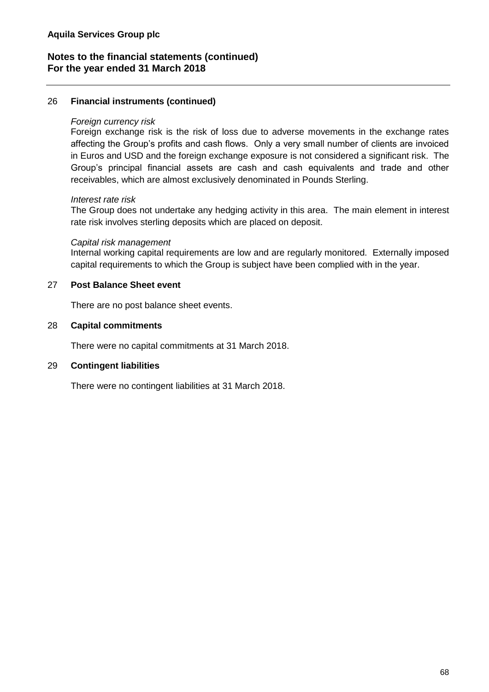### 26 **Financial instruments (continued)**

#### *Foreign currency risk*

Foreign exchange risk is the risk of loss due to adverse movements in the exchange rates affecting the Group's profits and cash flows. Only a very small number of clients are invoiced in Euros and USD and the foreign exchange exposure is not considered a significant risk. The Group's principal financial assets are cash and cash equivalents and trade and other receivables, which are almost exclusively denominated in Pounds Sterling.

### *Interest rate risk*

The Group does not undertake any hedging activity in this area. The main element in interest rate risk involves sterling deposits which are placed on deposit.

#### *Capital risk management*

Internal working capital requirements are low and are regularly monitored. Externally imposed capital requirements to which the Group is subject have been complied with in the year.

### 27 **Post Balance Sheet event**

There are no post balance sheet events.

### 28 **Capital commitments**

There were no capital commitments at 31 March 2018.

### 29 **Contingent liabilities**

There were no contingent liabilities at 31 March 2018.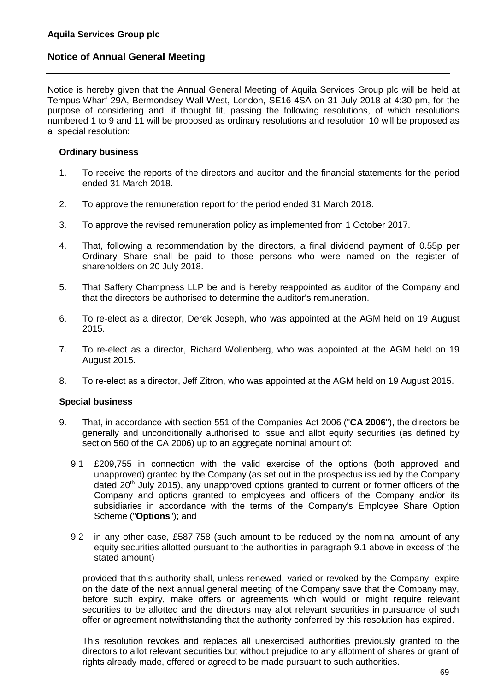# **Notice of Annual General Meeting**

Notice is hereby given that the Annual General Meeting of Aquila Services Group plc will be held at Tempus Wharf 29A, Bermondsey Wall West, London, SE16 4SA on 31 July 2018 at 4:30 pm, for the purpose of considering and, if thought fit, passing the following resolutions, of which resolutions numbered 1 to 9 and 11 will be proposed as ordinary resolutions and resolution 10 will be proposed as a special resolution:

### **Ordinary business**

- 1. To receive the reports of the directors and auditor and the financial statements for the period ended 31 March 2018.
- 2. To approve the remuneration report for the period ended 31 March 2018.
- 3. To approve the revised remuneration policy as implemented from 1 October 2017.
- 4. That, following a recommendation by the directors, a final dividend payment of 0.55p per Ordinary Share shall be paid to those persons who were named on the register of shareholders on 20 July 2018.
- 5. That Saffery Champness LLP be and is hereby reappointed as auditor of the Company and that the directors be authorised to determine the auditor's remuneration.
- 6. To re-elect as a director, Derek Joseph, who was appointed at the AGM held on 19 August 2015.
- 7. To re-elect as a director, Richard Wollenberg, who was appointed at the AGM held on 19 August 2015.
- 8. To re-elect as a director, Jeff Zitron, who was appointed at the AGM held on 19 August 2015.

### **Special business**

- 9. That, in accordance with section 551 of the Companies Act 2006 ("**CA 2006**"), the directors be generally and unconditionally authorised to issue and allot equity securities (as defined by section 560 of the CA 2006) up to an aggregate nominal amount of:
	- 9.1 £209,755 in connection with the valid exercise of the options (both approved and unapproved) granted by the Company (as set out in the prospectus issued by the Company dated 20<sup>th</sup> July 2015), any unapproved options granted to current or former officers of the Company and options granted to employees and officers of the Company and/or its subsidiaries in accordance with the terms of the Company's Employee Share Option Scheme ("**Options**"); and
	- 9.2 in any other case, £587,758 (such amount to be reduced by the nominal amount of any equity securities allotted pursuant to the authorities in paragraph 9.1 above in excess of the stated amount)

provided that this authority shall, unless renewed, varied or revoked by the Company, expire on the date of the next annual general meeting of the Company save that the Company may, before such expiry, make offers or agreements which would or might require relevant securities to be allotted and the directors may allot relevant securities in pursuance of such offer or agreement notwithstanding that the authority conferred by this resolution has expired.

This resolution revokes and replaces all unexercised authorities previously granted to the directors to allot relevant securities but without prejudice to any allotment of shares or grant of rights already made, offered or agreed to be made pursuant to such authorities.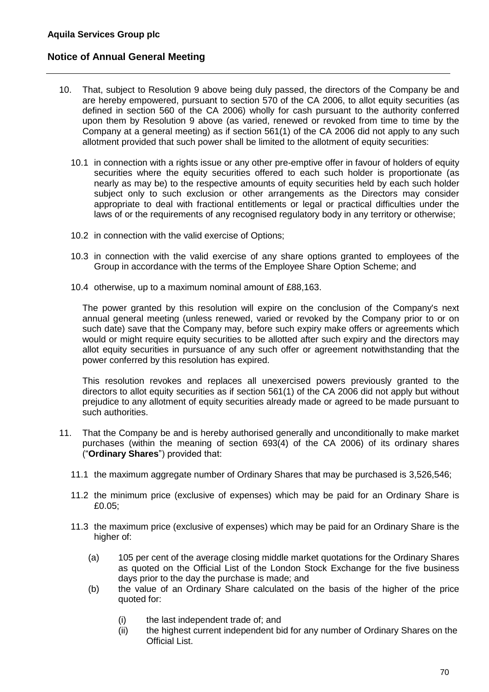# **Notice of Annual General Meeting**

- 10. That, subject to Resolution 9 above being duly passed, the directors of the Company be and are hereby empowered, pursuant to section 570 of the CA 2006, to allot equity securities (as defined in section 560 of the CA 2006) wholly for cash pursuant to the authority conferred upon them by Resolution 9 above (as varied, renewed or revoked from time to time by the Company at a general meeting) as if section 561(1) of the CA 2006 did not apply to any such allotment provided that such power shall be limited to the allotment of equity securities:
	- 10.1 in connection with a rights issue or any other pre-emptive offer in favour of holders of equity securities where the equity securities offered to each such holder is proportionate (as nearly as may be) to the respective amounts of equity securities held by each such holder subject only to such exclusion or other arrangements as the Directors may consider appropriate to deal with fractional entitlements or legal or practical difficulties under the laws of or the requirements of any recognised requisitory body in any territory or otherwise;
	- 10.2 in connection with the valid exercise of Options;
	- 10.3 in connection with the valid exercise of any share options granted to employees of the Group in accordance with the terms of the Employee Share Option Scheme; and
	- 10.4 otherwise, up to a maximum nominal amount of £88,163.

The power granted by this resolution will expire on the conclusion of the Company's next annual general meeting (unless renewed, varied or revoked by the Company prior to or on such date) save that the Company may, before such expiry make offers or agreements which would or might require equity securities to be allotted after such expiry and the directors may allot equity securities in pursuance of any such offer or agreement notwithstanding that the power conferred by this resolution has expired.

This resolution revokes and replaces all unexercised powers previously granted to the directors to allot equity securities as if section 561(1) of the CA 2006 did not apply but without prejudice to any allotment of equity securities already made or agreed to be made pursuant to such authorities.

- 11. That the Company be and is hereby authorised generally and unconditionally to make market purchases (within the meaning of section 693(4) of the CA 2006) of its ordinary shares ("**Ordinary Shares**") provided that:
	- 11.1 the maximum aggregate number of Ordinary Shares that may be purchased is 3,526,546;
	- 11.2 the minimum price (exclusive of expenses) which may be paid for an Ordinary Share is £0.05;
	- 11.3 the maximum price (exclusive of expenses) which may be paid for an Ordinary Share is the higher of:
		- (a) 105 per cent of the average closing middle market quotations for the Ordinary Shares as quoted on the Official List of the London Stock Exchange for the five business days prior to the day the purchase is made; and
		- (b) the value of an Ordinary Share calculated on the basis of the higher of the price quoted for:
			- (i) the last independent trade of; and
			- (ii) the highest current independent bid for any number of Ordinary Shares on the Official List.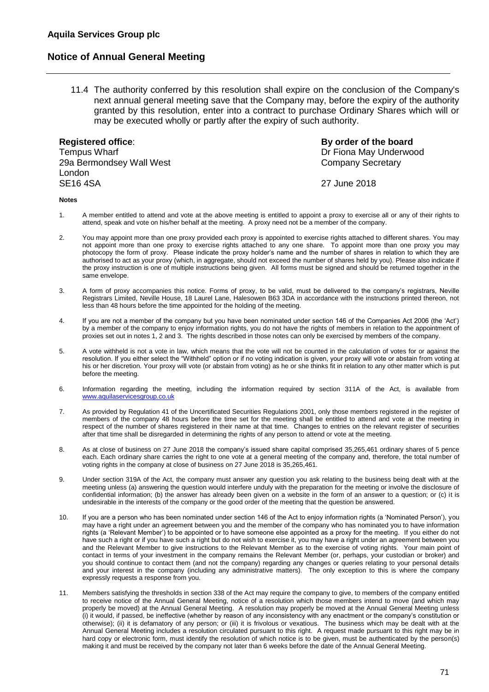## **Notice of Annual General Meeting**

11.4 The authority conferred by this resolution shall expire on the conclusion of the Company's next annual general meeting save that the Company may, before the expiry of the authority granted by this resolution, enter into a contract to purchase Ordinary Shares which will or may be executed wholly or partly after the expiry of such authority.

Tempus Wharf **Dr Fiona May Underwood** 29a Bermondsey Wall West Company Secretary Company Secretary London SE16 4SA 27 June 2018

**Registered office**: **By order of the board**

## **Notes**

- 1. A member entitled to attend and vote at the above meeting is entitled to appoint a proxy to exercise all or any of their rights to attend, speak and vote on his/her behalf at the meeting. A proxy need not be a member of the company.
- 2. You may appoint more than one proxy provided each proxy is appointed to exercise rights attached to different shares. You may not appoint more than one proxy to exercise rights attached to any one share. To appoint more than one proxy you may photocopy the form of proxy. Please indicate the proxy holder's name and the number of shares in relation to which they are authorised to act as your proxy (which, in aggregate, should not exceed the number of shares held by you). Please also indicate if the proxy instruction is one of multiple instructions being given. All forms must be signed and should be returned together in the same envelope.
- 3. A form of proxy accompanies this notice. Forms of proxy, to be valid, must be delivered to the company's registrars, Neville Registrars Limited, Neville House, 18 Laurel Lane, Halesowen B63 3DA in accordance with the instructions printed thereon, not less than 48 hours before the time appointed for the holding of the meeting.
- 4. If you are not a member of the company but you have been nominated under section 146 of the Companies Act 2006 (the 'Act') by a member of the company to enjoy information rights, you do not have the rights of members in relation to the appointment of proxies set out in notes 1, 2 and 3. The rights described in those notes can only be exercised by members of the company.
- 5. A vote withheld is not a vote in law, which means that the vote will not be counted in the calculation of votes for or against the resolution. If you either select the "Withheld" option or if no voting indication is given, your proxy will vote or abstain from voting at his or her discretion. Your proxy will vote (or abstain from voting) as he or she thinks fit in relation to any other matter which is put before the meeting.
- 6. Information regarding the meeting, including the information required by section 311A of the Act, is available from [www.aquilaservicesgroup.co.uk](http://www.aquilaservicesgroup.co.uk/)
- 7. As provided by Regulation 41 of the Uncertificated Securities Regulations 2001, only those members registered in the register of members of the company 48 hours before the time set for the meeting shall be entitled to attend and vote at the meeting in respect of the number of shares registered in their name at that time. Changes to entries on the relevant register of securities after that time shall be disregarded in determining the rights of any person to attend or vote at the meeting.
- 8. As at close of business on 27 June 2018 the company's issued share capital comprised 35,265,461 ordinary shares of 5 pence each. Each ordinary share carries the right to one vote at a general meeting of the company and, therefore, the total number of voting rights in the company at close of business on 27 June 2018 is 35,265,461.
- 9. Under section 319A of the Act, the company must answer any question you ask relating to the business being dealt with at the meeting unless (a) answering the question would interfere unduly with the preparation for the meeting or involve the disclosure of confidential information; (b) the answer has already been given on a website in the form of an answer to a question; or (c) it is undesirable in the interests of the company or the good order of the meeting that the question be answered.
- 10. If you are a person who has been nominated under section 146 of the Act to enjoy information rights (a 'Nominated Person'), you may have a right under an agreement between you and the member of the company who has nominated you to have information rights (a 'Relevant Member') to be appointed or to have someone else appointed as a proxy for the meeting. If you either do not have such a right or if you have such a right but do not wish to exercise it, you may have a right under an agreement between you and the Relevant Member to give instructions to the Relevant Member as to the exercise of voting rights. Your main point of contact in terms of your investment in the company remains the Relevant Member (or, perhaps, your custodian or broker) and you should continue to contact them (and not the company) regarding any changes or queries relating to your personal details and your interest in the company (including any administrative matters). The only exception to this is where the company expressly requests a response from you.
- 11. Members satisfying the thresholds in section 338 of the Act may require the company to give, to members of the company entitled to receive notice of the Annual General Meeting, notice of a resolution which those members intend to move (and which may properly be moved) at the Annual General Meeting. A resolution may properly be moved at the Annual General Meeting unless (i) it would, if passed, be ineffective (whether by reason of any inconsistency with any enactment or the company's constitution or otherwise); (ii) it is defamatory of any person; or (iii) it is frivolous or vexatious. The business which may be dealt with at the Annual General Meeting includes a resolution circulated pursuant to this right. A request made pursuant to this right may be in hard copy or electronic form, must identify the resolution of which notice is to be given, must be authenticated by the person(s) making it and must be received by the company not later than 6 weeks before the date of the Annual General Meeting.